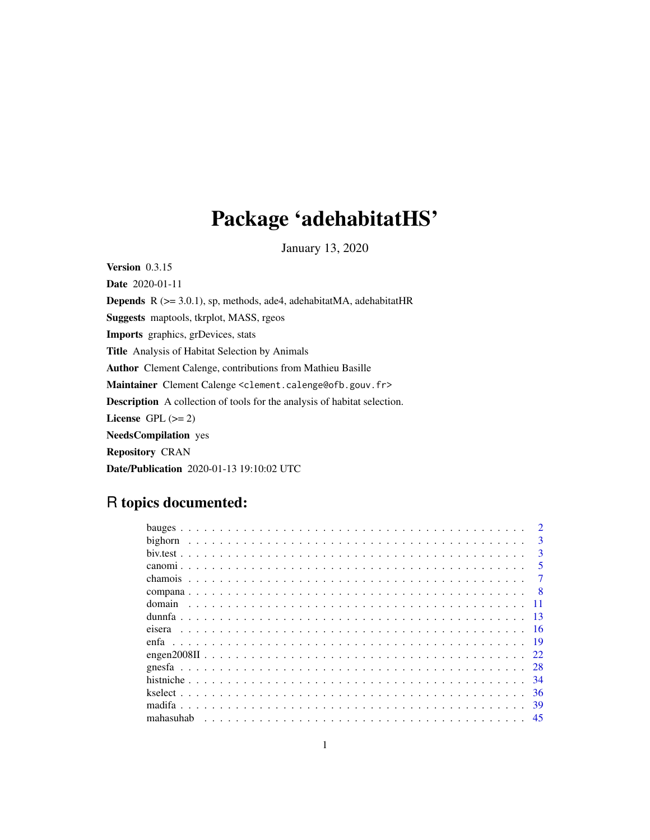## Package 'adehabitatHS'

January 13, 2020

<span id="page-0-0"></span>Version 0.3.15

Date 2020-01-11 Depends R (>= 3.0.1), sp, methods, ade4, adehabitatMA, adehabitatHR Suggests maptools, tkrplot, MASS, rgeos Imports graphics, grDevices, stats Title Analysis of Habitat Selection by Animals Author Clement Calenge, contributions from Mathieu Basille Maintainer Clement Calenge <clement.calenge@ofb.gouv.fr> Description A collection of tools for the analysis of habitat selection. License GPL  $(>= 2)$ NeedsCompilation yes Repository CRAN Date/Publication 2020-01-13 19:10:02 UTC

## R topics documented:

| bighorn   | 3   |
|-----------|-----|
|           | 3   |
|           | 5   |
| chamois   |     |
|           |     |
| domain    |     |
|           | 13  |
|           | 16  |
| enfa      | -19 |
|           | 22  |
|           | 28  |
|           | 34  |
|           | 36  |
| madifa    | 39  |
| mahasuhah | 45  |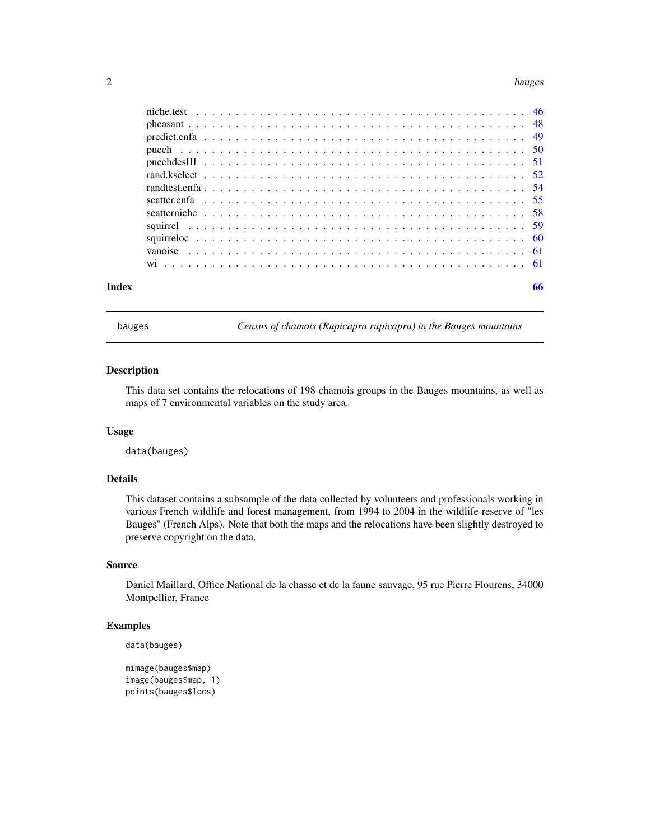#### <span id="page-1-0"></span> $2 \t\t bauges$

| Index |  |  |  |  |  |  |  |  |  |  |  |  |  |  |  |  |  |  | 66 |
|-------|--|--|--|--|--|--|--|--|--|--|--|--|--|--|--|--|--|--|----|
|       |  |  |  |  |  |  |  |  |  |  |  |  |  |  |  |  |  |  |    |
|       |  |  |  |  |  |  |  |  |  |  |  |  |  |  |  |  |  |  |    |
|       |  |  |  |  |  |  |  |  |  |  |  |  |  |  |  |  |  |  |    |
|       |  |  |  |  |  |  |  |  |  |  |  |  |  |  |  |  |  |  |    |
|       |  |  |  |  |  |  |  |  |  |  |  |  |  |  |  |  |  |  |    |
|       |  |  |  |  |  |  |  |  |  |  |  |  |  |  |  |  |  |  |    |
|       |  |  |  |  |  |  |  |  |  |  |  |  |  |  |  |  |  |  |    |
|       |  |  |  |  |  |  |  |  |  |  |  |  |  |  |  |  |  |  |    |
|       |  |  |  |  |  |  |  |  |  |  |  |  |  |  |  |  |  |  |    |
|       |  |  |  |  |  |  |  |  |  |  |  |  |  |  |  |  |  |  |    |
|       |  |  |  |  |  |  |  |  |  |  |  |  |  |  |  |  |  |  |    |
|       |  |  |  |  |  |  |  |  |  |  |  |  |  |  |  |  |  |  |    |
|       |  |  |  |  |  |  |  |  |  |  |  |  |  |  |  |  |  |  |    |

bauges *Census of chamois (Rupicapra rupicapra) in the Bauges mountains*

## Description

This data set contains the relocations of 198 chamois groups in the Bauges mountains, as well as maps of 7 environmental variables on the study area.

#### Usage

data(bauges)

## Details

This dataset contains a subsample of the data collected by volunteers and professionals working in various French wildlife and forest management, from 1994 to 2004 in the wildlife reserve of "les Bauges" (French Alps). Note that both the maps and the relocations have been slightly destroyed to preserve copyright on the data.

## Source

Daniel Maillard, Office National de la chasse et de la faune sauvage, 95 rue Pierre Flourens, 34000 Montpellier, France

## Examples

```
data(bauges)
```

```
mimage(bauges$map)
image(bauges$map, 1)
points(bauges$locs)
```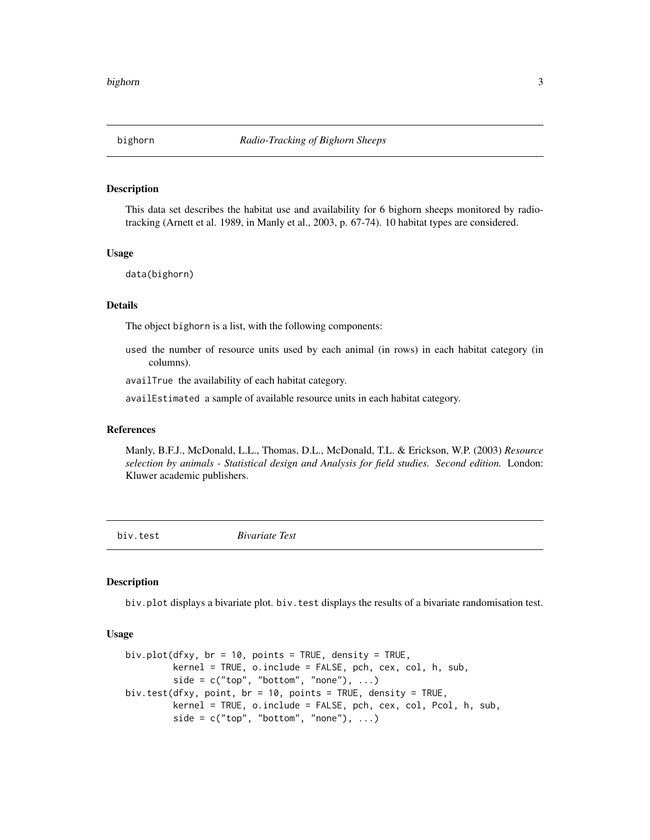<span id="page-2-0"></span>

#### Description

This data set describes the habitat use and availability for 6 bighorn sheeps monitored by radiotracking (Arnett et al. 1989, in Manly et al., 2003, p. 67-74). 10 habitat types are considered.

#### Usage

data(bighorn)

#### Details

The object bighorn is a list, with the following components:

used the number of resource units used by each animal (in rows) in each habitat category (in columns).

availTrue the availability of each habitat category.

availEstimated a sample of available resource units in each habitat category.

#### **References**

Manly, B.F.J., McDonald, L.L., Thomas, D.L., McDonald, T.L. & Erickson, W.P. (2003) *Resource selection by animals - Statistical design and Analysis for field studies. Second edition.* London: Kluwer academic publishers.

<span id="page-2-1"></span>biv.test *Bivariate Test*

#### Description

biv.plot displays a bivariate plot. biv. test displays the results of a bivariate randomisation test.

#### Usage

```
biv.plot(dfxy, br = 10, points = TRUE, density = TRUE,
         kernel = TRUE, o.include = FALSE, pch, cex, col, h, sub,
         side = c("top", "bottom", "none"), ...biv.test(dfxy, point, br = 10, points = TRUE, density = TRUE,
         kernel = TRUE, o.include = FALSE, pch, cex, col, Pcol, h, sub,
         side = c("top", "bottom", "none"), ...)
```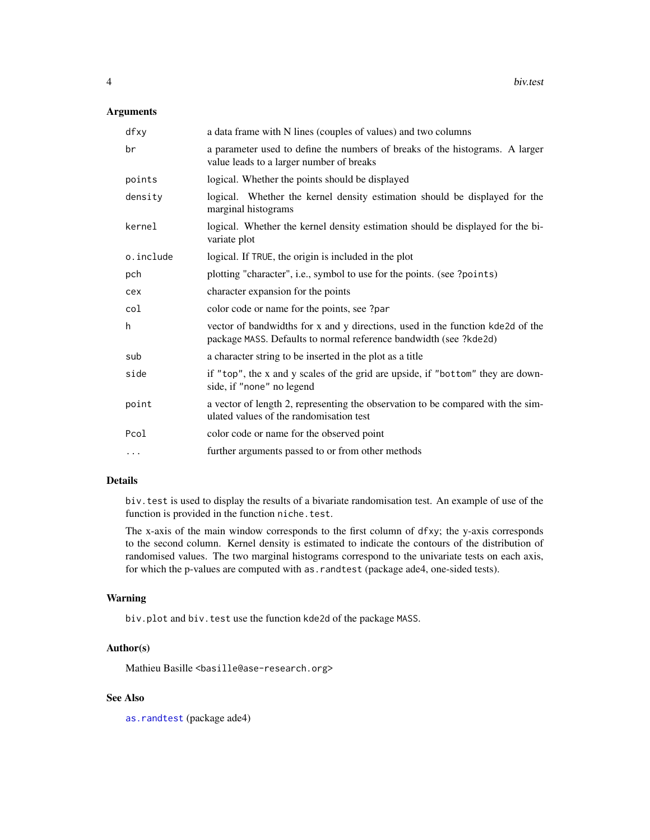## <span id="page-3-0"></span>Arguments

| dfxy      | a data frame with N lines (couples of values) and two columns                                                                                       |
|-----------|-----------------------------------------------------------------------------------------------------------------------------------------------------|
| br        | a parameter used to define the numbers of breaks of the histograms. A larger<br>value leads to a larger number of breaks                            |
| points    | logical. Whether the points should be displayed                                                                                                     |
| density   | logical. Whether the kernel density estimation should be displayed for the<br>marginal histograms                                                   |
| kernel    | logical. Whether the kernel density estimation should be displayed for the bi-<br>variate plot                                                      |
| o.include | logical. If TRUE, the origin is included in the plot                                                                                                |
| pch       | plotting "character", i.e., symbol to use for the points. (see ?points)                                                                             |
| cex       | character expansion for the points                                                                                                                  |
| col       | color code or name for the points, see ?par                                                                                                         |
| h         | vector of bandwidths for x and y directions, used in the function kde2d of the<br>package MASS. Defaults to normal reference bandwidth (see ?kde2d) |
| sub       | a character string to be inserted in the plot as a title                                                                                            |
| side      | if "top", the x and y scales of the grid are upside, if "bottom" they are down-<br>side, if "none" no legend                                        |
| point     | a vector of length 2, representing the observation to be compared with the sim-<br>ulated values of the randomisation test                          |
| Pcol      | color code or name for the observed point                                                                                                           |
| .         | further arguments passed to or from other methods                                                                                                   |

## Details

biv.test is used to display the results of a bivariate randomisation test. An example of use of the function is provided in the function niche.test.

The x-axis of the main window corresponds to the first column of dfxy; the y-axis corresponds to the second column. Kernel density is estimated to indicate the contours of the distribution of randomised values. The two marginal histograms correspond to the univariate tests on each axis, for which the p-values are computed with as.randtest (package ade4, one-sided tests).

#### Warning

biv.plot and biv.test use the function kde2d of the package MASS.

## Author(s)

Mathieu Basille <br/>basille@ase-research.org>

## See Also

[as.randtest](#page-0-0) (package ade4)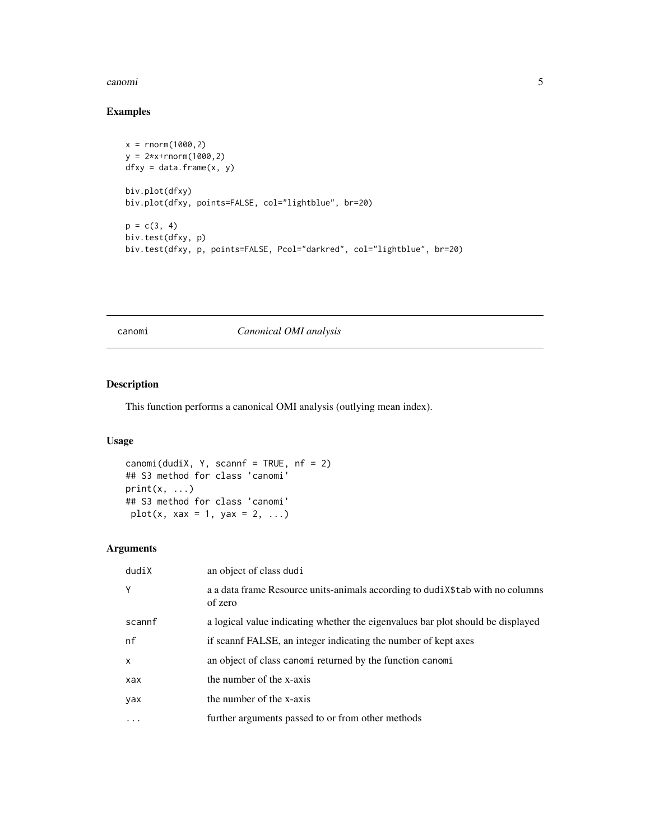#### <span id="page-4-0"></span>canomi 5

## Examples

```
x = rnorm(1000, 2)y = 2* x + r n \text{ or } (1000, 2)dfxy = data-frame(x, y)biv.plot(dfxy)
biv.plot(dfxy, points=FALSE, col="lightblue", br=20)
p = c(3, 4)biv.test(dfxy, p)
biv.test(dfxy, p, points=FALSE, Pcol="darkred", col="lightblue", br=20)
```
canomi *Canonical OMI analysis*

## Description

This function performs a canonical OMI analysis (outlying mean index).

## Usage

```
canomi(dudiX, Y, scannf = TRUE, nf = 2)## S3 method for class 'canomi'
print(x, \ldots)## S3 method for class 'canomi'
plot(x, xax = 1, yax = 2, ...)
```
## Arguments

| dudiX        | an object of class dudi                                                                  |
|--------------|------------------------------------------------------------------------------------------|
| Y            | a a data frame Resource units-animals according to dudiX\$tab with no columns<br>of zero |
| scannf       | a logical value indicating whether the eigenvalues bar plot should be displayed          |
| nf           | if scannf FALSE, an integer indicating the number of kept axes                           |
| $\mathsf{x}$ | an object of class canomi returned by the function canomi                                |
| xax          | the number of the x-axis                                                                 |
| yax          | the number of the x-axis                                                                 |
| $\cdots$     | further arguments passed to or from other methods                                        |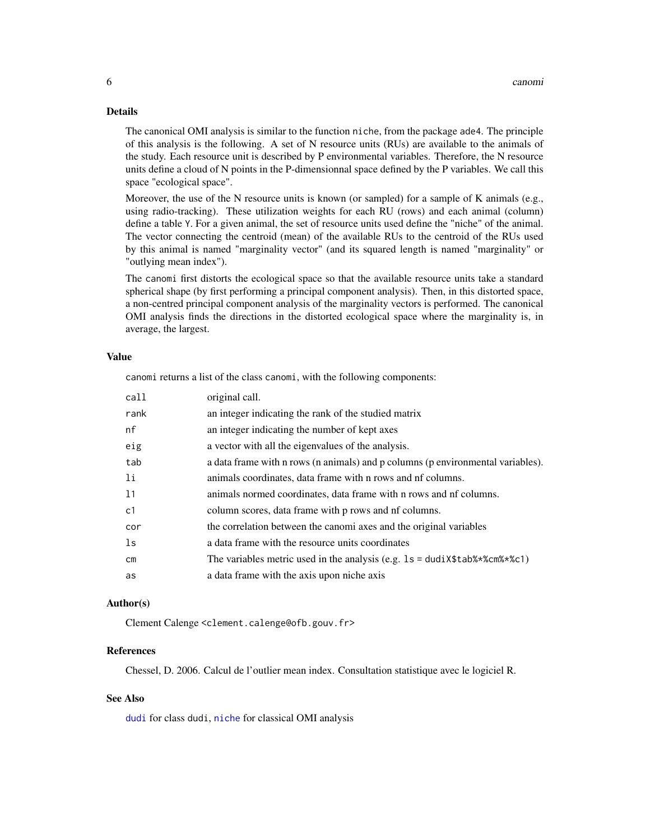#### <span id="page-5-0"></span>Details

The canonical OMI analysis is similar to the function niche, from the package ade4. The principle of this analysis is the following. A set of N resource units (RUs) are available to the animals of the study. Each resource unit is described by P environmental variables. Therefore, the N resource units define a cloud of N points in the P-dimensionnal space defined by the P variables. We call this space "ecological space".

Moreover, the use of the N resource units is known (or sampled) for a sample of K animals (e.g., using radio-tracking). These utilization weights for each RU (rows) and each animal (column) define a table Y. For a given animal, the set of resource units used define the "niche" of the animal. The vector connecting the centroid (mean) of the available RUs to the centroid of the RUs used by this animal is named "marginality vector" (and its squared length is named "marginality" or "outlying mean index").

The canomi first distorts the ecological space so that the available resource units take a standard spherical shape (by first performing a principal component analysis). Then, in this distorted space, a non-centred principal component analysis of the marginality vectors is performed. The canonical OMI analysis finds the directions in the distorted ecological space where the marginality is, in average, the largest.

## Value

canomi returns a list of the class canomi, with the following components:

| call           | original call.                                                                  |
|----------------|---------------------------------------------------------------------------------|
| rank           | an integer indicating the rank of the studied matrix                            |
| nf             | an integer indicating the number of kept axes                                   |
| eig            | a vector with all the eigenvalues of the analysis.                              |
| tab            | a data frame with n rows (n animals) and p columns (p environmental variables). |
| 1i             | animals coordinates, data frame with n rows and nf columns.                     |
| 11             | animals normed coordinates, data frame with n rows and nf columns.              |
| c <sub>1</sub> | column scores, data frame with p rows and nf columns.                           |
| cor            | the correlation between the canomi axes and the original variables              |
| ls             | a data frame with the resource units coordinates                                |
| <b>cm</b>      | The variables metric used in the analysis (e.g. $1s = dudix$ \$tab%*%cm%*%c1)   |
| as             | a data frame with the axis upon niche axis                                      |

#### Author(s)

Clement Calenge <clement.calenge@ofb.gouv.fr>

#### **References**

Chessel, D. 2006. Calcul de l'outlier mean index. Consultation statistique avec le logiciel R.

## See Also

[dudi](#page-0-0) for class dudi, [niche](#page-0-0) for classical OMI analysis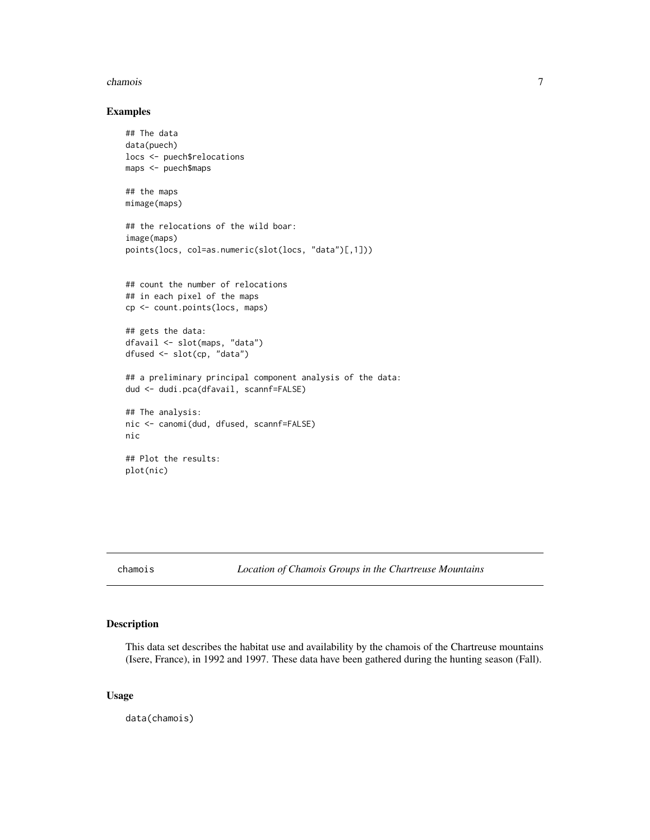#### <span id="page-6-0"></span>chamois 7

#### Examples

```
## The data
data(puech)
locs <- puech$relocations
maps <- puech$maps
## the maps
mimage(maps)
## the relocations of the wild boar:
image(maps)
points(locs, col=as.numeric(slot(locs, "data")[,1]))
## count the number of relocations
## in each pixel of the maps
cp <- count.points(locs, maps)
## gets the data:
dfavail <- slot(maps, "data")
dfused <- slot(cp, "data")
## a preliminary principal component analysis of the data:
dud <- dudi.pca(dfavail, scannf=FALSE)
## The analysis:
nic <- canomi(dud, dfused, scannf=FALSE)
nic
## Plot the results:
plot(nic)
```
chamois *Location of Chamois Groups in the Chartreuse Mountains*

## Description

This data set describes the habitat use and availability by the chamois of the Chartreuse mountains (Isere, France), in 1992 and 1997. These data have been gathered during the hunting season (Fall).

#### Usage

data(chamois)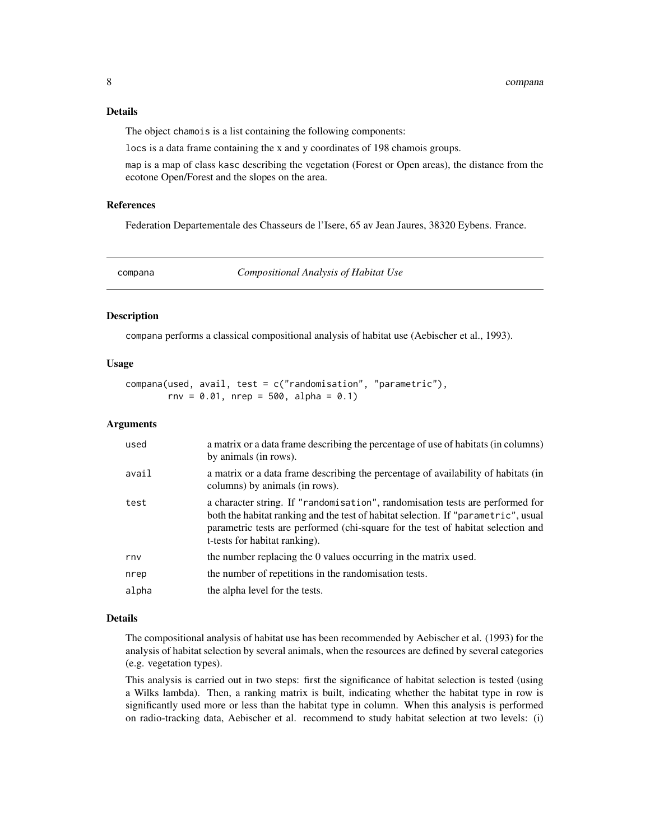## <span id="page-7-0"></span>Details

The object chamois is a list containing the following components:

locs is a data frame containing the x and y coordinates of 198 chamois groups.

map is a map of class kasc describing the vegetation (Forest or Open areas), the distance from the ecotone Open/Forest and the slopes on the area.

## References

Federation Departementale des Chasseurs de l'Isere, 65 av Jean Jaures, 38320 Eybens. France.

<span id="page-7-1"></span>compana *Compositional Analysis of Habitat Use*

#### Description

compana performs a classical compositional analysis of habitat use (Aebischer et al., 1993).

#### Usage

compana(used, avail, test = c("randomisation", "parametric"),  $rnv = 0.01$ ,  $nrep = 500$ ,  $alpha = 0.1$ 

#### Arguments

| used  | a matrix or a data frame describing the percentage of use of habitats (in columns)<br>by animals (in rows).                                                                                                                                                                              |
|-------|------------------------------------------------------------------------------------------------------------------------------------------------------------------------------------------------------------------------------------------------------------------------------------------|
| avail | a matrix or a data frame describing the percentage of availability of habitats (in<br>columns) by animals (in rows).                                                                                                                                                                     |
| test  | a character string. If "randomisation", randomisation tests are performed for<br>both the habitat ranking and the test of habitat selection. If "parametric", usual<br>parametric tests are performed (chi-square for the test of habitat selection and<br>t-tests for habitat ranking). |
| rny   | the number replacing the 0 values occurring in the matrix used.                                                                                                                                                                                                                          |
| nrep  | the number of repetitions in the randomisation tests.                                                                                                                                                                                                                                    |
| alpha | the alpha level for the tests.                                                                                                                                                                                                                                                           |

#### Details

The compositional analysis of habitat use has been recommended by Aebischer et al. (1993) for the analysis of habitat selection by several animals, when the resources are defined by several categories (e.g. vegetation types).

This analysis is carried out in two steps: first the significance of habitat selection is tested (using a Wilks lambda). Then, a ranking matrix is built, indicating whether the habitat type in row is significantly used more or less than the habitat type in column. When this analysis is performed on radio-tracking data, Aebischer et al. recommend to study habitat selection at two levels: (i)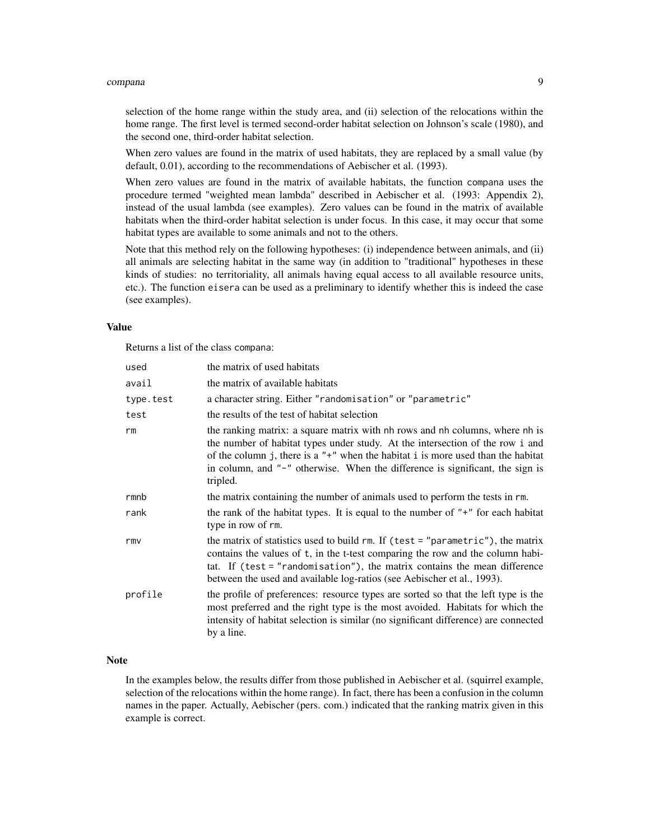#### compana 9

selection of the home range within the study area, and (ii) selection of the relocations within the home range. The first level is termed second-order habitat selection on Johnson's scale (1980), and the second one, third-order habitat selection.

When zero values are found in the matrix of used habitats, they are replaced by a small value (by default, 0.01), according to the recommendations of Aebischer et al. (1993).

When zero values are found in the matrix of available habitats, the function compana uses the procedure termed "weighted mean lambda" described in Aebischer et al. (1993: Appendix 2), instead of the usual lambda (see examples). Zero values can be found in the matrix of available habitats when the third-order habitat selection is under focus. In this case, it may occur that some habitat types are available to some animals and not to the others.

Note that this method rely on the following hypotheses: (i) independence between animals, and (ii) all animals are selecting habitat in the same way (in addition to "traditional" hypotheses in these kinds of studies: no territoriality, all animals having equal access to all available resource units, etc.). The function eisera can be used as a preliminary to identify whether this is indeed the case (see examples).

#### Value

Returns a list of the class compana:

| used      | the matrix of used habitats                                                                                                                                                                                                                                                                                                                        |
|-----------|----------------------------------------------------------------------------------------------------------------------------------------------------------------------------------------------------------------------------------------------------------------------------------------------------------------------------------------------------|
| avail     | the matrix of available habitats                                                                                                                                                                                                                                                                                                                   |
| type.test | a character string. Either "randomisation" or "parametric"                                                                                                                                                                                                                                                                                         |
| test      | the results of the test of habitat selection                                                                                                                                                                                                                                                                                                       |
| rm        | the ranking matrix: a square matrix with nh rows and nh columns, where nh is<br>the number of habitat types under study. At the intersection of the row i and<br>of the column j, there is a " $+$ " when the habitat i is more used than the habitat<br>in column, and "-" otherwise. When the difference is significant, the sign is<br>tripled. |
| rmnb      | the matrix containing the number of animals used to perform the tests in rm.                                                                                                                                                                                                                                                                       |
| rank      | the rank of the habitat types. It is equal to the number of $"+"$ for each habitat<br>type in row of rm.                                                                                                                                                                                                                                           |
| rmv       | the matrix of statistics used to build rm. If (test = "parametric"), the matrix<br>contains the values of t, in the t-test comparing the row and the column habi-<br>tat. If (test $=$ "randomisation"), the matrix contains the mean difference<br>between the used and available log-ratios (see Aebischer et al., 1993).                        |
| profile   | the profile of preferences: resource types are sorted so that the left type is the<br>most preferred and the right type is the most avoided. Habitats for which the<br>intensity of habitat selection is similar (no significant difference) are connected<br>by a line.                                                                           |

#### **Note**

In the examples below, the results differ from those published in Aebischer et al. (squirrel example, selection of the relocations within the home range). In fact, there has been a confusion in the column names in the paper. Actually, Aebischer (pers. com.) indicated that the ranking matrix given in this example is correct.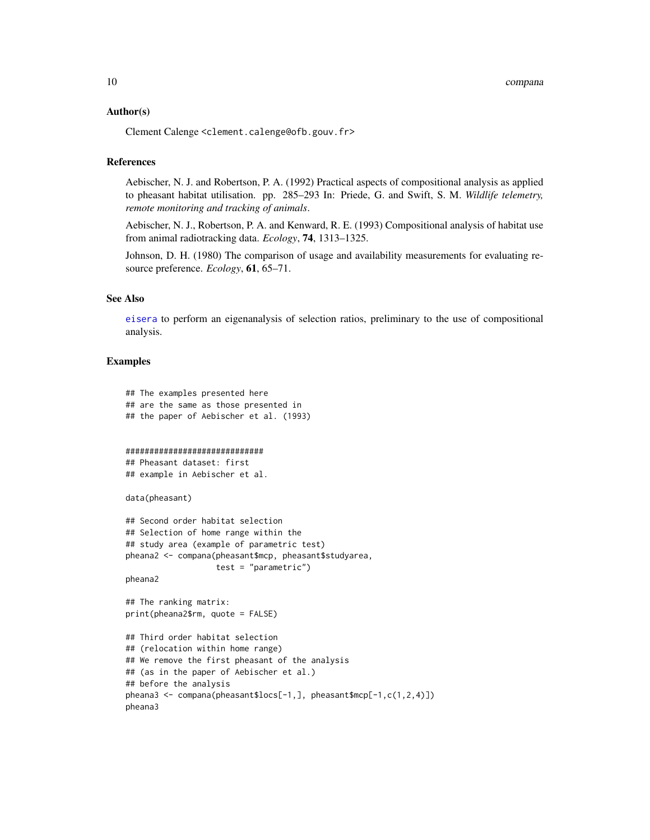#### <span id="page-9-0"></span>Author(s)

Clement Calenge <clement.calenge@ofb.gouv.fr>

#### References

Aebischer, N. J. and Robertson, P. A. (1992) Practical aspects of compositional analysis as applied to pheasant habitat utilisation. pp. 285–293 In: Priede, G. and Swift, S. M. *Wildlife telemetry, remote monitoring and tracking of animals*.

Aebischer, N. J., Robertson, P. A. and Kenward, R. E. (1993) Compositional analysis of habitat use from animal radiotracking data. *Ecology*, 74, 1313–1325.

Johnson, D. H. (1980) The comparison of usage and availability measurements for evaluating resource preference. *Ecology*, 61, 65–71.

#### See Also

[eisera](#page-15-1) to perform an eigenanalysis of selection ratios, preliminary to the use of compositional analysis.

## Examples

```
## The examples presented here
## are the same as those presented in
## the paper of Aebischer et al. (1993)
#############################
## Pheasant dataset: first
## example in Aebischer et al.
data(pheasant)
## Second order habitat selection
## Selection of home range within the
## study area (example of parametric test)
pheana2 <- compana(pheasant$mcp, pheasant$studyarea,
                   test = "parametric")
pheana2
## The ranking matrix:
print(pheana2$rm, quote = FALSE)
## Third order habitat selection
## (relocation within home range)
## We remove the first pheasant of the analysis
## (as in the paper of Aebischer et al.)
## before the analysis
pheana3 <- compana(pheasant$locs[-1,], pheasant$mcp[-1,c(1,2,4)])
pheana3
```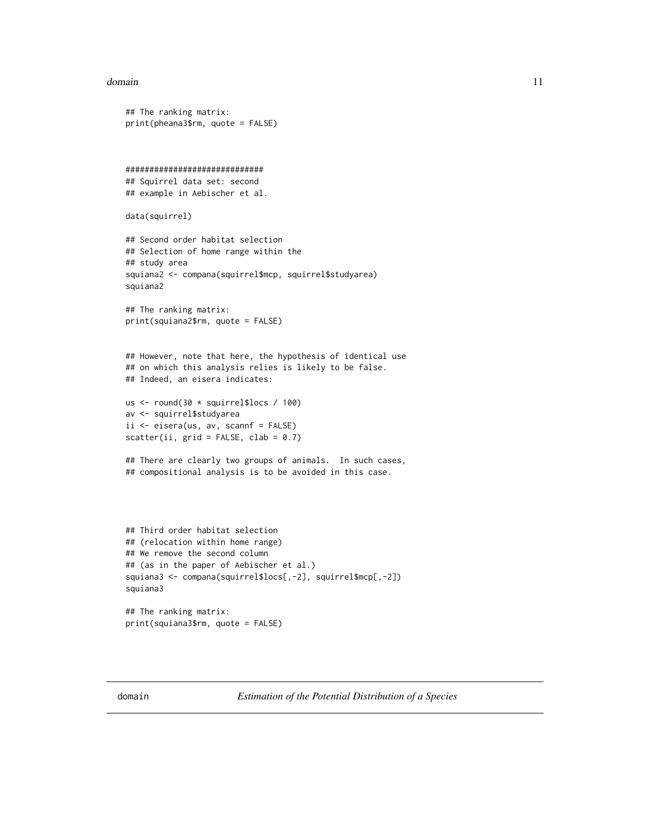#### <span id="page-10-0"></span>domain and the contract of the contract of the contract of the contract of the contract of the contract of the contract of the contract of the contract of the contract of the contract of the contract of the contract of the

```
## The ranking matrix:
print(pheana3$rm, quote = FALSE)
#############################
## Squirrel data set: second
## example in Aebischer et al.
data(squirrel)
## Second order habitat selection
## Selection of home range within the
## study area
squiana2 <- compana(squirrel$mcp, squirrel$studyarea)
squiana2
## The ranking matrix:
print(squiana2$rm, quote = FALSE)
## However, note that here, the hypothesis of identical use
## on which this analysis relies is likely to be false.
## Indeed, an eisera indicates:
us <- round(30 * squirrel$locs / 100)
av <- squirrel$studyarea
ii <- eisera(us, av, scannf = FALSE)
scatter(ii, grid = FALSE, clab = 0.7)## There are clearly two groups of animals. In such cases,
## compositional analysis is to be avoided in this case.
## Third order habitat selection
## (relocation within home range)
## We remove the second column
## (as in the paper of Aebischer et al.)
squiana3 <- compana(squirrel$locs[,-2], squirrel$mcp[,-2])
squiana3
```
## The ranking matrix: print(squiana3\$rm, quote = FALSE)

<span id="page-10-1"></span>domain *Estimation of the Potential Distribution of a Species*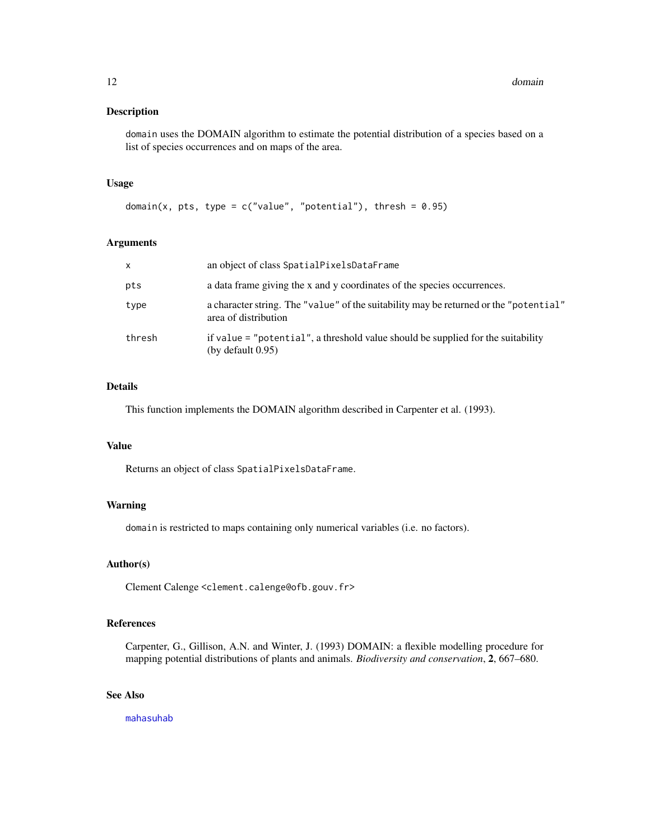## <span id="page-11-0"></span>Description

domain uses the DOMAIN algorithm to estimate the potential distribution of a species based on a list of species occurrences and on maps of the area.

#### Usage

```
domain(x, pts, type = c("value", "potential"), thresh = 0.95)
```
#### Arguments

| X      | an object of class SpatialPixelsDataFrame                                                                     |
|--------|---------------------------------------------------------------------------------------------------------------|
| pts    | a data frame giving the x and y coordinates of the species occurrences.                                       |
| type   | a character string. The "value" of the suitability may be returned or the "potential"<br>area of distribution |
| thresh | if value = "potential", a threshold value should be supplied for the suitability<br>(by default $0.95$ )      |

## Details

This function implements the DOMAIN algorithm described in Carpenter et al. (1993).

## Value

Returns an object of class SpatialPixelsDataFrame.

#### Warning

domain is restricted to maps containing only numerical variables (i.e. no factors).

#### Author(s)

Clement Calenge <clement.calenge@ofb.gouv.fr>

## References

Carpenter, G., Gillison, A.N. and Winter, J. (1993) DOMAIN: a flexible modelling procedure for mapping potential distributions of plants and animals. *Biodiversity and conservation*, 2, 667–680.

## See Also

[mahasuhab](#page-44-1)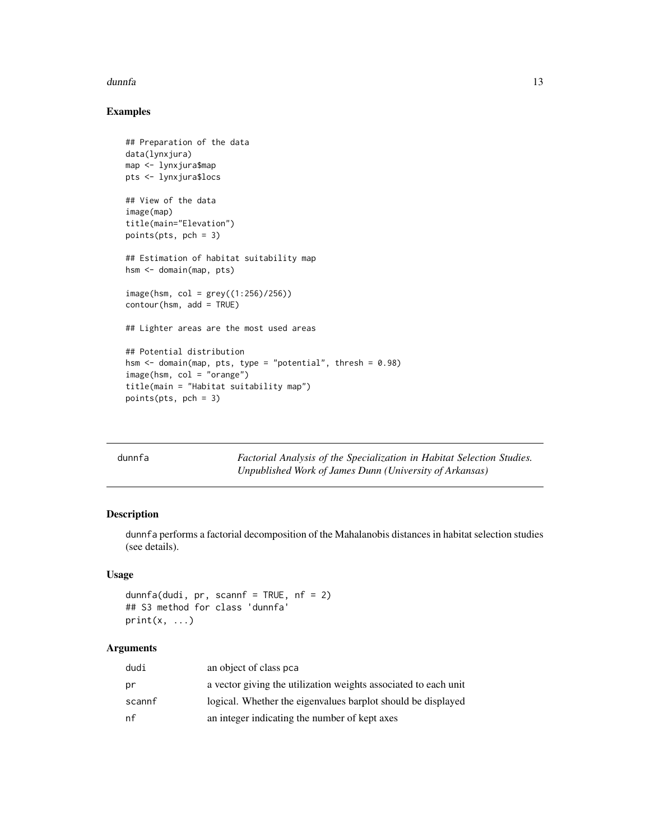#### <span id="page-12-0"></span>dunnfa anns an t-Italia anns an t-Italia anns an t-Italia anns an t-Italia anns an t-Italia anns an t-Italia a

## Examples

```
## Preparation of the data
data(lynxjura)
map <- lynxjura$map
pts <- lynxjura$locs
## View of the data
image(map)
title(main="Elevation")
points(pts, pch = 3)
## Estimation of habitat suitability map
hsm <- domain(map, pts)
image(hsm, col = grey((1:256)/256))
contour(hsm, add = TRUE)
## Lighter areas are the most used areas
## Potential distribution
hsm <- domain(map, pts, type = "potential", thresh = 0.98)
image(hsm, col = "orange")
title(main = "Habitat suitability map")
points(pts, pch = 3)
```
<span id="page-12-1"></span>

| dunnfa | Factorial Analysis of the Specialization in Habitat Selection Studies. |
|--------|------------------------------------------------------------------------|
|        | Unpublished Work of James Dunn (University of Arkansas)                |

## Description

dunnfa performs a factorial decomposition of the Mahalanobis distances in habitat selection studies (see details).

#### Usage

```
dunnfa(dudi, pr, scannf = TRUE, nf = 2)
## S3 method for class 'dunnfa'
print(x, \ldots)
```
## Arguments

| dudi   | an object of class pca                                          |
|--------|-----------------------------------------------------------------|
| pr     | a vector giving the utilization weights associated to each unit |
| scannf | logical. Whether the eigenvalues barplot should be displayed    |
| nf     | an integer indicating the number of kept axes                   |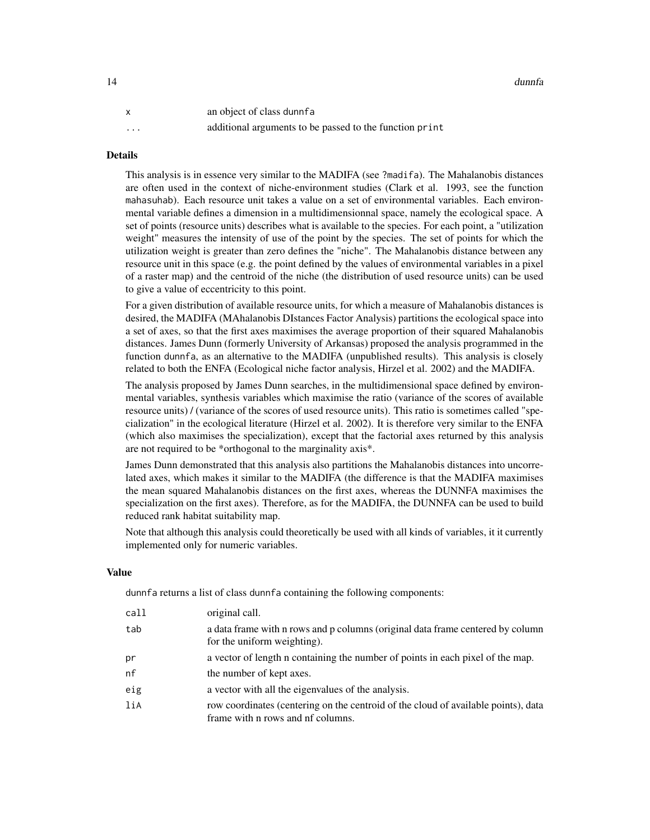| $\mathsf{x}$ | an object of class dunner                               |
|--------------|---------------------------------------------------------|
| $\cdots$     | additional arguments to be passed to the function print |

#### **Details**

This analysis is in essence very similar to the MADIFA (see ?madifa). The Mahalanobis distances are often used in the context of niche-environment studies (Clark et al. 1993, see the function mahasuhab). Each resource unit takes a value on a set of environmental variables. Each environmental variable defines a dimension in a multidimensionnal space, namely the ecological space. A set of points (resource units) describes what is available to the species. For each point, a "utilization weight" measures the intensity of use of the point by the species. The set of points for which the utilization weight is greater than zero defines the "niche". The Mahalanobis distance between any resource unit in this space (e.g. the point defined by the values of environmental variables in a pixel of a raster map) and the centroid of the niche (the distribution of used resource units) can be used to give a value of eccentricity to this point.

For a given distribution of available resource units, for which a measure of Mahalanobis distances is desired, the MADIFA (MAhalanobis DIstances Factor Analysis) partitions the ecological space into a set of axes, so that the first axes maximises the average proportion of their squared Mahalanobis distances. James Dunn (formerly University of Arkansas) proposed the analysis programmed in the function dunnfa, as an alternative to the MADIFA (unpublished results). This analysis is closely related to both the ENFA (Ecological niche factor analysis, Hirzel et al. 2002) and the MADIFA.

The analysis proposed by James Dunn searches, in the multidimensional space defined by environmental variables, synthesis variables which maximise the ratio (variance of the scores of available resource units) / (variance of the scores of used resource units). This ratio is sometimes called "specialization" in the ecological literature (Hirzel et al. 2002). It is therefore very similar to the ENFA (which also maximises the specialization), except that the factorial axes returned by this analysis are not required to be \*orthogonal to the marginality axis\*.

James Dunn demonstrated that this analysis also partitions the Mahalanobis distances into uncorrelated axes, which makes it similar to the MADIFA (the difference is that the MADIFA maximises the mean squared Mahalanobis distances on the first axes, whereas the DUNNFA maximises the specialization on the first axes). Therefore, as for the MADIFA, the DUNNFA can be used to build reduced rank habitat suitability map.

Note that although this analysis could theoretically be used with all kinds of variables, it it currently implemented only for numeric variables.

## Value

dunnfa returns a list of class dunnfa containing the following components:

| call | original call.                                                                                                          |
|------|-------------------------------------------------------------------------------------------------------------------------|
| tab  | a data frame with n rows and p columns (original data frame centered by column<br>for the uniform weighting).           |
| рr   | a vector of length n containing the number of points in each pixel of the map.                                          |
| nf   | the number of kept axes.                                                                                                |
| eig  | a vector with all the eigenvalues of the analysis.                                                                      |
| liA  | row coordinates (centering on the centroid of the cloud of available points), data<br>frame with n rows and nf columns. |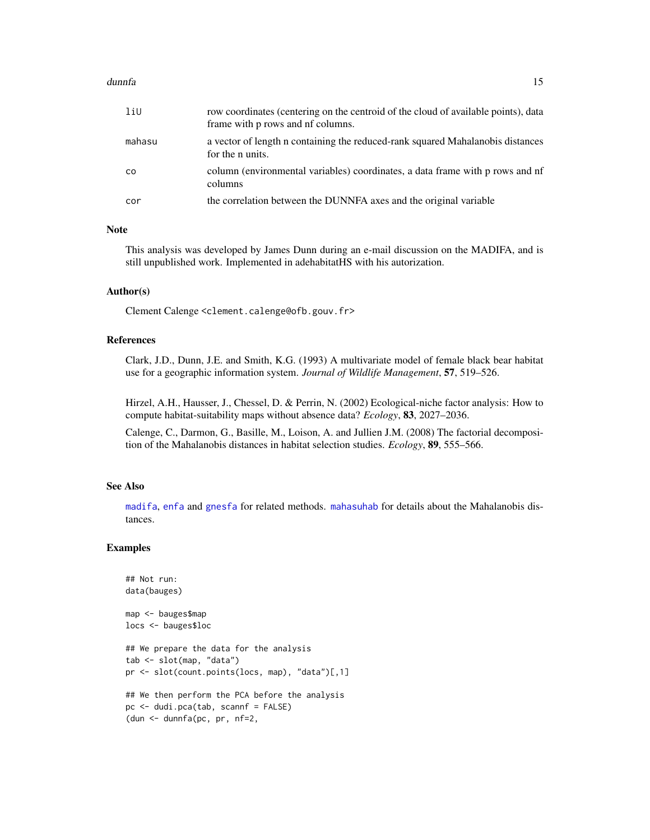#### <span id="page-14-0"></span>dunnfa anns an t-India anns an t-India anns an t-India anns an t-India anns an t-India anns an t-India anns an

| liU    | row coordinates (centering on the centroid of the cloud of available points), data<br>frame with p rows and nf columns. |
|--------|-------------------------------------------------------------------------------------------------------------------------|
| mahasu | a vector of length n containing the reduced-rank squared Mahalanobis distances<br>for the <i>n</i> units.               |
| CO     | column (environmental variables) coordinates, a data frame with p rows and nf<br>columns                                |
| cor    | the correlation between the DUNNFA axes and the original variable                                                       |

#### Note

This analysis was developed by James Dunn during an e-mail discussion on the MADIFA, and is still unpublished work. Implemented in adehabitatHS with his autorization.

#### Author(s)

Clement Calenge <clement.calenge@ofb.gouv.fr>

## References

Clark, J.D., Dunn, J.E. and Smith, K.G. (1993) A multivariate model of female black bear habitat use for a geographic information system. *Journal of Wildlife Management*, 57, 519–526.

Hirzel, A.H., Hausser, J., Chessel, D. & Perrin, N. (2002) Ecological-niche factor analysis: How to compute habitat-suitability maps without absence data? *Ecology*, 83, 2027–2036.

Calenge, C., Darmon, G., Basille, M., Loison, A. and Jullien J.M. (2008) The factorial decomposition of the Mahalanobis distances in habitat selection studies. *Ecology*, 89, 555–566.

#### See Also

[madifa](#page-38-1), [enfa](#page-18-1) and [gnesfa](#page-27-1) for related methods. [mahasuhab](#page-44-1) for details about the Mahalanobis distances.

#### Examples

```
## Not run:
data(bauges)
map <- bauges$map
locs <- bauges$loc
## We prepare the data for the analysis
tab <- slot(map, "data")
pr <- slot(count.points(locs, map), "data")[,1]
## We then perform the PCA before the analysis
pc <- dudi.pca(tab, scannf = FALSE)
(dun <- dunnfa(pc, pr, nf=2,
```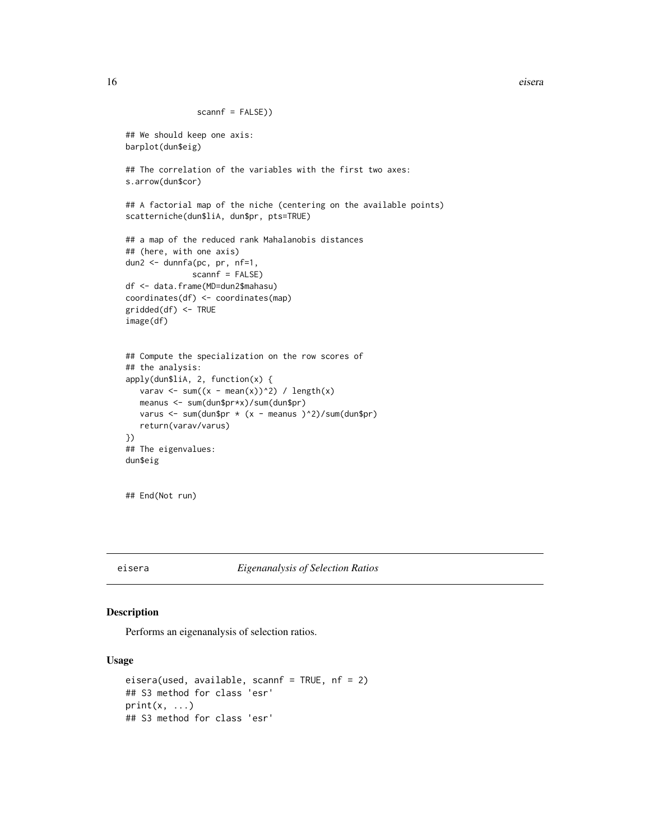<span id="page-15-0"></span>16 eisera

```
scannf = FALSE))
## We should keep one axis:
barplot(dun$eig)
## The correlation of the variables with the first two axes:
s.arrow(dun$cor)
## A factorial map of the niche (centering on the available points)
scatterniche(dun$liA, dun$pr, pts=TRUE)
## a map of the reduced rank Mahalanobis distances
## (here, with one axis)
dun2 <- dunnfa(pc, pr, nf=1,
              scannf = FALSE)
df <- data.frame(MD=dun2$mahasu)
coordinates(df) <- coordinates(map)
gridded(df) <- TRUE
image(df)
## Compute the specialization on the row scores of
## the analysis:
apply(dun$liA, 2, function(x) {
  varav <- sum((x - mean(x))^2) / length(x)
   meanus <- sum(dun$pr*x)/sum(dun$pr)
   varus <- sum(dun$pr * (x - meanus )^2)/sum(dun$pr)
   return(varav/varus)
})
## The eigenvalues:
dun$eig
```

```
## End(Not run)
```
<span id="page-15-1"></span>eisera *Eigenanalysis of Selection Ratios*

## Description

Performs an eigenanalysis of selection ratios.

## Usage

```
eisera(used, available, scannf = TRUE, nf = 2)
## S3 method for class 'esr'
print(x, \ldots)## S3 method for class 'esr'
```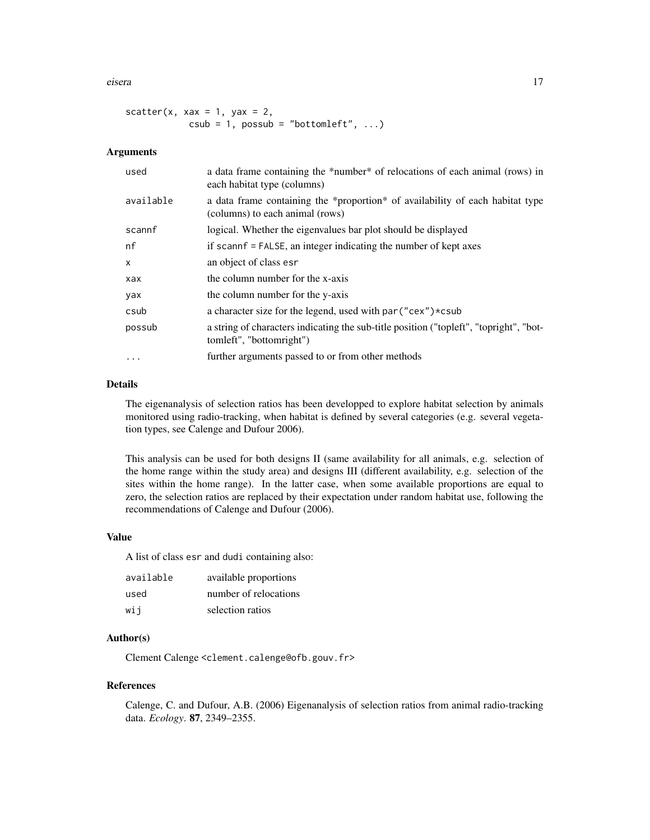eisera **17** 

```
scatter(x, xax = 1, yax = 2,
           csub = 1, possub = "bottomleft", ...
```
## Arguments

| used      | a data frame containing the *number* of relocations of each animal (rows) in<br>each habitat type (columns)        |
|-----------|--------------------------------------------------------------------------------------------------------------------|
| available | a data frame containing the *proportion* of availability of each habitat type<br>(columns) to each animal (rows)   |
| scannf    | logical. Whether the eigenvalues bar plot should be displayed                                                      |
| nf        | if scannf = FALSE, an integer indicating the number of kept axes                                                   |
| X         | an object of class esr                                                                                             |
| xax       | the column number for the x-axis                                                                                   |
| yax       | the column number for the y-axis                                                                                   |
| csub      | a character size for the legend, used with par ("cex") *csub                                                       |
| possub    | a string of characters indicating the sub-title position ("topleft", "topright", "bot-<br>tomleft", "bottomright") |
| $\cdots$  | further arguments passed to or from other methods                                                                  |

## Details

The eigenanalysis of selection ratios has been developped to explore habitat selection by animals monitored using radio-tracking, when habitat is defined by several categories (e.g. several vegetation types, see Calenge and Dufour 2006).

This analysis can be used for both designs II (same availability for all animals, e.g. selection of the home range within the study area) and designs III (different availability, e.g. selection of the sites within the home range). In the latter case, when some available proportions are equal to zero, the selection ratios are replaced by their expectation under random habitat use, following the recommendations of Calenge and Dufour (2006).

#### Value

A list of class esr and dudi containing also:

| available | available proportions |
|-----------|-----------------------|
| used      | number of relocations |
| wij       | selection ratios      |

## Author(s)

Clement Calenge <clement.calenge@ofb.gouv.fr>

#### References

Calenge, C. and Dufour, A.B. (2006) Eigenanalysis of selection ratios from animal radio-tracking data. *Ecology*. 87, 2349–2355.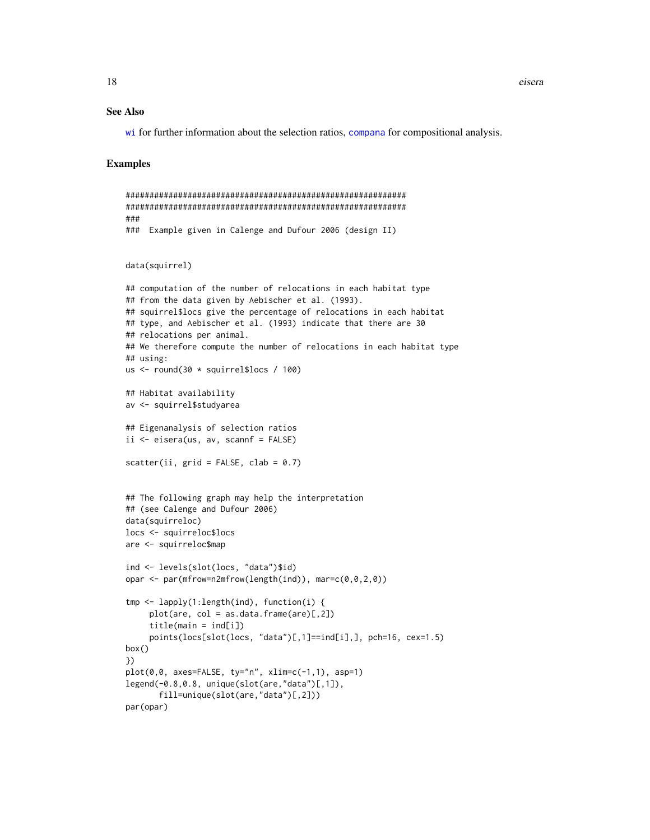<span id="page-17-0"></span>18 eisera

#### See Also

[wi](#page-60-1) for further information about the selection ratios, [compana](#page-7-1) for compositional analysis.

### Examples

```
###########################################################
###########################################################
###
### Example given in Calenge and Dufour 2006 (design II)
data(squirrel)
## computation of the number of relocations in each habitat type
## from the data given by Aebischer et al. (1993).
## squirrel$locs give the percentage of relocations in each habitat
## type, and Aebischer et al. (1993) indicate that there are 30
## relocations per animal.
## We therefore compute the number of relocations in each habitat type
## using:
us <- round(30 * squirrel$locs / 100)
## Habitat availability
av <- squirrel$studyarea
## Eigenanalysis of selection ratios
ii \leq eisera(us, av, scannf = FALSE)
scatter(ii, grid = FALSE, clab = 0.7)## The following graph may help the interpretation
## (see Calenge and Dufour 2006)
data(squirreloc)
locs <- squirreloc$locs
are <- squirreloc$map
ind <- levels(slot(locs, "data")$id)
opar \leq par(mfrow=n2mfrow(length(ind)), mar=c(0,0,2,0))
tmp <- lapply(1:length(ind), function(i) {
     plot(are, col = as.data.frame(are)[,2])
     title(main = ind[i])
     points(locs[slot(locs, "data")[,1]==ind[i],], pch=16, cex=1.5)
box()
})
plot(0,0, axes=FALSE, ty="n", xlim=c(-1,1), asp=1)
legend(-0.8,0.8, unique(slot(are,"data")[,1]),
       fill=unique(slot(are,"data")[,2]))
par(opar)
```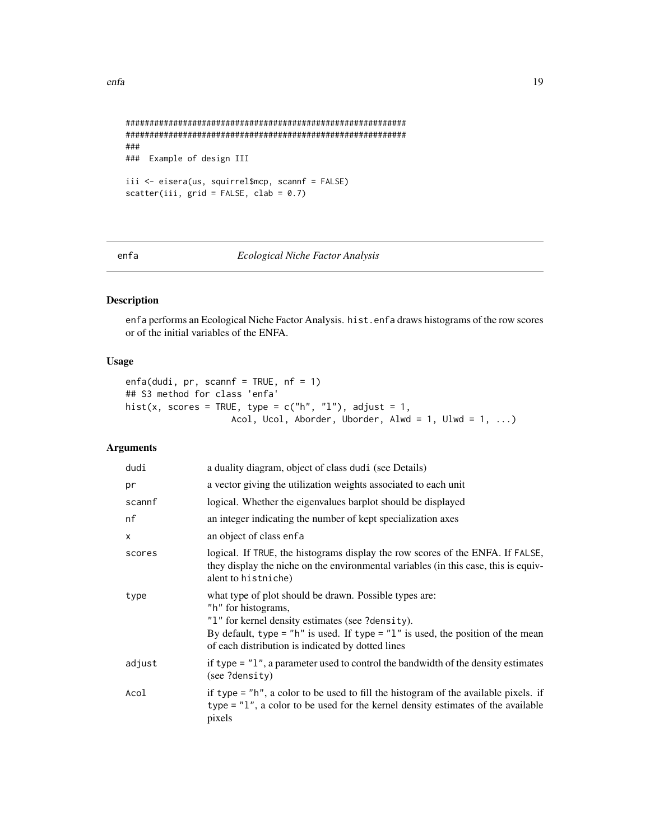```
###########################################################
###########################################################
###
### Example of design III
iii <- eisera(us, squirrel$mcp, scannf = FALSE)
scatter(iii, grid = FALSE, clab = 0.7)
```
<span id="page-18-1"></span>

#### enfa *Ecological Niche Factor Analysis*

## Description

enfa performs an Ecological Niche Factor Analysis. hist.enfa draws histograms of the row scores or of the initial variables of the ENFA.

## Usage

```
enfa(dudi, pr, scannf = TRUE, nf = 1)
## S3 method for class 'enfa'
hist(x, scores = TRUE, type = c("h", "l"), adjust = 1,
                    Acol, Ucol, Aborder, Uborder, Alwd = 1, Ulwd = 1, ...)
```
## Arguments

| dudi   | a duality diagram, object of class dudi (see Details)                                                                                                                                                                                                                     |
|--------|---------------------------------------------------------------------------------------------------------------------------------------------------------------------------------------------------------------------------------------------------------------------------|
| pr     | a vector giving the utilization weights associated to each unit                                                                                                                                                                                                           |
| scannf | logical. Whether the eigenvalues barplot should be displayed                                                                                                                                                                                                              |
| nf     | an integer indicating the number of kept specialization axes                                                                                                                                                                                                              |
| X      | an object of class enfa                                                                                                                                                                                                                                                   |
| scores | logical. If TRUE, the histograms display the row scores of the ENFA. If FALSE,<br>they display the niche on the environmental variables (in this case, this is equiv-<br>alent to histniche)                                                                              |
| type   | what type of plot should be drawn. Possible types are:<br>"h" for histograms,<br>"1" for kernel density estimates (see ?density).<br>By default, type = "h" is used. If type = "l" is used, the position of the mean<br>of each distribution is indicated by dotted lines |
| adjust | if type $=$ "1", a parameter used to control the bandwidth of the density estimates<br>(see ?density)                                                                                                                                                                     |
| Acol   | if type = "h", a color to be used to fill the histogram of the available pixels. if<br>type $=$ "1", a color to be used for the kernel density estimates of the available<br>pixels                                                                                       |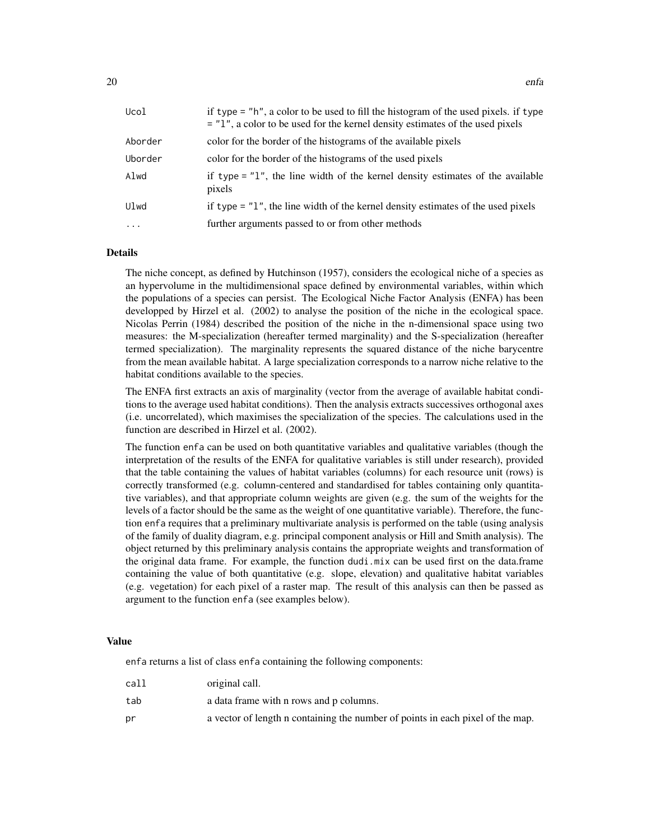| Ucol     | if type = "h", a color to be used to fill the histogram of the used pixels. if type<br>$=$ "1", a color to be used for the kernel density estimates of the used pixels |
|----------|------------------------------------------------------------------------------------------------------------------------------------------------------------------------|
| Aborder  | color for the border of the histograms of the available pixels                                                                                                         |
| Uborder  | color for the border of the histograms of the used pixels                                                                                                              |
| Alwd     | if type $=$ "1", the line width of the kernel density estimates of the available<br>pixels                                                                             |
| Ulwd     | if type $=$ "1", the line width of the kernel density estimates of the used pixels                                                                                     |
| $\cdots$ | further arguments passed to or from other methods                                                                                                                      |

## Details

The niche concept, as defined by Hutchinson (1957), considers the ecological niche of a species as an hypervolume in the multidimensional space defined by environmental variables, within which the populations of a species can persist. The Ecological Niche Factor Analysis (ENFA) has been developped by Hirzel et al. (2002) to analyse the position of the niche in the ecological space. Nicolas Perrin (1984) described the position of the niche in the n-dimensional space using two measures: the M-specialization (hereafter termed marginality) and the S-specialization (hereafter termed specialization). The marginality represents the squared distance of the niche barycentre from the mean available habitat. A large specialization corresponds to a narrow niche relative to the habitat conditions available to the species.

The ENFA first extracts an axis of marginality (vector from the average of available habitat conditions to the average used habitat conditions). Then the analysis extracts successives orthogonal axes (i.e. uncorrelated), which maximises the specialization of the species. The calculations used in the function are described in Hirzel et al. (2002).

The function enfa can be used on both quantitative variables and qualitative variables (though the interpretation of the results of the ENFA for qualitative variables is still under research), provided that the table containing the values of habitat variables (columns) for each resource unit (rows) is correctly transformed (e.g. column-centered and standardised for tables containing only quantitative variables), and that appropriate column weights are given (e.g. the sum of the weights for the levels of a factor should be the same as the weight of one quantitative variable). Therefore, the function enfa requires that a preliminary multivariate analysis is performed on the table (using analysis of the family of duality diagram, e.g. principal component analysis or Hill and Smith analysis). The object returned by this preliminary analysis contains the appropriate weights and transformation of the original data frame. For example, the function dudi.mix can be used first on the data.frame containing the value of both quantitative (e.g. slope, elevation) and qualitative habitat variables (e.g. vegetation) for each pixel of a raster map. The result of this analysis can then be passed as argument to the function enfa (see examples below).

#### Value

enfa returns a list of class enfa containing the following components:

| call | original call.                                                                 |
|------|--------------------------------------------------------------------------------|
| tab  | a data frame with n rows and p columns.                                        |
| рr   | a vector of length n containing the number of points in each pixel of the map. |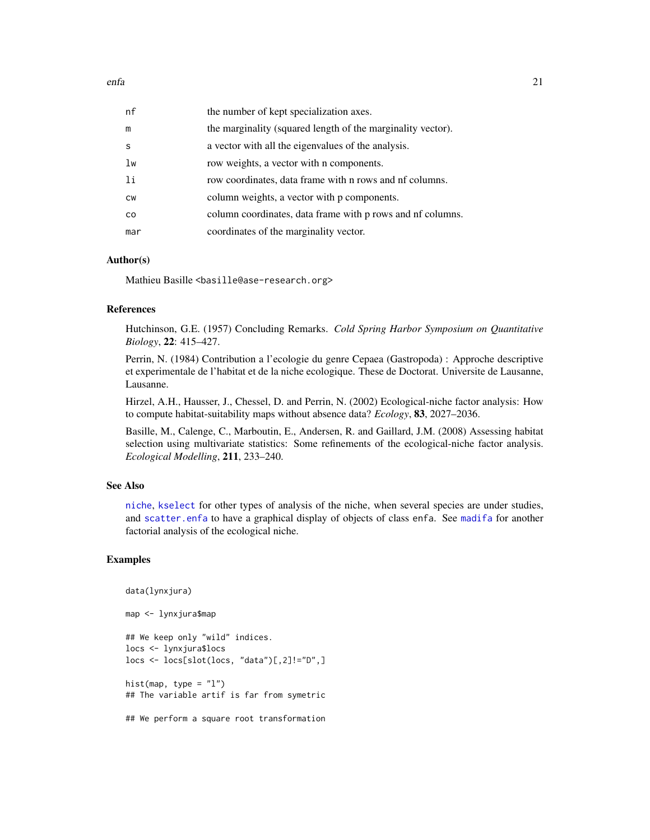<span id="page-20-0"></span>

| nf             | the number of kept specialization axes.                     |
|----------------|-------------------------------------------------------------|
| m              | the marginality (squared length of the marginality vector). |
| S              | a vector with all the eigenvalues of the analysis.          |
| lw             | row weights, a vector with n components.                    |
| <sup>1</sup> i | row coordinates, data frame with n rows and nf columns.     |
| <b>CW</b>      | column weights, a vector with p components.                 |
| <b>CO</b>      | column coordinates, data frame with p rows and nf columns.  |
| mar            | coordinates of the marginality vector.                      |

#### Author(s)

Mathieu Basille <br/>basille@ase-research.org>

## References

Hutchinson, G.E. (1957) Concluding Remarks. *Cold Spring Harbor Symposium on Quantitative Biology*, 22: 415–427.

Perrin, N. (1984) Contribution a l'ecologie du genre Cepaea (Gastropoda) : Approche descriptive et experimentale de l'habitat et de la niche ecologique. These de Doctorat. Universite de Lausanne, Lausanne.

Hirzel, A.H., Hausser, J., Chessel, D. and Perrin, N. (2002) Ecological-niche factor analysis: How to compute habitat-suitability maps without absence data? *Ecology*, 83, 2027–2036.

Basille, M., Calenge, C., Marboutin, E., Andersen, R. and Gaillard, J.M. (2008) Assessing habitat selection using multivariate statistics: Some refinements of the ecological-niche factor analysis. *Ecological Modelling*, 211, 233–240.

## See Also

[niche](#page-0-0), [kselect](#page-35-1) for other types of analysis of the niche, when several species are under studies, and [scatter.enfa](#page-54-1) to have a graphical display of objects of class enfa. See [madifa](#page-38-1) for another factorial analysis of the ecological niche.

#### Examples

data(lynxjura) map <- lynxjura\$map ## We keep only "wild" indices. locs <- lynxjura\$locs locs <- locs[slot(locs, "data")[,2]!="D",] hist(map, type =  $"1"$ ) ## The variable artif is far from symetric ## We perform a square root transformation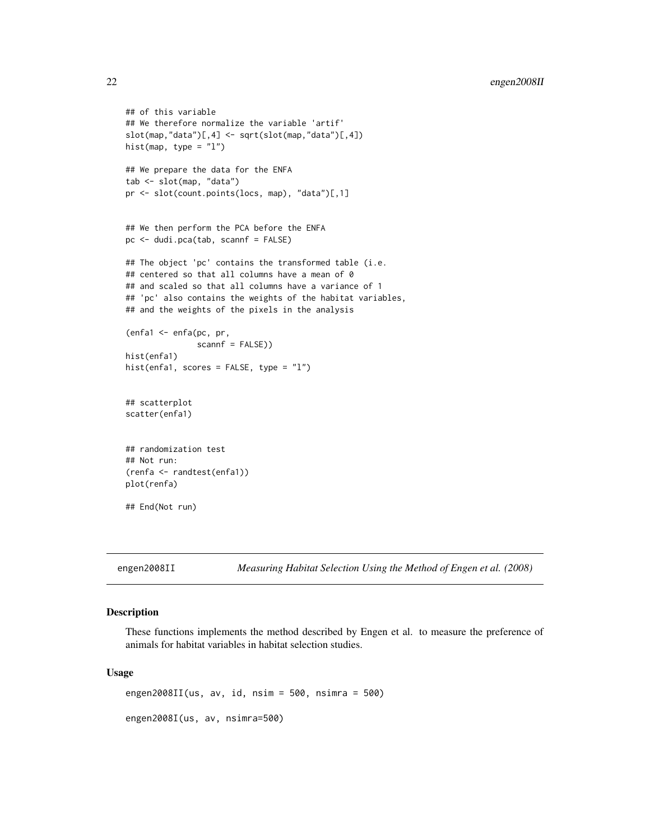```
## of this variable
## We therefore normalize the variable 'artif'
slot(map,"data")[,4] <- sqrt(slot(map,"data")[,4])
hist(map, type = "1")
## We prepare the data for the ENFA
tab <- slot(map, "data")
pr <- slot(count.points(locs, map), "data")[,1]
## We then perform the PCA before the ENFA
pc <- dudi.pca(tab, scannf = FALSE)
## The object 'pc' contains the transformed table (i.e.
## centered so that all columns have a mean of 0
## and scaled so that all columns have a variance of 1
## 'pc' also contains the weights of the habitat variables,
## and the weights of the pixels in the analysis
(enfa1 <- enfa(pc, pr,
               scannf = FALSE))
hist(enfa1)
hist(enfa1, scores = FALSE, type = "l")
## scatterplot
scatter(enfa1)
## randomization test
## Not run:
(renfa <- randtest(enfa1))
plot(renfa)
## End(Not run)
```
engen2008II *Measuring Habitat Selection Using the Method of Engen et al. (2008)*

## Description

These functions implements the method described by Engen et al. to measure the preference of animals for habitat variables in habitat selection studies.

#### Usage

engen2008II(us, av, id, nsim = 500, nsimra = 500) engen2008I(us, av, nsimra=500)

<span id="page-21-0"></span>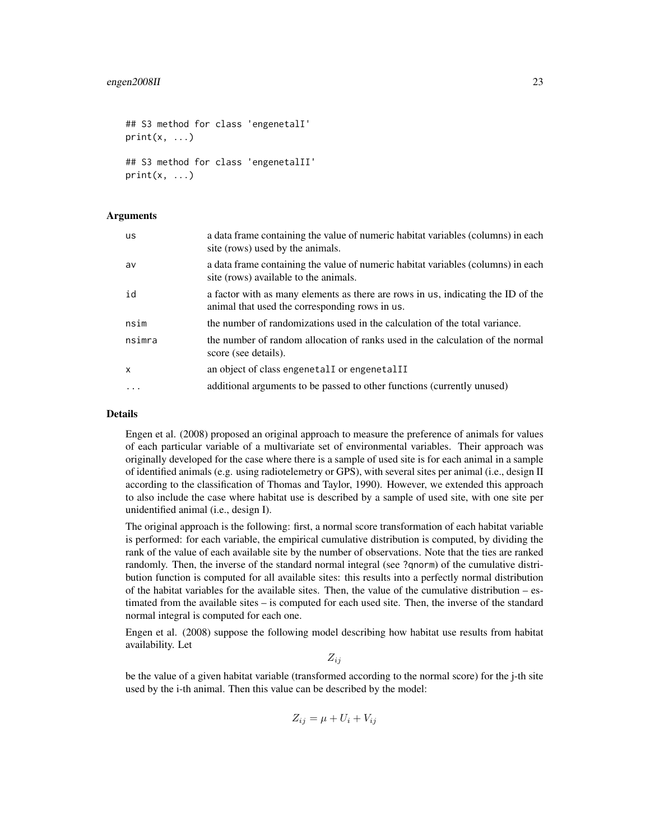```
## S3 method for class 'engenetalI'
print(x, \ldots)## S3 method for class 'engenetalII'
print(x, \ldots)
```
#### Arguments

| <b>us</b>    | a data frame containing the value of numeric habitat variables (columns) in each<br>site (rows) used by the animals.               |
|--------------|------------------------------------------------------------------------------------------------------------------------------------|
| av           | a data frame containing the value of numeric habitat variables (columns) in each<br>site (rows) available to the animals.          |
| id           | a factor with as many elements as there are rows in us, indicating the ID of the<br>animal that used the corresponding rows in us. |
| nsim         | the number of randomizations used in the calculation of the total variance.                                                        |
| nsimra       | the number of random allocation of ranks used in the calculation of the normal<br>score (see details).                             |
| $\mathsf{x}$ | an object of class engenetal I or engenetal II                                                                                     |
| .            | additional arguments to be passed to other functions (currently unused)                                                            |

#### Details

Engen et al. (2008) proposed an original approach to measure the preference of animals for values of each particular variable of a multivariate set of environmental variables. Their approach was originally developed for the case where there is a sample of used site is for each animal in a sample of identified animals (e.g. using radiotelemetry or GPS), with several sites per animal (i.e., design II according to the classification of Thomas and Taylor, 1990). However, we extended this approach to also include the case where habitat use is described by a sample of used site, with one site per unidentified animal (i.e., design I).

The original approach is the following: first, a normal score transformation of each habitat variable is performed: for each variable, the empirical cumulative distribution is computed, by dividing the rank of the value of each available site by the number of observations. Note that the ties are ranked randomly. Then, the inverse of the standard normal integral (see ?qnorm) of the cumulative distribution function is computed for all available sites: this results into a perfectly normal distribution of the habitat variables for the available sites. Then, the value of the cumulative distribution  $-$  estimated from the available sites – is computed for each used site. Then, the inverse of the standard normal integral is computed for each one.

Engen et al. (2008) suppose the following model describing how habitat use results from habitat availability. Let

 $Z_{ii}$ 

be the value of a given habitat variable (transformed according to the normal score) for the j-th site used by the i-th animal. Then this value can be described by the model:

$$
Z_{ij} = \mu + U_i + V_{ij}
$$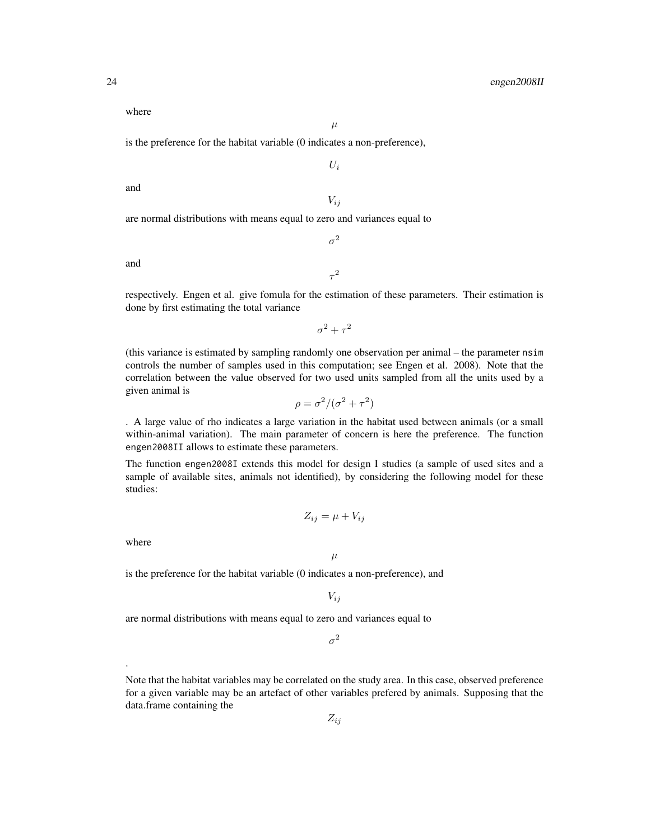where

 $\mu$ 

 $U_i$ 

is the preference for the habitat variable (0 indicates a non-preference),

and

 $V_{ii}$ 

 $\sigma^2$ 

are normal distributions with means equal to zero and variances equal to

and

respectively. Engen et al. give fomula for the estimation of these parameters. Their estimation is done by first estimating the total variance

 $\tau^2$ 

 $\sigma^2 + \tau^2$ 

(this variance is estimated by sampling randomly one observation per animal – the parameter nsim controls the number of samples used in this computation; see Engen et al. 2008). Note that the correlation between the value observed for two used units sampled from all the units used by a given animal is

$$
\rho = \sigma^2 / (\sigma^2 + \tau^2)
$$

. A large value of rho indicates a large variation in the habitat used between animals (or a small within-animal variation). The main parameter of concern is here the preference. The function engen2008II allows to estimate these parameters.

The function engen2008I extends this model for design I studies (a sample of used sites and a sample of available sites, animals not identified), by considering the following model for these studies:

$$
Z_{ij} = \mu + V_{ij}
$$

 $\mu$ 

where

.

is the preference for the habitat variable (0 indicates a non-preference), and

 $V_{ij}$ 

are normal distributions with means equal to zero and variances equal to

 $\sigma^2$ 

Note that the habitat variables may be correlated on the study area. In this case, observed preference for a given variable may be an artefact of other variables prefered by animals. Supposing that the data.frame containing the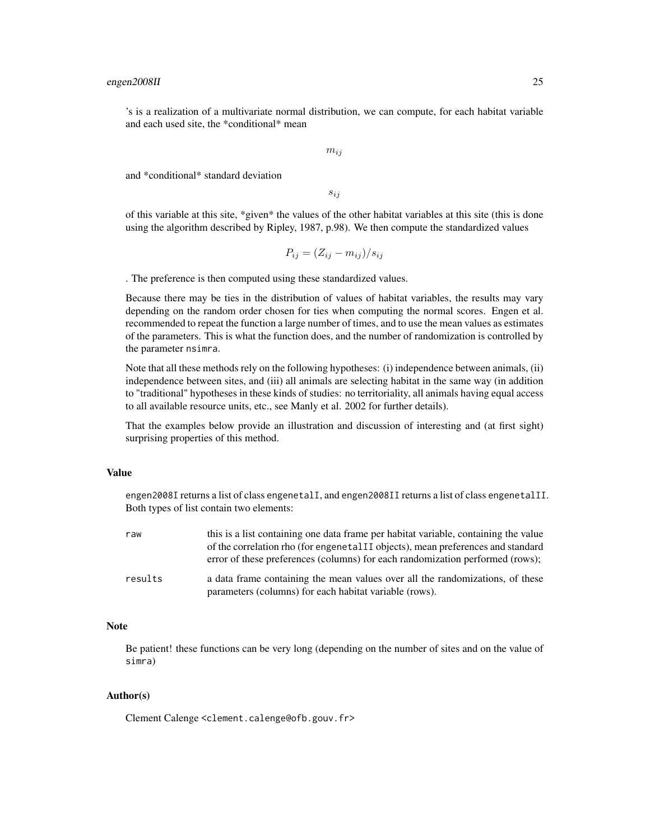's is a realization of a multivariate normal distribution, we can compute, for each habitat variable and each used site, the \*conditional\* mean

 $m_{ij}$ 

and \*conditional\* standard deviation

sij

of this variable at this site, \*given\* the values of the other habitat variables at this site (this is done using the algorithm described by Ripley, 1987, p.98). We then compute the standardized values

$$
P_{ij} = (Z_{ij} - m_{ij})/s_{ij}
$$

. The preference is then computed using these standardized values.

Because there may be ties in the distribution of values of habitat variables, the results may vary depending on the random order chosen for ties when computing the normal scores. Engen et al. recommended to repeat the function a large number of times, and to use the mean values as estimates of the parameters. This is what the function does, and the number of randomization is controlled by the parameter nsimra.

Note that all these methods rely on the following hypotheses: (i) independence between animals, (ii) independence between sites, and (iii) all animals are selecting habitat in the same way (in addition to "traditional" hypotheses in these kinds of studies: no territoriality, all animals having equal access to all available resource units, etc., see Manly et al. 2002 for further details).

That the examples below provide an illustration and discussion of interesting and (at first sight) surprising properties of this method.

#### Value

engen2008I returns a list of class engenetalI, and engen2008II returns a list of class engenetalII. Both types of list contain two elements:

| raw     | this is a list containing one data frame per habitat variable, containing the value<br>of the correlation rho (for engenetal II objects), mean preferences and standard<br>error of these preferences (columns) for each randomization performed (rows); |
|---------|----------------------------------------------------------------------------------------------------------------------------------------------------------------------------------------------------------------------------------------------------------|
| results | a data frame containing the mean values over all the randomizations, of these<br>parameters (columns) for each habitat variable (rows).                                                                                                                  |

#### Note

Be patient! these functions can be very long (depending on the number of sites and on the value of simra)

## Author(s)

Clement Calenge <clement.calenge@ofb.gouv.fr>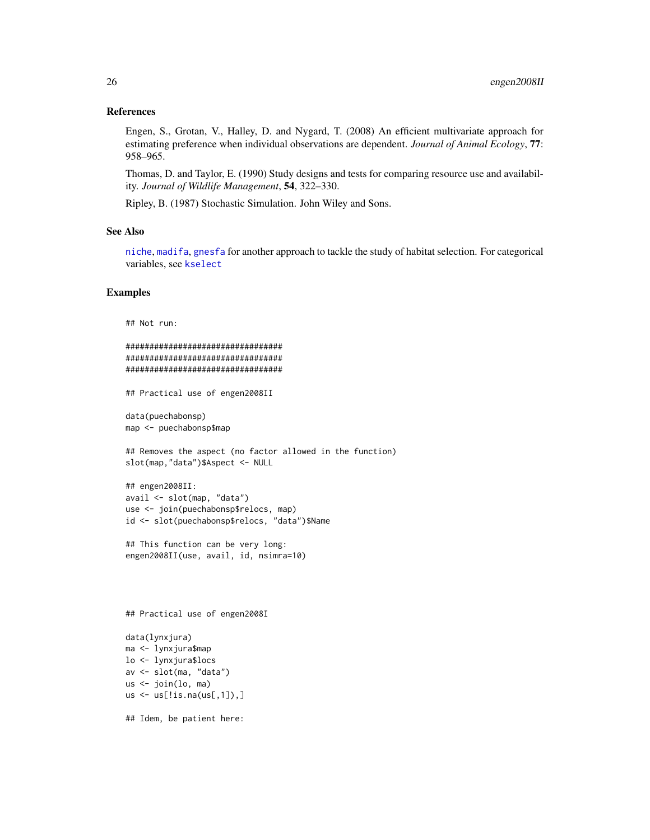#### <span id="page-25-0"></span>References

Engen, S., Grotan, V., Halley, D. and Nygard, T. (2008) An efficient multivariate approach for estimating preference when individual observations are dependent. *Journal of Animal Ecology*, 77: 958–965.

Thomas, D. and Taylor, E. (1990) Study designs and tests for comparing resource use and availability. *Journal of Wildlife Management*, 54, 322–330.

Ripley, B. (1987) Stochastic Simulation. John Wiley and Sons.

## See Also

[niche](#page-0-0), [madifa](#page-38-1), [gnesfa](#page-27-1) for another approach to tackle the study of habitat selection. For categorical variables, see [kselect](#page-35-1)

## Examples

```
## Not run:
```

```
#################################
#################################
#################################
```
## Practical use of engen2008II

data(puechabonsp) map <- puechabonsp\$map

## Removes the aspect (no factor allowed in the function) slot(map,"data")\$Aspect <- NULL

```
## engen2008II:
avail <- slot(map, "data")
use <- join(puechabonsp$relocs, map)
id <- slot(puechabonsp$relocs, "data")$Name
```

```
## This function can be very long:
engen2008II(use, avail, id, nsimra=10)
```
## Practical use of engen2008I

```
data(lynxjura)
ma <- lynxjura$map
lo <- lynxjura$locs
av <- slot(ma, "data")
us <- join(lo, ma)
us \leq us[!is.na(us[,1]),]
```
## Idem, be patient here: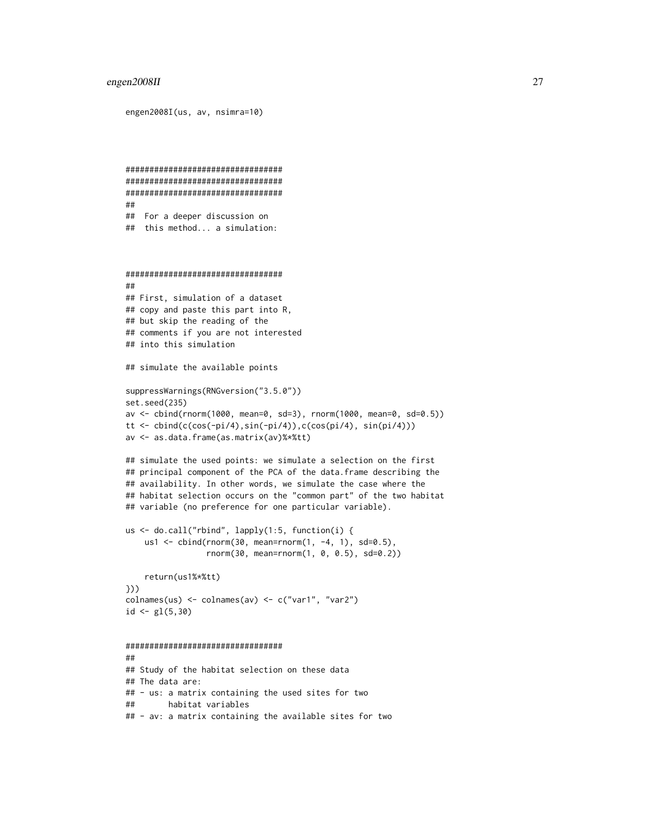#### engen2008II 27

engen2008I(us, av, nsimra=10)

```
#################################
#################################
#################################
##
## For a deeper discussion on
## this method... a simulation:
#################################
##
## First, simulation of a dataset
## copy and paste this part into R,
## but skip the reading of the
## comments if you are not interested
## into this simulation
## simulate the available points
suppressWarnings(RNGversion("3.5.0"))
set.seed(235)
av <- cbind(rnorm(1000, mean=0, sd=3), rnorm(1000, mean=0, sd=0.5))
tt \leftarrow cbind(c(cos(-pi/4),sin(-pi/4)),c(cos(pi/4), sin(pi/4)))
av <- as.data.frame(as.matrix(av)%*%tt)
## simulate the used points: we simulate a selection on the first
## principal component of the PCA of the data.frame describing the
## availability. In other words, we simulate the case where the
## habitat selection occurs on the "common part" of the two habitat
## variable (no preference for one particular variable).
us <- do.call("rbind", lapply(1:5, function(i) {
    us1 <- cbind(rnorm(30, mean=rnorm(1, -4, 1), sd=0.5),
                 rnorm(30, mean=rnorm(1, 0, 0.5), sd=0.2))
    return(us1%*%tt)
}))
colnames(us) <- colnames(av) <- c("var1", "var2")
id \leftarrow gl(5,30)#################################
##
## Study of the habitat selection on these data
## The data are:
## - us: a matrix containing the used sites for two
## habitat variables
## - av: a matrix containing the available sites for two
```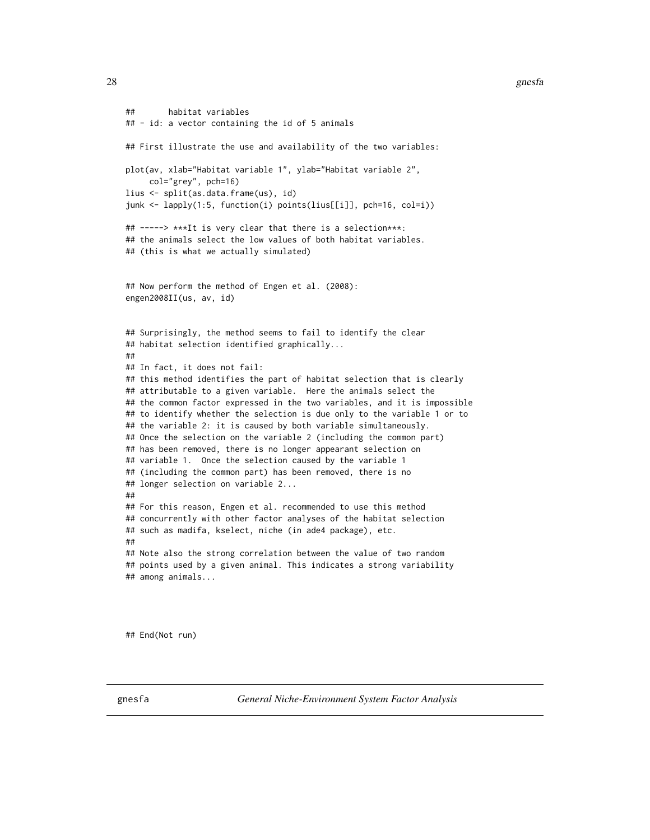```
## habitat variables
## - id: a vector containing the id of 5 animals
## First illustrate the use and availability of the two variables:
plot(av, xlab="Habitat variable 1", ylab="Habitat variable 2",
     col="grey", pch=16)
lius <- split(as.data.frame(us), id)
junk <- lapply(1:5, function(i) points(lius[[i]], pch=16, col=i))
## -----> ***It is very clear that there is a selection***:
## the animals select the low values of both habitat variables.
## (this is what we actually simulated)
## Now perform the method of Engen et al. (2008):
engen2008II(us, av, id)
## Surprisingly, the method seems to fail to identify the clear
## habitat selection identified graphically...
##
## In fact, it does not fail:
## this method identifies the part of habitat selection that is clearly
## attributable to a given variable. Here the animals select the
## the common factor expressed in the two variables, and it is impossible
## to identify whether the selection is due only to the variable 1 or to
## the variable 2: it is caused by both variable simultaneously.
## Once the selection on the variable 2 (including the common part)
## has been removed, there is no longer appearant selection on
## variable 1. Once the selection caused by the variable 1
## (including the common part) has been removed, there is no
## longer selection on variable 2...
##
## For this reason, Engen et al. recommended to use this method
## concurrently with other factor analyses of the habitat selection
## such as madifa, kselect, niche (in ade4 package), etc.
##
## Note also the strong correlation between the value of two random
## points used by a given animal. This indicates a strong variability
## among animals...
```
## End(Not run)

<span id="page-27-1"></span>gnesfa *General Niche-Environment System Factor Analysis*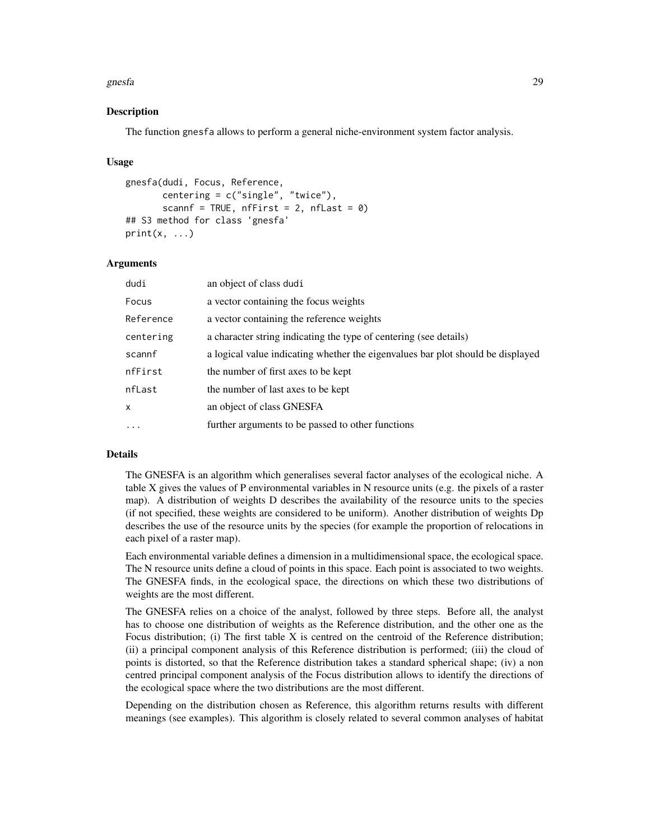#### gnesfa 29

### Description

The function gnesfa allows to perform a general niche-environment system factor analysis.

#### Usage

```
gnesfa(dudi, Focus, Reference,
       centering = c("single", "twice"),
       scannf = TRUE, nfFirst = 2, nfLast = 0)
## S3 method for class 'gnesfa'
print(x, \ldots)
```
#### Arguments

| dudi       | an object of class dudi                                                         |
|------------|---------------------------------------------------------------------------------|
| Focus      | a vector containing the focus weights                                           |
| Reference  | a vector containing the reference weights                                       |
| centering  | a character string indicating the type of centering (see details)               |
| scannf     | a logical value indicating whether the eigenvalues bar plot should be displayed |
| nfFirst    | the number of first axes to be kept                                             |
| nfLast     | the number of last axes to be kept                                              |
| X          | an object of class GNESFA                                                       |
| $\ddots$ . | further arguments to be passed to other functions                               |

## Details

The GNESFA is an algorithm which generalises several factor analyses of the ecological niche. A table X gives the values of P environmental variables in N resource units (e.g. the pixels of a raster map). A distribution of weights D describes the availability of the resource units to the species (if not specified, these weights are considered to be uniform). Another distribution of weights Dp describes the use of the resource units by the species (for example the proportion of relocations in each pixel of a raster map).

Each environmental variable defines a dimension in a multidimensional space, the ecological space. The N resource units define a cloud of points in this space. Each point is associated to two weights. The GNESFA finds, in the ecological space, the directions on which these two distributions of weights are the most different.

The GNESFA relies on a choice of the analyst, followed by three steps. Before all, the analyst has to choose one distribution of weights as the Reference distribution, and the other one as the Focus distribution; (i) The first table X is centred on the centroid of the Reference distribution; (ii) a principal component analysis of this Reference distribution is performed; (iii) the cloud of points is distorted, so that the Reference distribution takes a standard spherical shape; (iv) a non centred principal component analysis of the Focus distribution allows to identify the directions of the ecological space where the two distributions are the most different.

Depending on the distribution chosen as Reference, this algorithm returns results with different meanings (see examples). This algorithm is closely related to several common analyses of habitat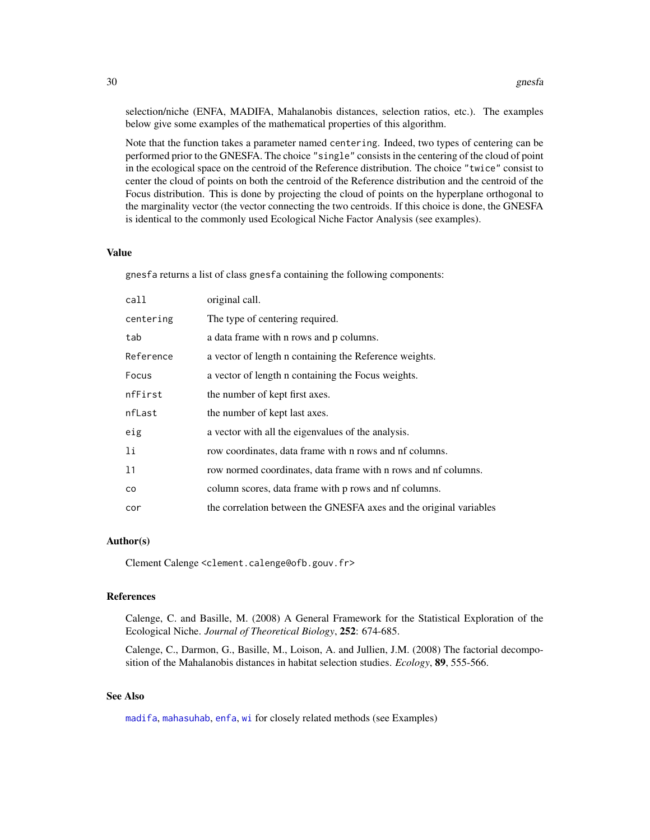<span id="page-29-0"></span>selection/niche (ENFA, MADIFA, Mahalanobis distances, selection ratios, etc.). The examples below give some examples of the mathematical properties of this algorithm.

Note that the function takes a parameter named centering. Indeed, two types of centering can be performed prior to the GNESFA. The choice "single" consists in the centering of the cloud of point in the ecological space on the centroid of the Reference distribution. The choice "twice" consist to center the cloud of points on both the centroid of the Reference distribution and the centroid of the Focus distribution. This is done by projecting the cloud of points on the hyperplane orthogonal to the marginality vector (the vector connecting the two centroids. If this choice is done, the GNESFA is identical to the commonly used Ecological Niche Factor Analysis (see examples).

## Value

gnesfa returns a list of class gnesfa containing the following components:

| call      | original call.                                                     |
|-----------|--------------------------------------------------------------------|
| centering | The type of centering required.                                    |
| tab       | a data frame with n rows and p columns.                            |
| Reference | a vector of length n containing the Reference weights.             |
| Focus     | a vector of length n containing the Focus weights.                 |
| nfFirst   | the number of kept first axes.                                     |
| nfLast    | the number of kept last axes.                                      |
| eig       | a vector with all the eigenvalues of the analysis.                 |
| 1i        | row coordinates, data frame with n rows and nf columns.            |
| 11        | row normed coordinates, data frame with n rows and nf columns.     |
| co        | column scores, data frame with p rows and nf columns.              |
| cor       | the correlation between the GNESFA axes and the original variables |

## Author(s)

Clement Calenge <clement.calenge@ofb.gouv.fr>

#### References

Calenge, C. and Basille, M. (2008) A General Framework for the Statistical Exploration of the Ecological Niche. *Journal of Theoretical Biology*, 252: 674-685.

Calenge, C., Darmon, G., Basille, M., Loison, A. and Jullien, J.M. (2008) The factorial decomposition of the Mahalanobis distances in habitat selection studies. *Ecology*, 89, 555-566.

## See Also

[madifa](#page-38-1), [mahasuhab](#page-44-1), [enfa](#page-18-1), [wi](#page-60-1) for closely related methods (see Examples)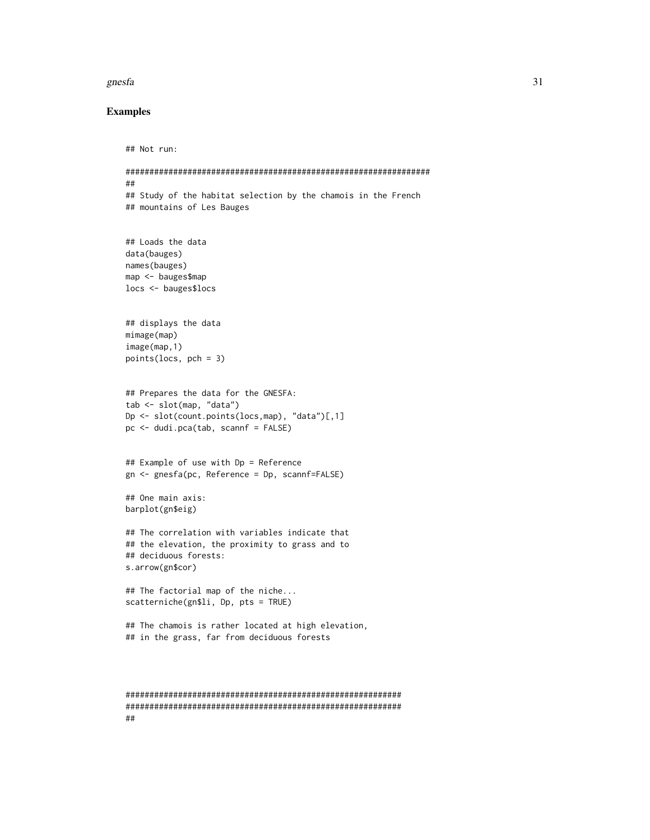#### gnesfa 31

### Examples

##

```
## Not run:
################################################################
##
## Study of the habitat selection by the chamois in the French
## mountains of Les Bauges
## Loads the data
data(bauges)
names(bauges)
map <- bauges$map
locs <- bauges$locs
## displays the data
mimage(map)
image(map,1)
points(locs, pch = 3)
## Prepares the data for the GNESFA:
tab <- slot(map, "data")
Dp <- slot(count.points(locs,map), "data")[,1]
pc \le dudi.pca(tab, scannf = FALSE)
## Example of use with Dp = Reference
gn <- gnesfa(pc, Reference = Dp, scannf=FALSE)
## One main axis:
barplot(gn$eig)
## The correlation with variables indicate that
## the elevation, the proximity to grass and to
## deciduous forests:
s.arrow(gn$cor)
## The factorial map of the niche...
scatterniche(gn$li, Dp, pts = TRUE)
## The chamois is rather located at high elevation,
## in the grass, far from deciduous forests
##########################################################
```
##########################################################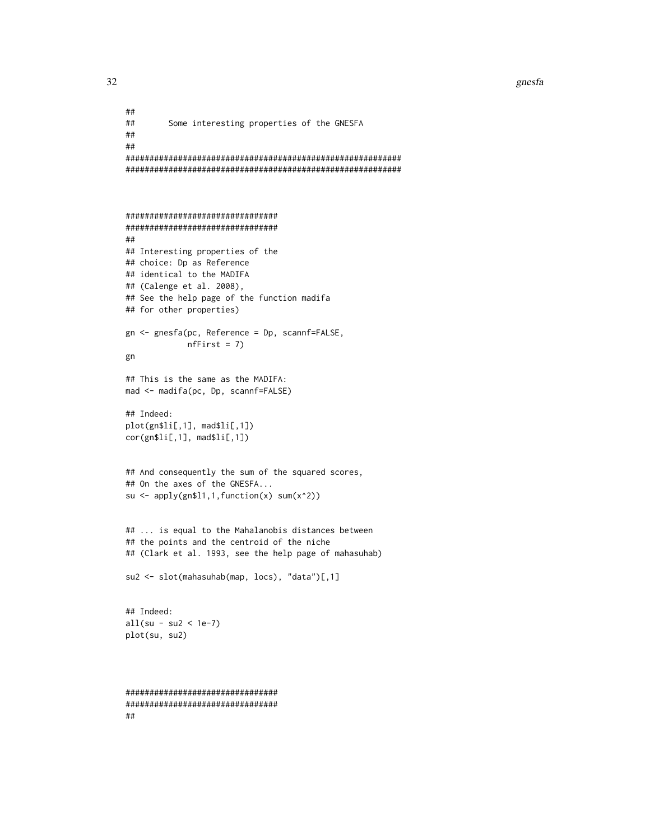```
##
## Some interesting properties of the GNESFA
##
##
##########################################################
##########################################################
################################
################################
##
## Interesting properties of the
## choice: Dp as Reference
## identical to the MADIFA
## (Calenge et al. 2008),
## See the help page of the function madifa
## for other properties)
gn <- gnesfa(pc, Reference = Dp, scannf=FALSE,
             nfFirst = 7)gn
## This is the same as the MADIFA:
mad <- madifa(pc, Dp, scannf=FALSE)
## Indeed:
plot(gn$li[,1], mad$li[,1])
cor(gn$li[,1], mad$li[,1])
## And consequently the sum of the squared scores,
## On the axes of the GNESFA...
su <- apply(gn$l1,1,function(x) sum(x^2))
## ... is equal to the Mahalanobis distances between
## the points and the centroid of the niche
## (Clark et al. 1993, see the help page of mahasuhab)
su2 <- slot(mahasuhab(map, locs), "data")[,1]
## Indeed:
all(su - su2 < 1e-7)
plot(su, su2)
################################
################################
##
```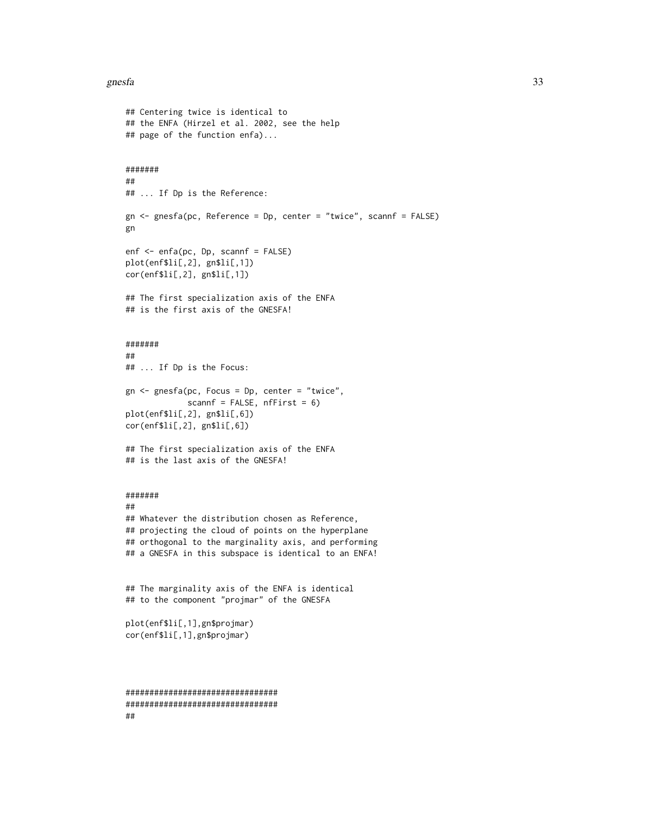#### gnesfa 33

```
## Centering twice is identical to
## the ENFA (Hirzel et al. 2002, see the help
## page of the function enfa)...
#######
##
## ... If Dp is the Reference:
gn <- gnesfa(pc, Reference = Dp, center = "twice", scannf = FALSE)
gn
enf <- enfa(pc, Dp, scannf = FALSE)
plot(enf$li[,2], gn$li[,1])
cor(enf$li[,2], gn$li[,1])
## The first specialization axis of the ENFA
## is the first axis of the GNESFA!
#######
##
## ... If Dp is the Focus:
gn <- gnesfa(pc, Focus = Dp, center = "twice",
             scannf = FALSE, nffirst = 6)plot(enf$li[,2], gn$li[,6])
cor(enf$li[,2], gn$li[,6])
## The first specialization axis of the ENFA
## is the last axis of the GNESFA!
#######
##
## Whatever the distribution chosen as Reference,
## projecting the cloud of points on the hyperplane
## orthogonal to the marginality axis, and performing
## a GNESFA in this subspace is identical to an ENFA!
## The marginality axis of the ENFA is identical
## to the component "projmar" of the GNESFA
plot(enf$li[,1],gn$projmar)
cor(enf$li[,1],gn$projmar)
################################
################################
##
```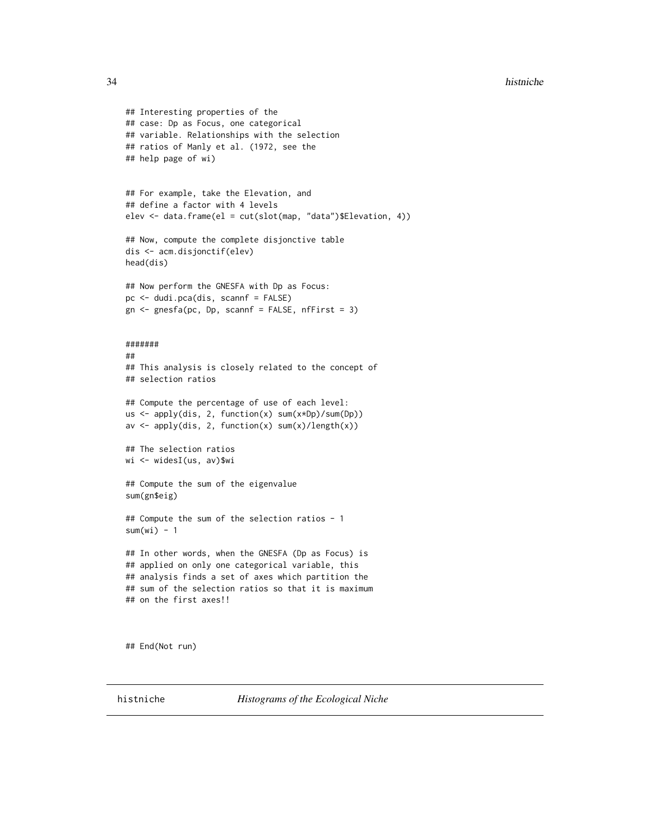```
## Interesting properties of the
## case: Dp as Focus, one categorical
## variable. Relationships with the selection
## ratios of Manly et al. (1972, see the
## help page of wi)
## For example, take the Elevation, and
## define a factor with 4 levels
elev <- data.frame(el = cut(slot(map, "data")$Elevation, 4))
## Now, compute the complete disjonctive table
dis <- acm.disjonctif(elev)
head(dis)
## Now perform the GNESFA with Dp as Focus:
pc <- dudi.pca(dis, scannf = FALSE)
gn \leq spnesfa(pc, Dp, scannf = FALSE, nfFirst = 3)#######
##
## This analysis is closely related to the concept of
## selection ratios
## Compute the percentage of use of each level:
us <- apply(dis, 2, function(x) sum(x*Dp)/sum(Dp))
av \leftarrow apply(dis, 2, function(x) sum(x)/length(x))
## The selection ratios
wi <- widesI(us, av)$wi
## Compute the sum of the eigenvalue
sum(gn$eig)
## Compute the sum of the selection ratios - 1
sum(wi) - 1## In other words, when the GNESFA (Dp as Focus) is
## applied on only one categorical variable, this
## analysis finds a set of axes which partition the
## sum of the selection ratios so that it is maximum
## on the first axes!!
```
## End(Not run)

<span id="page-33-1"></span>histniche *Histograms of the Ecological Niche*

<span id="page-33-0"></span>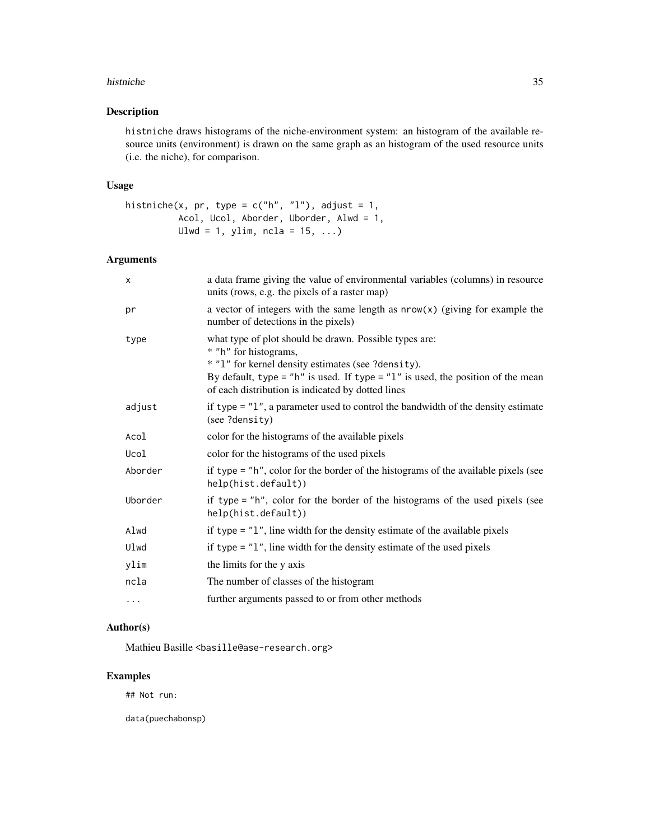#### histniche 35

## Description

histniche draws histograms of the niche-environment system: an histogram of the available resource units (environment) is drawn on the same graph as an histogram of the used resource units (i.e. the niche), for comparison.

#### Usage

```
histniche(x, pr, type = c("h", "l"), adjust = 1,Acol, Ucol, Aborder, Uborder, Alwd = 1,
         Ulwd = 1, ylim, ncla = 15, ...)
```
## Arguments

| $\times$ | a data frame giving the value of environmental variables (columns) in resource<br>units (rows, e.g. the pixels of a raster map)                                                                                                                                                   |
|----------|-----------------------------------------------------------------------------------------------------------------------------------------------------------------------------------------------------------------------------------------------------------------------------------|
| pr       | a vector of integers with the same length as $nrow(x)$ (giving for example the<br>number of detections in the pixels)                                                                                                                                                             |
| type     | what type of plot should be drawn. Possible types are:<br>* "h" for histograms,<br>* "1" for kernel density estimates (see ?density).<br>By default, type = "h" is used. If type = " $1$ " is used, the position of the mean<br>of each distribution is indicated by dotted lines |
| adjust   | if type $=$ "1", a parameter used to control the bandwidth of the density estimate<br>(see ?density)                                                                                                                                                                              |
| Acol     | color for the histograms of the available pixels                                                                                                                                                                                                                                  |
| Ucol     | color for the histograms of the used pixels                                                                                                                                                                                                                                       |
| Aborder  | if type = "h", color for the border of the histograms of the available pixels (see<br>help(hist.default))                                                                                                                                                                         |
| Uborder  | if type = "h", color for the border of the histograms of the used pixels (see<br>help(hist.default))                                                                                                                                                                              |
| Alwd     | if type $=$ "1", line width for the density estimate of the available pixels                                                                                                                                                                                                      |
| Ulwd     | if type $=$ "1", line width for the density estimate of the used pixels                                                                                                                                                                                                           |
| ylim     | the limits for the y axis                                                                                                                                                                                                                                                         |
| ncla     | The number of classes of the histogram                                                                                                                                                                                                                                            |
| $\cdots$ | further arguments passed to or from other methods                                                                                                                                                                                                                                 |

## Author(s)

Mathieu Basille <br/>basille@ase-research.org>

## Examples

## Not run:

data(puechabonsp)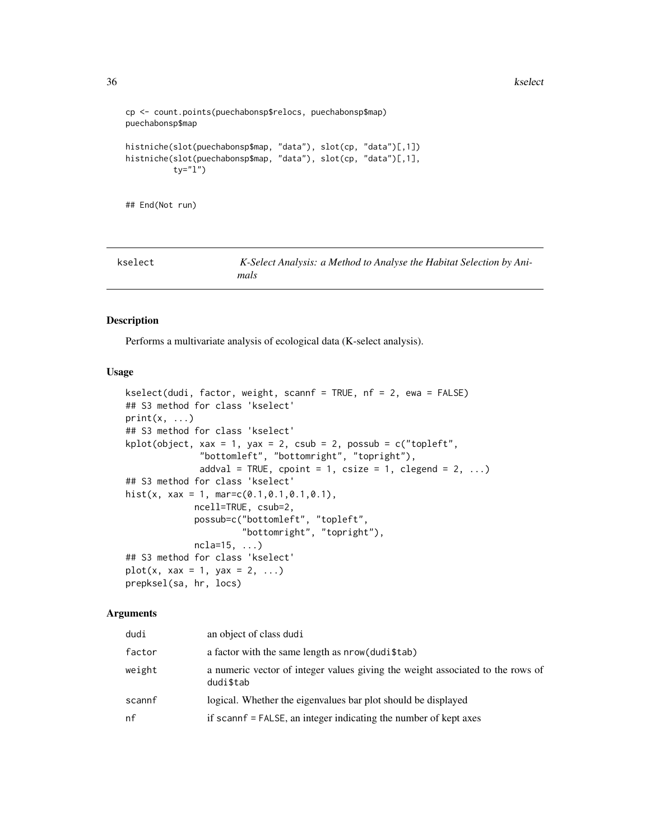```
cp <- count.points(puechabonsp$relocs, puechabonsp$map)
puechabonsp$map
histniche(slot(puechabonsp$map, "data"), slot(cp, "data")[,1])
histniche(slot(puechabonsp$map, "data"), slot(cp, "data")[,1],
          ty="l")
```
## End(Not run)

<span id="page-35-1"></span>

| kselect | K-Select Analysis: a Method to Analyse the Habitat Selection by Ani- |  |
|---------|----------------------------------------------------------------------|--|
|         | mals                                                                 |  |

## Description

Performs a multivariate analysis of ecological data (K-select analysis).

#### Usage

```
kselect(dudi, factor, weight, scannf = TRUE, nf = 2, ewa = FALSE)
## S3 method for class 'kselect'
print(x, \ldots)## S3 method for class 'kselect'
kplot(object, xax = 1, yax = 2, csub = 2, possub = c("topleft","bottomleft", "bottomright", "topright"),
              addval = TRUE, cpoint = 1, csize = 1, clegend = 2, \dots)
## S3 method for class 'kselect'
hist(x, xax = 1, mar=c(0.1,0.1,0.1,0.1),
             ncell=TRUE, csub=2,
             possub=c("bottomleft", "topleft",
                      "bottomright", "topright"),
             ncla=15, ...)
## S3 method for class 'kselect'
plot(x, xax = 1, yax = 2, ...)prepksel(sa, hr, locs)
```
## Arguments

| dudi   | an object of class dudi                                                                     |
|--------|---------------------------------------------------------------------------------------------|
| factor | a factor with the same length as $nrow(dudi$tab)$                                           |
| weight | a numeric vector of integer values giving the weight associated to the rows of<br>dudi\$tab |
| scannf | logical. Whether the eigenvalues bar plot should be displayed                               |
| nf     | if scannf = FALSE, an integer indicating the number of kept axes                            |

<span id="page-35-0"></span>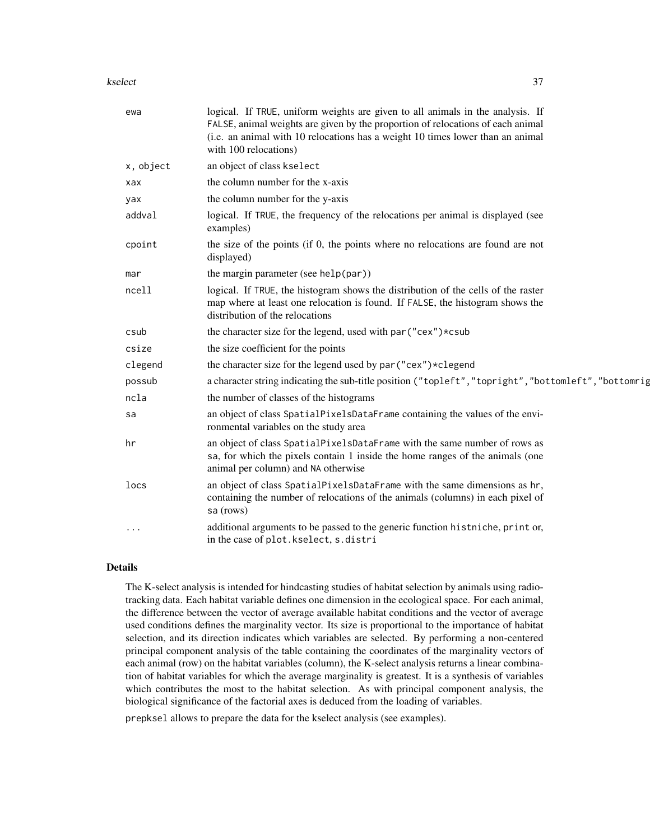#### kselect 37

| ewa       | logical. If TRUE, uniform weights are given to all animals in the analysis. If<br>FALSE, animal weights are given by the proportion of relocations of each animal<br>(i.e. an animal with 10 relocations has a weight 10 times lower than an animal<br>with 100 relocations) |
|-----------|------------------------------------------------------------------------------------------------------------------------------------------------------------------------------------------------------------------------------------------------------------------------------|
| x, object | an object of class kselect                                                                                                                                                                                                                                                   |
| xax       | the column number for the x-axis                                                                                                                                                                                                                                             |
| yax       | the column number for the y-axis                                                                                                                                                                                                                                             |
| addval    | logical. If TRUE, the frequency of the relocations per animal is displayed (see<br>examples)                                                                                                                                                                                 |
| cpoint    | the size of the points (if 0, the points where no relocations are found are not<br>displayed)                                                                                                                                                                                |
| mar       | the margin parameter (see help(par))                                                                                                                                                                                                                                         |
| ncell     | logical. If TRUE, the histogram shows the distribution of the cells of the raster<br>map where at least one relocation is found. If FALSE, the histogram shows the<br>distribution of the relocations                                                                        |
| csub      | the character size for the legend, used with par ("cex") *csub                                                                                                                                                                                                               |
| csize     | the size coefficient for the points                                                                                                                                                                                                                                          |
| clegend   | the character size for the legend used by par ("cex")*clegend                                                                                                                                                                                                                |
| possub    | a character string indicating the sub-title position ("topleft","topright","bottomleft","bottomrig                                                                                                                                                                           |
| ncla      | the number of classes of the histograms                                                                                                                                                                                                                                      |
| sa        | an object of class SpatialPixelsDataFrame containing the values of the envi-<br>ronmental variables on the study area                                                                                                                                                        |
| hr        | an object of class SpatialPixelsDataFrame with the same number of rows as<br>sa, for which the pixels contain 1 inside the home ranges of the animals (one<br>animal per column) and NA otherwise                                                                            |
| locs      | an object of class SpatialPixelsDataFrame with the same dimensions as hr,<br>containing the number of relocations of the animals (columns) in each pixel of<br>sa (rows)                                                                                                     |
| $\cdots$  | additional arguments to be passed to the generic function histniche, print or,<br>in the case of plot.kselect, s.distri                                                                                                                                                      |

## Details

The K-select analysis is intended for hindcasting studies of habitat selection by animals using radiotracking data. Each habitat variable defines one dimension in the ecological space. For each animal, the difference between the vector of average available habitat conditions and the vector of average used conditions defines the marginality vector. Its size is proportional to the importance of habitat selection, and its direction indicates which variables are selected. By performing a non-centered principal component analysis of the table containing the coordinates of the marginality vectors of each animal (row) on the habitat variables (column), the K-select analysis returns a linear combination of habitat variables for which the average marginality is greatest. It is a synthesis of variables which contributes the most to the habitat selection. As with principal component analysis, the biological significance of the factorial axes is deduced from the loading of variables.

prepksel allows to prepare the data for the kselect analysis (see examples).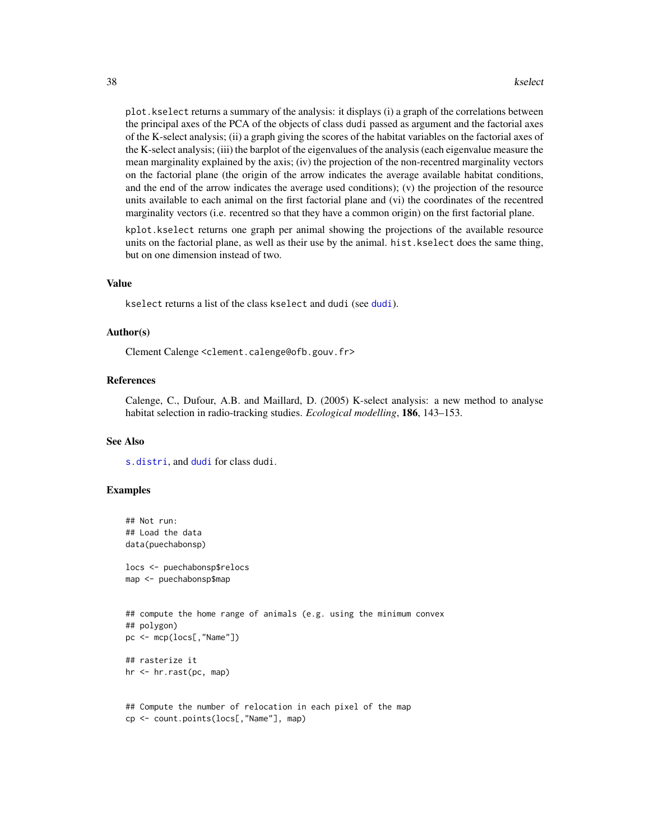<span id="page-37-0"></span>plot.kselect returns a summary of the analysis: it displays (i) a graph of the correlations between the principal axes of the PCA of the objects of class dudi passed as argument and the factorial axes of the K-select analysis; (ii) a graph giving the scores of the habitat variables on the factorial axes of the K-select analysis; (iii) the barplot of the eigenvalues of the analysis (each eigenvalue measure the mean marginality explained by the axis; (iv) the projection of the non-recentred marginality vectors on the factorial plane (the origin of the arrow indicates the average available habitat conditions, and the end of the arrow indicates the average used conditions); (v) the projection of the resource units available to each animal on the first factorial plane and (vi) the coordinates of the recentred marginality vectors (i.e. recentred so that they have a common origin) on the first factorial plane.

kplot.kselect returns one graph per animal showing the projections of the available resource units on the factorial plane, as well as their use by the animal. hist.kselect does the same thing, but on one dimension instead of two.

#### Value

kselect returns a list of the class kselect and dudi (see [dudi](#page-0-0)).

#### Author(s)

Clement Calenge <clement.calenge@ofb.gouv.fr>

#### References

Calenge, C., Dufour, A.B. and Maillard, D. (2005) K-select analysis: a new method to analyse habitat selection in radio-tracking studies. *Ecological modelling*, 186, 143–153.

#### See Also

[s.distri](#page-0-0), and [dudi](#page-0-0) for class dudi.

#### Examples

```
## Not run:
## Load the data
data(puechabonsp)
locs <- puechabonsp$relocs
map <- puechabonsp$map
## compute the home range of animals (e.g. using the minimum convex
## polygon)
pc <- mcp(locs[,"Name"])
## rasterize it
hr <- hr.rast(pc, map)
```

```
## Compute the number of relocation in each pixel of the map
cp <- count.points(locs[,"Name"], map)
```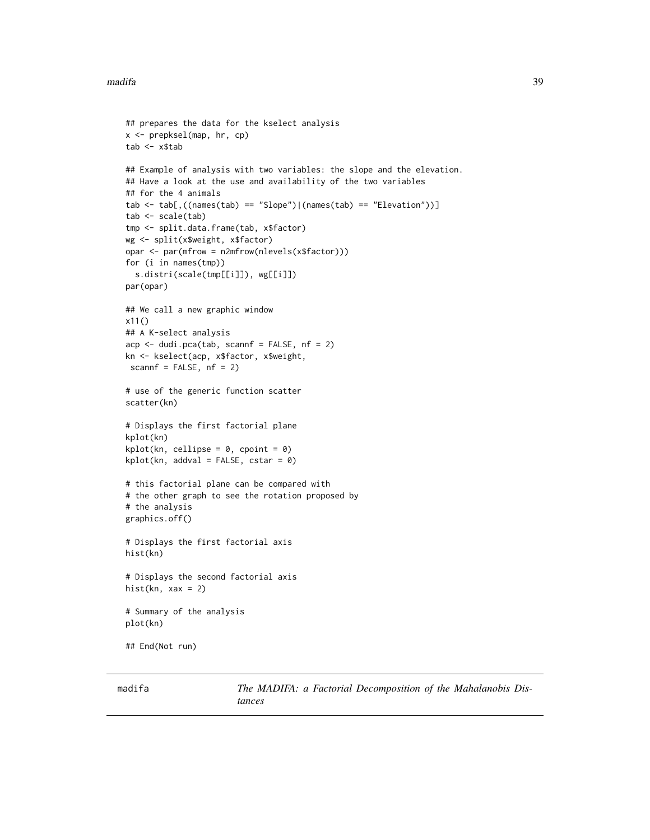#### <span id="page-38-0"></span>madifa 39

```
## prepares the data for the kselect analysis
x <- prepksel(map, hr, cp)
tab < - x$tab
## Example of analysis with two variables: the slope and the elevation.
## Have a look at the use and availability of the two variables
## for the 4 animals
tab \le tab[,((names(tab) == "Slope")|(names(tab) == "Elevation"))]
tab <- scale(tab)
tmp <- split.data.frame(tab, x$factor)
wg <- split(x$weight, x$factor)
opar <- par(mfrow = n2mfrow(nlevels(x$factor)))
for (i in names(tmp))
  s.distri(scale(tmp[[i]]), wg[[i]])
par(opar)
## We call a new graphic window
x11()
## A K-select analysis
acp \leq -dudi.pca(tab, scannf = FALSE, nf = 2)kn <- kselect(acp, x$factor, x$weight,
scannf = FALSE, nf = 2)
# use of the generic function scatter
scatter(kn)
# Displays the first factorial plane
kplot(kn)
kplot(kn, cellipse = 0, copoint = 0)kplot(kn, addval = FALSE, cstar = 0)# this factorial plane can be compared with
# the other graph to see the rotation proposed by
# the analysis
graphics.off()
# Displays the first factorial axis
hist(kn)
# Displays the second factorial axis
hist(kn, xax = 2)
# Summary of the analysis
plot(kn)
## End(Not run)
```
<span id="page-38-1"></span>madifa *The MADIFA: a Factorial Decomposition of the Mahalanobis Distances*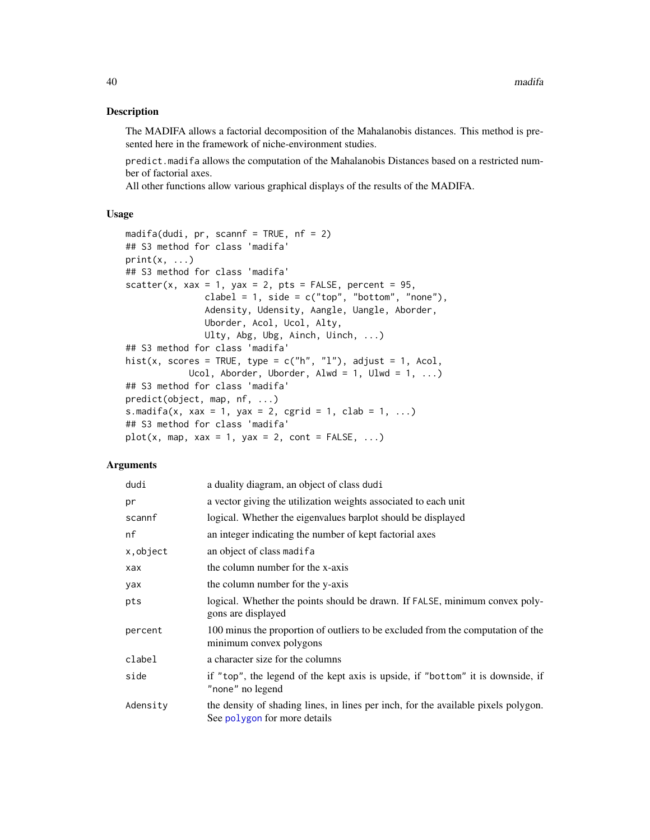#### Description

The MADIFA allows a factorial decomposition of the Mahalanobis distances. This method is presented here in the framework of niche-environment studies.

predict.madifa allows the computation of the Mahalanobis Distances based on a restricted number of factorial axes.

All other functions allow various graphical displays of the results of the MADIFA.

## Usage

```
madifa(dudi, pr, scannf = TRUE, nf = 2)
## S3 method for class 'madifa'
print(x, \ldots)## S3 method for class 'madifa'
scatter(x, xax = 1, yax = 2, pts = FALSE, percent = 95,
               clabel = 1, side = c("top", "bottom", "none"),Adensity, Udensity, Aangle, Uangle, Aborder,
               Uborder, Acol, Ucol, Alty,
               Ulty, Abg, Ubg, Ainch, Uinch, ...)
## S3 method for class 'madifa'
hist(x, scores = TRUE, type = c("h", "l"), adjust = 1, Acol,
            Ucol, Aborder, Uborder, Alwd = 1, Ulwd = 1, \dots)
## S3 method for class 'madifa'
predict(object, map, nf, ...)
s.madifa(x, xax = 1, yax = 2, cgrid = 1, clab = 1, ...)
## S3 method for class 'madifa'
plot(x, map, xax = 1, yax = 2, cont = FALSE, ...)
```
#### Arguments

| dudi      | a duality diagram, an object of class dudi                                                                         |
|-----------|--------------------------------------------------------------------------------------------------------------------|
| pr        | a vector giving the utilization weights associated to each unit                                                    |
| scannf    | logical. Whether the eigenvalues barplot should be displayed                                                       |
| nf        | an integer indicating the number of kept factorial axes                                                            |
| x, object | an object of class madifa                                                                                          |
| xax       | the column number for the x-axis                                                                                   |
| yax       | the column number for the y-axis                                                                                   |
| pts       | logical. Whether the points should be drawn. If FALSE, minimum convex poly-<br>gons are displayed                  |
| percent   | 100 minus the proportion of outliers to be excluded from the computation of the<br>minimum convex polygons         |
| clabel    | a character size for the columns                                                                                   |
| side      | if "top", the legend of the kept axis is upside, if "bottom" it is downside, if<br>"none" no legend                |
| Adensity  | the density of shading lines, in lines per inch, for the available pixels polygon.<br>See polygon for more details |

<span id="page-39-0"></span>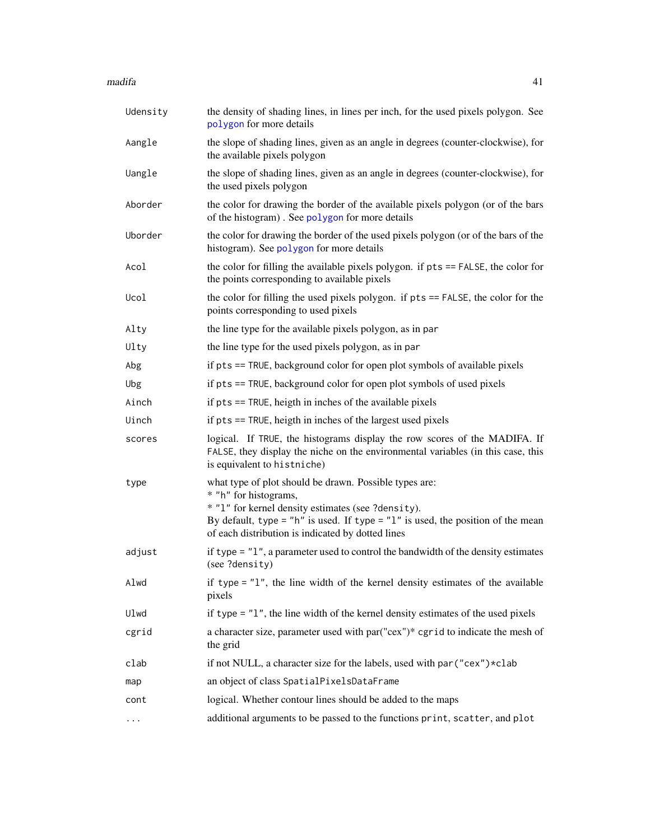#### <span id="page-40-0"></span> $m$ adifa  $41$

| Udensity | the density of shading lines, in lines per inch, for the used pixels polygon. See<br>polygon for more details                                                                                                                                                                     |
|----------|-----------------------------------------------------------------------------------------------------------------------------------------------------------------------------------------------------------------------------------------------------------------------------------|
| Aangle   | the slope of shading lines, given as an angle in degrees (counter-clockwise), for<br>the available pixels polygon                                                                                                                                                                 |
| Uangle   | the slope of shading lines, given as an angle in degrees (counter-clockwise), for<br>the used pixels polygon                                                                                                                                                                      |
| Aborder  | the color for drawing the border of the available pixels polygon (or of the bars<br>of the histogram). See polygon for more details                                                                                                                                               |
| Uborder  | the color for drawing the border of the used pixels polygon (or of the bars of the<br>histogram). See polygon for more details                                                                                                                                                    |
| Acol     | the color for filling the available pixels polygon. if pts == FALSE, the color for<br>the points corresponding to available pixels                                                                                                                                                |
| Ucol     | the color for filling the used pixels polygon. if pts == FALSE, the color for the<br>points corresponding to used pixels                                                                                                                                                          |
| Alty     | the line type for the available pixels polygon, as in par                                                                                                                                                                                                                         |
| Ulty     | the line type for the used pixels polygon, as in par                                                                                                                                                                                                                              |
| Abg      | if pts == TRUE, background color for open plot symbols of available pixels                                                                                                                                                                                                        |
| Ubg      | if pts == TRUE, background color for open plot symbols of used pixels                                                                                                                                                                                                             |
| Ainch    | if pts == TRUE, heigth in inches of the available pixels                                                                                                                                                                                                                          |
| Uinch    | if pts == TRUE, heigth in inches of the largest used pixels                                                                                                                                                                                                                       |
| scores   | logical. If TRUE, the histograms display the row scores of the MADIFA. If<br>FALSE, they display the niche on the environmental variables (in this case, this<br>is equivalent to histniche)                                                                                      |
| type     | what type of plot should be drawn. Possible types are:<br>* "h" for histograms,<br>* "1" for kernel density estimates (see ?density).<br>By default, type = "h" is used. If type = " $1$ " is used, the position of the mean<br>of each distribution is indicated by dotted lines |
| adjust   | if type $=$ "1", a parameter used to control the bandwidth of the density estimates<br>(see ?density)                                                                                                                                                                             |
| Alwd     | if type = $"1"$ , the line width of the kernel density estimates of the available<br>pixels                                                                                                                                                                                       |
| Ulwd     | if type $=$ " $1$ ", the line width of the kernel density estimates of the used pixels                                                                                                                                                                                            |
| cgrid    | a character size, parameter used with par("cex")* cgrid to indicate the mesh of<br>the grid                                                                                                                                                                                       |
| clab     | if not NULL, a character size for the labels, used with par ("cex") * clab                                                                                                                                                                                                        |
| map      | an object of class SpatialPixelsDataFrame                                                                                                                                                                                                                                         |
| cont     | logical. Whether contour lines should be added to the maps                                                                                                                                                                                                                        |
| $\cdots$ | additional arguments to be passed to the functions print, scatter, and plot                                                                                                                                                                                                       |
|          |                                                                                                                                                                                                                                                                                   |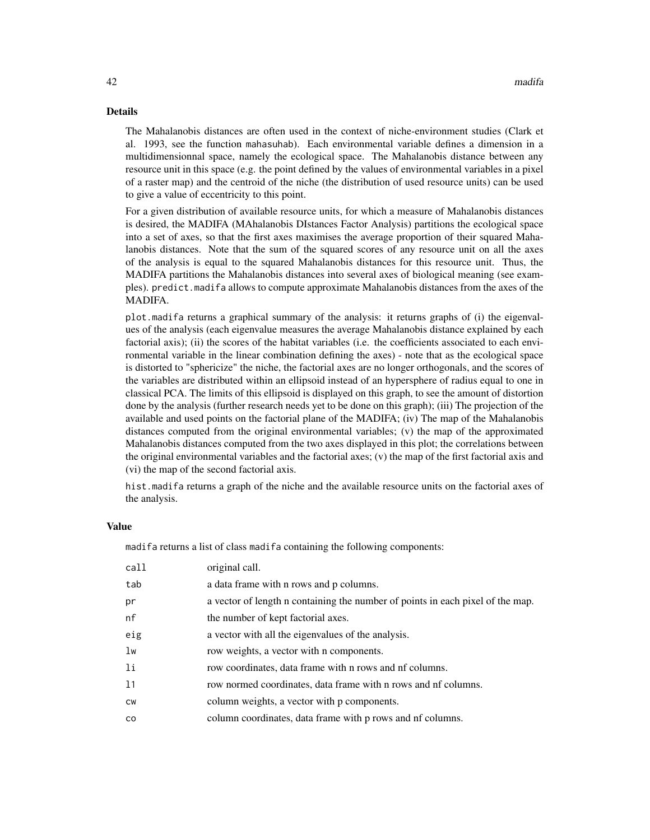#### Details

The Mahalanobis distances are often used in the context of niche-environment studies (Clark et al. 1993, see the function mahasuhab). Each environmental variable defines a dimension in a multidimensionnal space, namely the ecological space. The Mahalanobis distance between any resource unit in this space (e.g. the point defined by the values of environmental variables in a pixel of a raster map) and the centroid of the niche (the distribution of used resource units) can be used to give a value of eccentricity to this point.

For a given distribution of available resource units, for which a measure of Mahalanobis distances is desired, the MADIFA (MAhalanobis DIstances Factor Analysis) partitions the ecological space into a set of axes, so that the first axes maximises the average proportion of their squared Mahalanobis distances. Note that the sum of the squared scores of any resource unit on all the axes of the analysis is equal to the squared Mahalanobis distances for this resource unit. Thus, the MADIFA partitions the Mahalanobis distances into several axes of biological meaning (see examples). predict.madifa allows to compute approximate Mahalanobis distances from the axes of the MADIFA.

plot.madifa returns a graphical summary of the analysis: it returns graphs of (i) the eigenvalues of the analysis (each eigenvalue measures the average Mahalanobis distance explained by each factorial axis); (ii) the scores of the habitat variables (i.e. the coefficients associated to each environmental variable in the linear combination defining the axes) - note that as the ecological space is distorted to "sphericize" the niche, the factorial axes are no longer orthogonals, and the scores of the variables are distributed within an ellipsoid instead of an hypersphere of radius equal to one in classical PCA. The limits of this ellipsoid is displayed on this graph, to see the amount of distortion done by the analysis (further research needs yet to be done on this graph); (iii) The projection of the available and used points on the factorial plane of the MADIFA; (iv) The map of the Mahalanobis distances computed from the original environmental variables; (v) the map of the approximated Mahalanobis distances computed from the two axes displayed in this plot; the correlations between the original environmental variables and the factorial axes; (v) the map of the first factorial axis and (vi) the map of the second factorial axis.

hist.madifa returns a graph of the niche and the available resource units on the factorial axes of the analysis.

#### Value

madifa returns a list of class madifa containing the following components:

| call         | original call.                                                                 |
|--------------|--------------------------------------------------------------------------------|
| tab          | a data frame with n rows and p columns.                                        |
| pr           | a vector of length n containing the number of points in each pixel of the map. |
| nf           | the number of kept factorial axes.                                             |
| eig          | a vector with all the eigenvalues of the analysis.                             |
| lw           | row weights, a vector with a components.                                       |
| <sup>1</sup> | row coordinates, data frame with n rows and nf columns.                        |
| 11           | row normed coordinates, data frame with n rows and nf columns.                 |
| <b>CW</b>    | column weights, a vector with p components.                                    |
| <b>CO</b>    | column coordinates, data frame with p rows and nf columns.                     |
|              |                                                                                |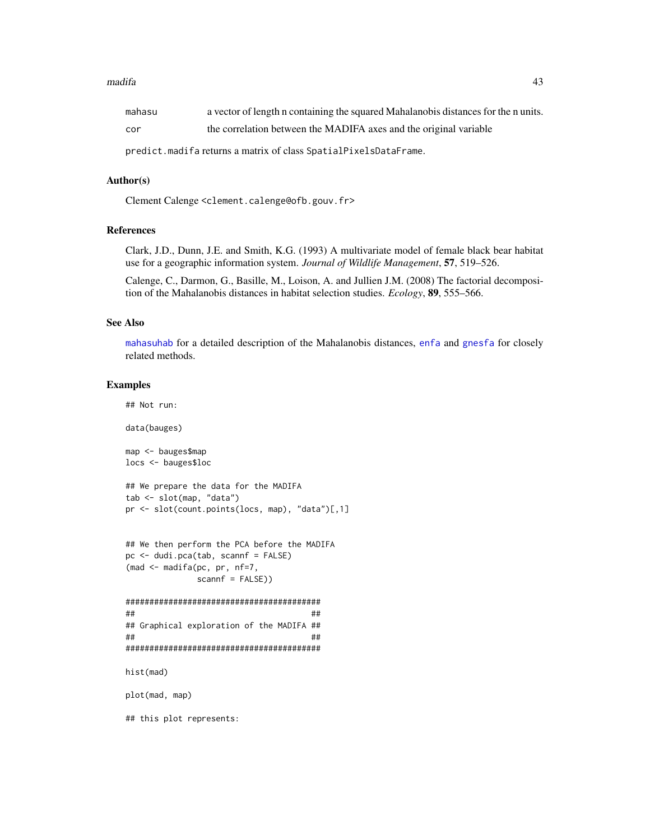#### <span id="page-42-0"></span>madifa 43

predict.madifa returns a matrix of class SpatialPixelsDataFrame.

## Author(s)

Clement Calenge <clement.calenge@ofb.gouv.fr>

## References

Clark, J.D., Dunn, J.E. and Smith, K.G. (1993) A multivariate model of female black bear habitat use for a geographic information system. *Journal of Wildlife Management*, 57, 519–526.

Calenge, C., Darmon, G., Basille, M., Loison, A. and Jullien J.M. (2008) The factorial decomposition of the Mahalanobis distances in habitat selection studies. *Ecology*, 89, 555–566.

## See Also

[mahasuhab](#page-44-1) for a detailed description of the Mahalanobis distances, [enfa](#page-18-1) and [gnesfa](#page-27-1) for closely related methods.

## Examples

## Not run:

data(bauges)

map <- bauges\$map locs <- bauges\$loc

```
## We prepare the data for the MADIFA
tab <- slot(map, "data")
pr <- slot(count.points(locs, map), "data")[,1]
```

```
## We then perform the PCA before the MADIFA
pc <- dudi.pca(tab, scannf = FALSE)
(mad <- madifa(pc, pr, nf=7,
               scannf = FALSE()
```

```
#########################################
## ##
## Graphical exploration of the MADIFA ##
## ##
#########################################
```
hist(mad)

plot(mad, map)

## this plot represents: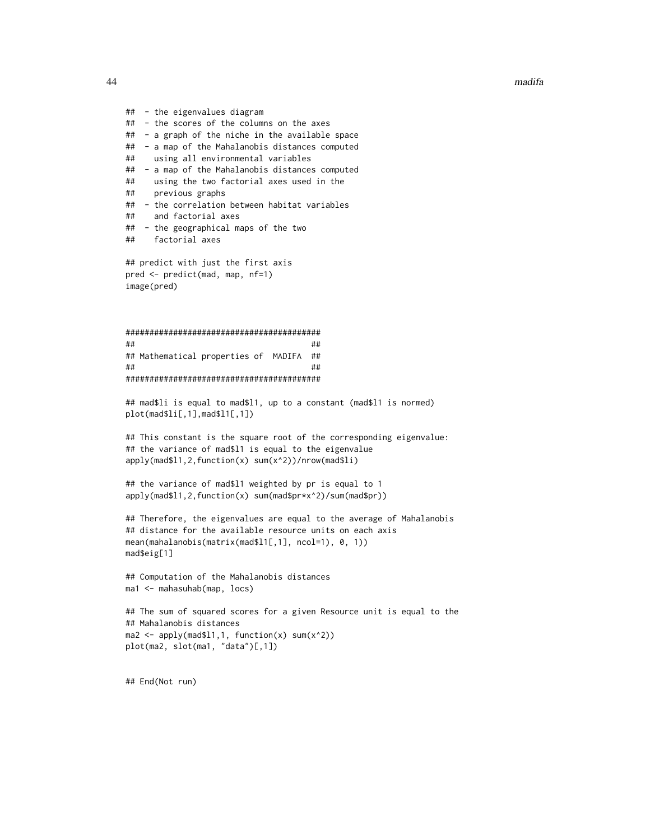```
44 madifa
```

```
## - the eigenvalues diagram
## - the scores of the columns on the axes
## - a graph of the niche in the available space
## - a map of the Mahalanobis distances computed
## using all environmental variables
## - a map of the Mahalanobis distances computed
## using the two factorial axes used in the
## previous graphs
## - the correlation between habitat variables
## and factorial axes
## - the geographical maps of the two
## factorial axes
## predict with just the first axis
pred <- predict(mad, map, nf=1)
image(pred)
#########################################
## ##
## Mathematical properties of MADIFA ##
## ##
#########################################
## mad$li is equal to mad$l1, up to a constant (mad$l1 is normed)
plot(mad$li[,1],mad$l1[,1])
## This constant is the square root of the corresponding eigenvalue:
## the variance of mad$l1 is equal to the eigenvalue
apply(mad$l1,2,function(x) sum(x^2))/nrow(mad$li)
## the variance of mad$l1 weighted by pr is equal to 1
apply(mad$l1,2,function(x) sum(mad$pr*x^2)/sum(mad$pr))
## Therefore, the eigenvalues are equal to the average of Mahalanobis
## distance for the available resource units on each axis
mean(mahalanobis(matrix(mad$l1[,1], ncol=1), 0, 1))
mad$eig[1]
## Computation of the Mahalanobis distances
ma1 <- mahasuhab(map, locs)
## The sum of squared scores for a given Resource unit is equal to the
## Mahalanobis distances
ma2 \leq apply(mad$11,1, function(x) sum(x^2))plot(ma2, slot(ma1, "data")[,1])
```

```
## End(Not run)
```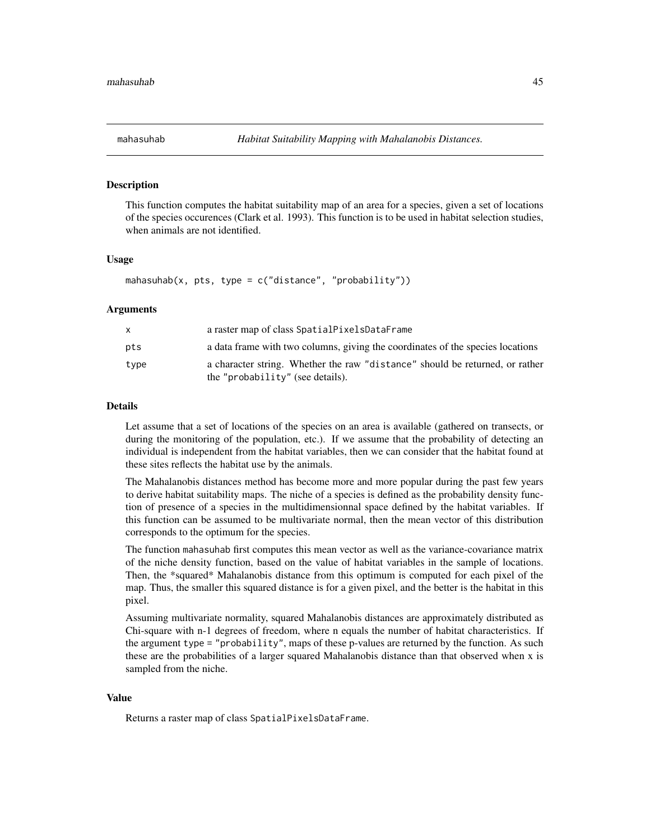<span id="page-44-1"></span><span id="page-44-0"></span>

#### Description

This function computes the habitat suitability map of an area for a species, given a set of locations of the species occurences (Clark et al. 1993). This function is to be used in habitat selection studies, when animals are not identified.

#### Usage

```
mahasuhab(x, pts, type = c("distance", "probability"))
```
#### Arguments

|      | a raster map of class SpatialPixelsDataFrame                                                                     |
|------|------------------------------------------------------------------------------------------------------------------|
| pts  | a data frame with two columns, giving the coordinates of the species locations                                   |
| type | a character string. Whether the raw "distance" should be returned, or rather<br>the "probability" (see details). |

#### Details

Let assume that a set of locations of the species on an area is available (gathered on transects, or during the monitoring of the population, etc.). If we assume that the probability of detecting an individual is independent from the habitat variables, then we can consider that the habitat found at these sites reflects the habitat use by the animals.

The Mahalanobis distances method has become more and more popular during the past few years to derive habitat suitability maps. The niche of a species is defined as the probability density function of presence of a species in the multidimensionnal space defined by the habitat variables. If this function can be assumed to be multivariate normal, then the mean vector of this distribution corresponds to the optimum for the species.

The function mahasuhab first computes this mean vector as well as the variance-covariance matrix of the niche density function, based on the value of habitat variables in the sample of locations. Then, the \*squared\* Mahalanobis distance from this optimum is computed for each pixel of the map. Thus, the smaller this squared distance is for a given pixel, and the better is the habitat in this pixel.

Assuming multivariate normality, squared Mahalanobis distances are approximately distributed as Chi-square with n-1 degrees of freedom, where n equals the number of habitat characteristics. If the argument type = "probability", maps of these p-values are returned by the function. As such these are the probabilities of a larger squared Mahalanobis distance than that observed when x is sampled from the niche.

#### Value

Returns a raster map of class SpatialPixelsDataFrame.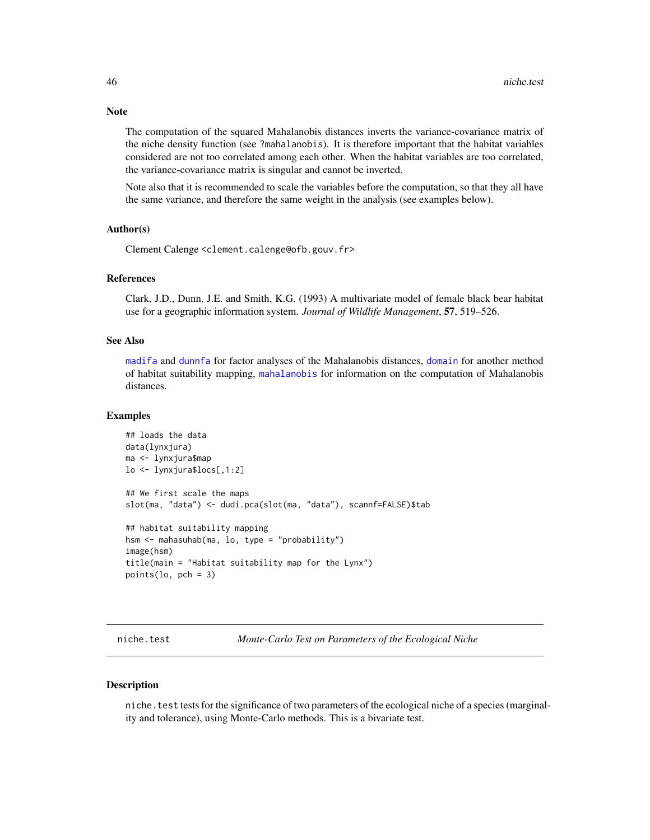The computation of the squared Mahalanobis distances inverts the variance-covariance matrix of the niche density function (see ?mahalanobis). It is therefore important that the habitat variables considered are not too correlated among each other. When the habitat variables are too correlated, the variance-covariance matrix is singular and cannot be inverted.

Note also that it is recommended to scale the variables before the computation, so that they all have the same variance, and therefore the same weight in the analysis (see examples below).

#### Author(s)

Clement Calenge <clement.calenge@ofb.gouv.fr>

#### **References**

Clark, J.D., Dunn, J.E. and Smith, K.G. (1993) A multivariate model of female black bear habitat use for a geographic information system. *Journal of Wildlife Management*, 57, 519–526.

#### See Also

[madifa](#page-38-1) and [dunnfa](#page-12-1) for factor analyses of the Mahalanobis distances, [domain](#page-10-1) for another method of habitat suitability mapping, [mahalanobis](#page-0-0) for information on the computation of Mahalanobis distances.

#### Examples

```
## loads the data
data(lynxjura)
ma <- lynxjura$map
lo <- lynxjura$locs[,1:2]
## We first scale the maps
slot(ma, "data") <- dudi.pca(slot(ma, "data"), scannf=FALSE)$tab
## habitat suitability mapping
hsm <- mahasuhab(ma, lo, type = "probability")
image(hsm)
title(main = "Habitat suitability map for the Lynx")
points(lo, pch = 3)
```
niche.test *Monte-Carlo Test on Parameters of the Ecological Niche*

#### **Description**

niche.test tests for the significance of two parameters of the ecological niche of a species (marginality and tolerance), using Monte-Carlo methods. This is a bivariate test.

<span id="page-45-0"></span>

### **Note**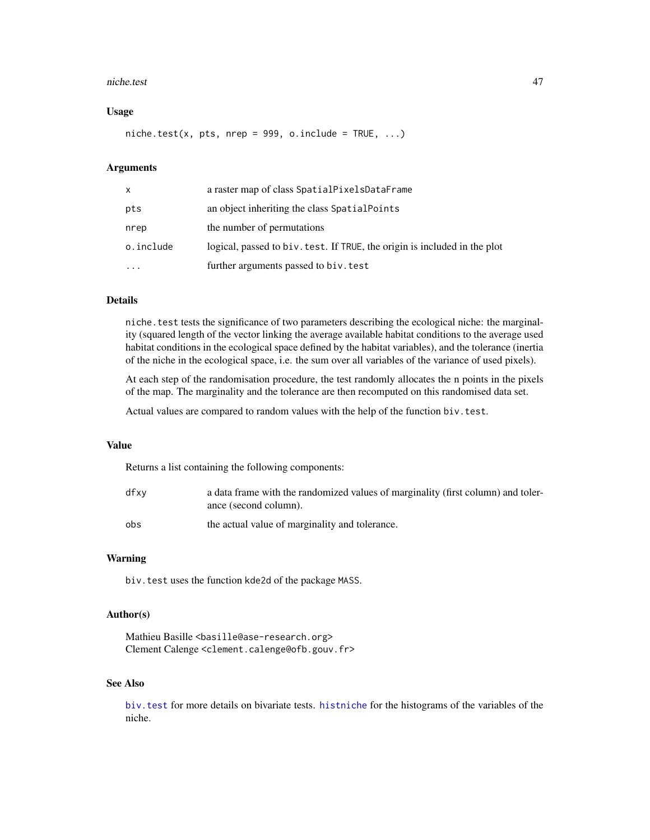#### <span id="page-46-0"></span>niche.test 47

#### Usage

niche.test(x, pts, nrep = 999, o.include = TRUE,  $\ldots$ )

## Arguments

| X.        | a raster map of class SpatialPixelsDataFrame                              |
|-----------|---------------------------------------------------------------------------|
| pts       | an object inheriting the class Spatial Points                             |
| nrep      | the number of permutations                                                |
| o.include | logical, passed to biv. test. If TRUE, the origin is included in the plot |
| $\ddots$  | further arguments passed to biv. test                                     |

## Details

niche.test tests the significance of two parameters describing the ecological niche: the marginality (squared length of the vector linking the average available habitat conditions to the average used habitat conditions in the ecological space defined by the habitat variables), and the tolerance (inertia of the niche in the ecological space, i.e. the sum over all variables of the variance of used pixels).

At each step of the randomisation procedure, the test randomly allocates the n points in the pixels of the map. The marginality and the tolerance are then recomputed on this randomised data set.

Actual values are compared to random values with the help of the function biv. test.

#### Value

Returns a list containing the following components:

| dfxv | a data frame with the randomized values of marginality (first column) and toler-<br>ance (second column). |
|------|-----------------------------------------------------------------------------------------------------------|
| obs  | the actual value of marginality and tolerance.                                                            |

#### Warning

biv. test uses the function kde2d of the package MASS.

## Author(s)

Mathieu Basille <br/>basille@ase-research.org> Clement Calenge <clement.calenge@ofb.gouv.fr>

## See Also

[biv.test](#page-2-1) for more details on bivariate tests. [histniche](#page-33-1) for the histograms of the variables of the niche.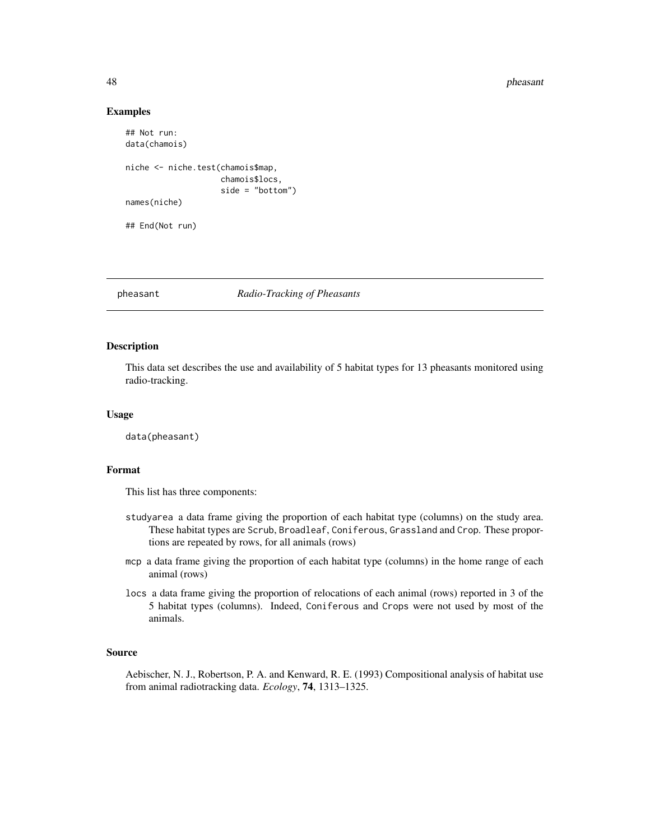#### 48 pheasant

#### Examples

```
## Not run:
data(chamois)
niche <- niche.test(chamois$map,
                    chamois$locs,
                     side = "bottom")
names(niche)
## End(Not run)
```
#### pheasant *Radio-Tracking of Pheasants*

## Description

This data set describes the use and availability of 5 habitat types for 13 pheasants monitored using radio-tracking.

#### Usage

data(pheasant)

#### Format

This list has three components:

- studyarea a data frame giving the proportion of each habitat type (columns) on the study area. These habitat types are Scrub, Broadleaf, Coniferous, Grassland and Crop. These proportions are repeated by rows, for all animals (rows)
- mcp a data frame giving the proportion of each habitat type (columns) in the home range of each animal (rows)
- locs a data frame giving the proportion of relocations of each animal (rows) reported in 3 of the 5 habitat types (columns). Indeed, Coniferous and Crops were not used by most of the animals.

## Source

Aebischer, N. J., Robertson, P. A. and Kenward, R. E. (1993) Compositional analysis of habitat use from animal radiotracking data. *Ecology*, 74, 1313–1325.

<span id="page-47-0"></span>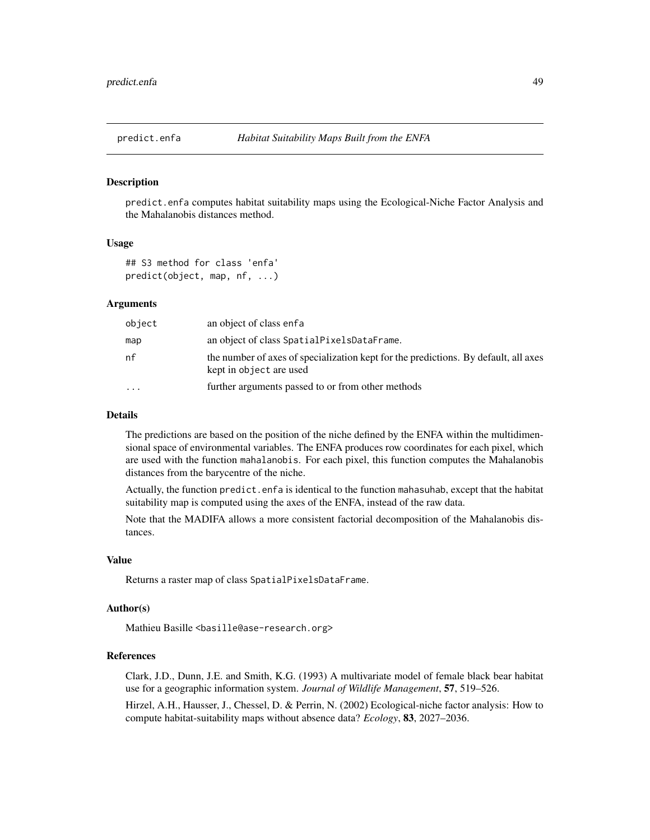<span id="page-48-0"></span>

#### Description

predict.enfa computes habitat suitability maps using the Ecological-Niche Factor Analysis and the Mahalanobis distances method.

#### Usage

```
## S3 method for class 'enfa'
predict(object, map, nf, ...)
```
#### Arguments

| object    | an object of class enfa                                                                                        |
|-----------|----------------------------------------------------------------------------------------------------------------|
| map       | an object of class SpatialPixelsDataFrame.                                                                     |
| nf        | the number of axes of specialization kept for the predictions. By default, all axes<br>kept in object are used |
| $\ddotsc$ | further arguments passed to or from other methods                                                              |

## Details

The predictions are based on the position of the niche defined by the ENFA within the multidimensional space of environmental variables. The ENFA produces row coordinates for each pixel, which are used with the function mahalanobis. For each pixel, this function computes the Mahalanobis distances from the barycentre of the niche.

Actually, the function predict.enfa is identical to the function mahasuhab, except that the habitat suitability map is computed using the axes of the ENFA, instead of the raw data.

Note that the MADIFA allows a more consistent factorial decomposition of the Mahalanobis distances.

## Value

Returns a raster map of class SpatialPixelsDataFrame.

#### Author(s)

Mathieu Basille <br/>basille@ase-research.org>

## References

Clark, J.D., Dunn, J.E. and Smith, K.G. (1993) A multivariate model of female black bear habitat use for a geographic information system. *Journal of Wildlife Management*, 57, 519–526.

Hirzel, A.H., Hausser, J., Chessel, D. & Perrin, N. (2002) Ecological-niche factor analysis: How to compute habitat-suitability maps without absence data? *Ecology*, 83, 2027–2036.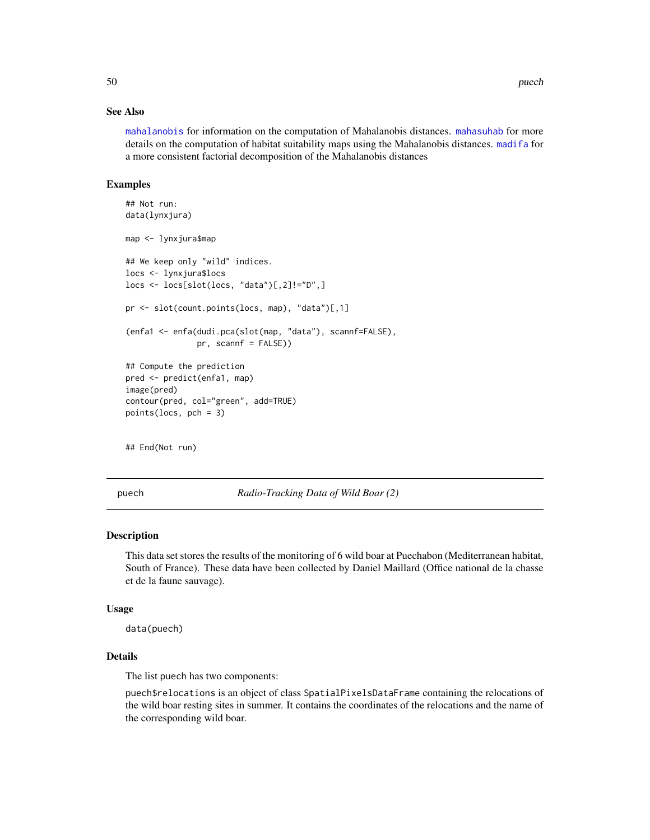### See Also

[mahalanobis](#page-0-0) for information on the computation of Mahalanobis distances. [mahasuhab](#page-44-1) for more details on the computation of habitat suitability maps using the Mahalanobis distances. [madifa](#page-38-1) for a more consistent factorial decomposition of the Mahalanobis distances

#### Examples

```
## Not run:
data(lynxjura)
map <- lynxjura$map
## We keep only "wild" indices.
locs <- lynxjura$locs
locs <- locs[slot(locs, "data")[,2]!="D",]
pr <- slot(count.points(locs, map), "data")[,1]
(enfa1 <- enfa(dudi.pca(slot(map, "data"), scannf=FALSE),
               pr, scannf = FALSE))
## Compute the prediction
pred <- predict(enfa1, map)
image(pred)
contour(pred, col="green", add=TRUE)
points(locs, pch = 3)
## End(Not run)
```
puech *Radio-Tracking Data of Wild Boar (2)*

#### Description

This data set stores the results of the monitoring of 6 wild boar at Puechabon (Mediterranean habitat, South of France). These data have been collected by Daniel Maillard (Office national de la chasse et de la faune sauvage).

#### Usage

data(puech)

## **Details**

The list puech has two components:

puech\$relocations is an object of class SpatialPixelsDataFrame containing the relocations of the wild boar resting sites in summer. It contains the coordinates of the relocations and the name of the corresponding wild boar.

<span id="page-49-0"></span>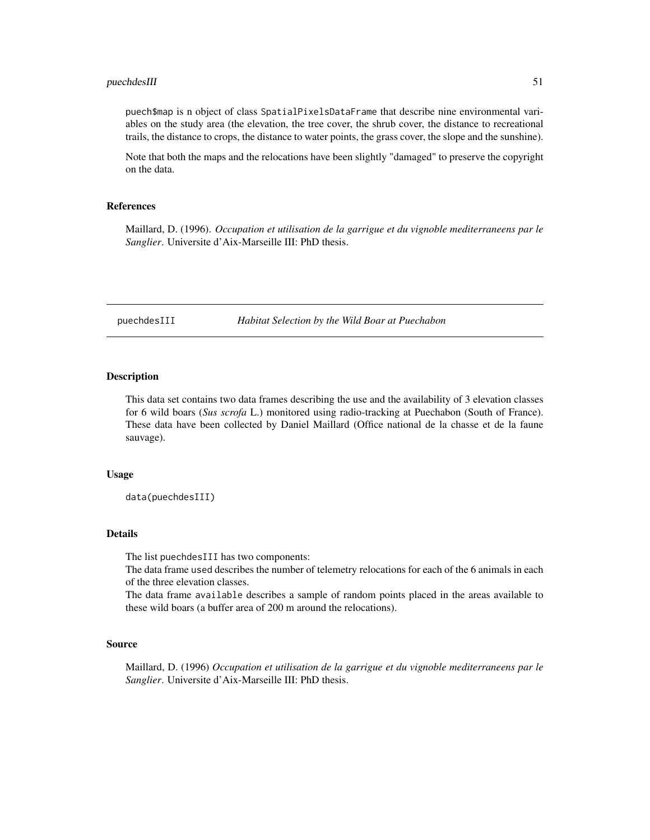#### <span id="page-50-0"></span>puechdesIII 51

puech\$map is n object of class SpatialPixelsDataFrame that describe nine environmental variables on the study area (the elevation, the tree cover, the shrub cover, the distance to recreational trails, the distance to crops, the distance to water points, the grass cover, the slope and the sunshine).

Note that both the maps and the relocations have been slightly "damaged" to preserve the copyright on the data.

#### References

Maillard, D. (1996). *Occupation et utilisation de la garrigue et du vignoble mediterraneens par le Sanglier*. Universite d'Aix-Marseille III: PhD thesis.

puechdesIII *Habitat Selection by the Wild Boar at Puechabon*

#### Description

This data set contains two data frames describing the use and the availability of 3 elevation classes for 6 wild boars (*Sus scrofa* L.) monitored using radio-tracking at Puechabon (South of France). These data have been collected by Daniel Maillard (Office national de la chasse et de la faune sauvage).

#### Usage

data(puechdesIII)

#### Details

The list puechdesIII has two components:

The data frame used describes the number of telemetry relocations for each of the 6 animals in each of the three elevation classes.

The data frame available describes a sample of random points placed in the areas available to these wild boars (a buffer area of 200 m around the relocations).

#### Source

Maillard, D. (1996) *Occupation et utilisation de la garrigue et du vignoble mediterraneens par le Sanglier*. Universite d'Aix-Marseille III: PhD thesis.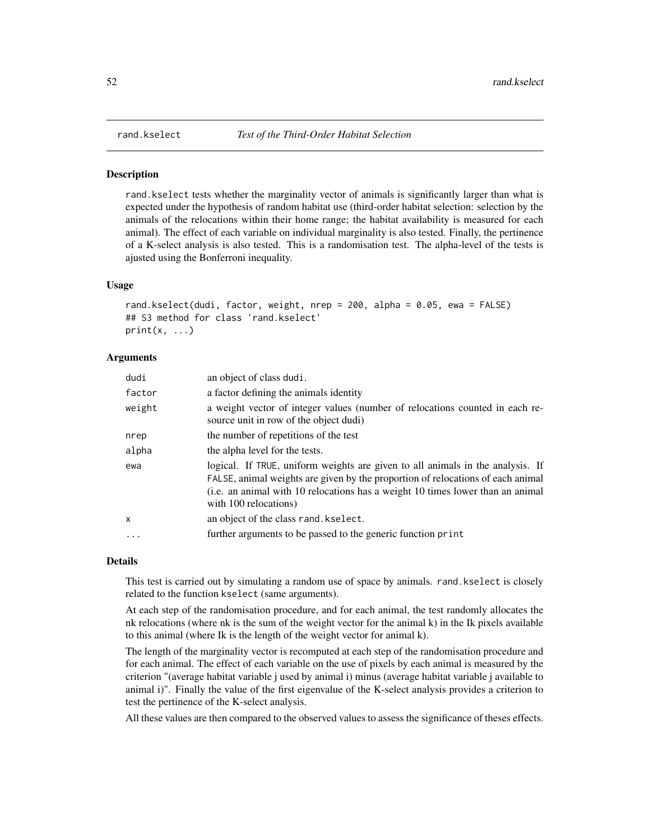## Description

rand.kselect tests whether the marginality vector of animals is significantly larger than what is expected under the hypothesis of random habitat use (third-order habitat selection: selection by the animals of the relocations within their home range; the habitat availability is measured for each animal). The effect of each variable on individual marginality is also tested. Finally, the pertinence of a K-select analysis is also tested. This is a randomisation test. The alpha-level of the tests is ajusted using the Bonferroni inequality.

#### Usage

```
rand.kselect(dudi, factor, weight, nrep = 200, alpha = 0.05, ewa = FALSE)
## S3 method for class 'rand.kselect'
print(x, \ldots)
```
#### Arguments

| dudi   | an object of class dudi.                                                                                                                                                                                                                                                     |
|--------|------------------------------------------------------------------------------------------------------------------------------------------------------------------------------------------------------------------------------------------------------------------------------|
| factor | a factor defining the animals identity                                                                                                                                                                                                                                       |
| weight | a weight vector of integer values (number of relocations counted in each re-<br>source unit in row of the object dudi)                                                                                                                                                       |
| nrep   | the number of repetitions of the test                                                                                                                                                                                                                                        |
| alpha  | the alpha level for the tests.                                                                                                                                                                                                                                               |
| ewa    | logical. If TRUE, uniform weights are given to all animals in the analysis. If<br>FALSE, animal weights are given by the proportion of relocations of each animal<br>(i.e. an animal with 10 relocations has a weight 10 times lower than an animal<br>with 100 relocations) |
| X      | an object of the class rand. kselect.                                                                                                                                                                                                                                        |
|        | further arguments to be passed to the generic function print                                                                                                                                                                                                                 |
|        |                                                                                                                                                                                                                                                                              |

#### Details

This test is carried out by simulating a random use of space by animals. rand.kselect is closely related to the function kselect (same arguments).

At each step of the randomisation procedure, and for each animal, the test randomly allocates the nk relocations (where nk is the sum of the weight vector for the animal k) in the Ik pixels available to this animal (where Ik is the length of the weight vector for animal k).

The length of the marginality vector is recomputed at each step of the randomisation procedure and for each animal. The effect of each variable on the use of pixels by each animal is measured by the criterion "(average habitat variable j used by animal i) minus (average habitat variable j available to animal i)". Finally the value of the first eigenvalue of the K-select analysis provides a criterion to test the pertinence of the K-select analysis.

All these values are then compared to the observed values to assess the significance of theses effects.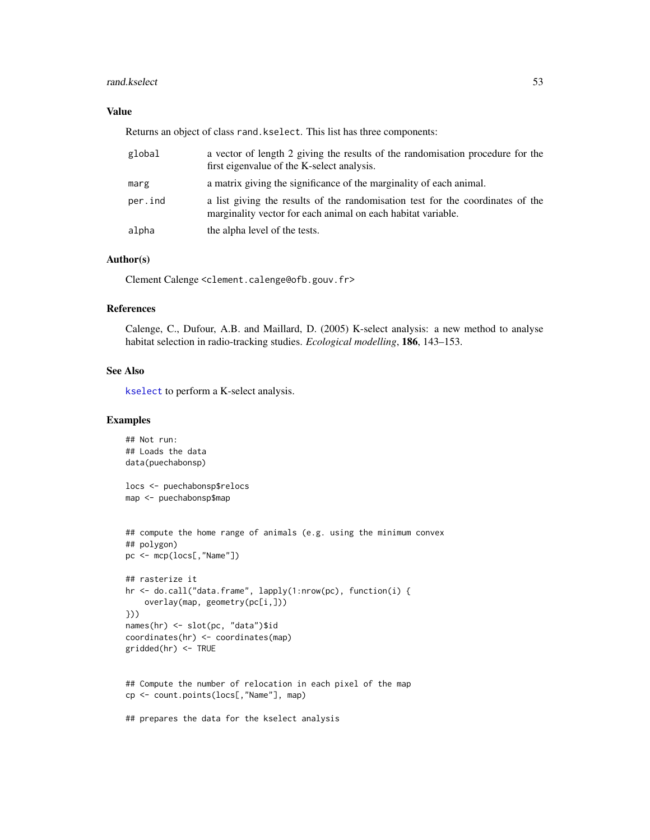#### <span id="page-52-0"></span>rand.kselect 53

## Value

Returns an object of class rand.kselect. This list has three components:

| global  | a vector of length 2 giving the results of the randomisation procedure for the<br>first eigenvalue of the K-select analysis.                   |
|---------|------------------------------------------------------------------------------------------------------------------------------------------------|
| marg    | a matrix giving the significance of the marginality of each animal.                                                                            |
| per.ind | a list giving the results of the randomisation test for the coordinates of the<br>marginality vector for each animal on each habitat variable. |
| alpha   | the alpha level of the tests.                                                                                                                  |

## Author(s)

Clement Calenge <clement.calenge@ofb.gouv.fr>

## References

Calenge, C., Dufour, A.B. and Maillard, D. (2005) K-select analysis: a new method to analyse habitat selection in radio-tracking studies. *Ecological modelling*, 186, 143–153.

#### See Also

[kselect](#page-35-1) to perform a K-select analysis.

## Examples

```
## Not run:
## Loads the data
data(puechabonsp)
locs <- puechabonsp$relocs
map <- puechabonsp$map
## compute the home range of animals (e.g. using the minimum convex
## polygon)
pc <- mcp(locs[,"Name"])
## rasterize it
hr <- do.call("data.frame", lapply(1:nrow(pc), function(i) {
    overlay(map, geometry(pc[i,]))
}))
names(hr) <- slot(pc, "data")$id
coordinates(hr) <- coordinates(map)
gridded(hr) <- TRUE
## Compute the number of relocation in each pixel of the map
cp <- count.points(locs[,"Name"], map)
## prepares the data for the kselect analysis
```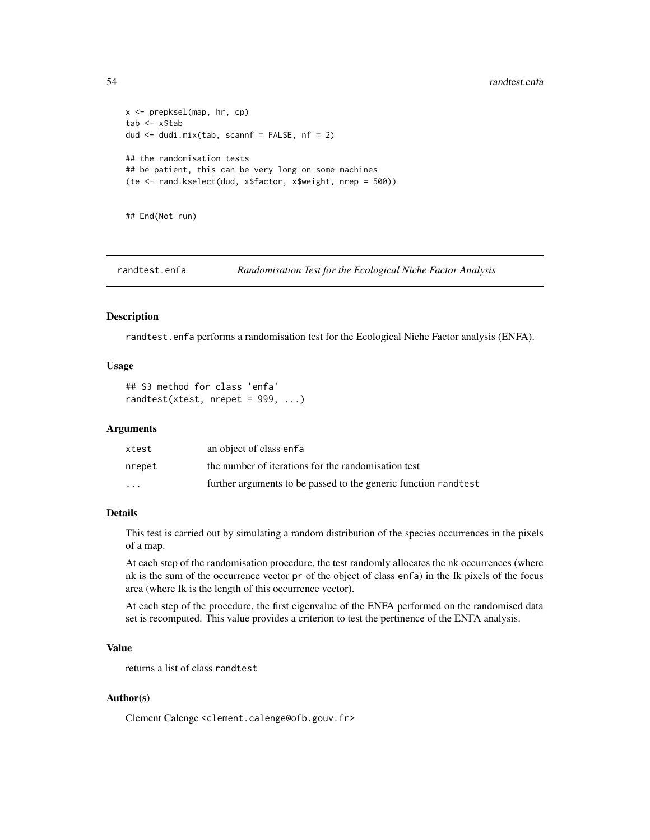```
x <- prepksel(map, hr, cp)
tab <- x$tab
dud <- dudi.mix(tab, scannf = FALSE, nf = 2)
## the randomisation tests
## be patient, this can be very long on some machines
(te <- rand.kselect(dud, x$factor, x$weight, nrep = 500))
```
## End(Not run)

randtest.enfa *Randomisation Test for the Ecological Niche Factor Analysis*

#### Description

randtest.enfa performs a randomisation test for the Ecological Niche Factor analysis (ENFA).

#### Usage

```
## S3 method for class 'enfa'
randtest(xtest, nrepeat = 999, ...)
```
#### Arguments

| xtest   | an object of class enfa                                          |
|---------|------------------------------------------------------------------|
| nrepet  | the number of iterations for the randomisation test              |
| $\cdot$ | further arguments to be passed to the generic function rand test |

## Details

This test is carried out by simulating a random distribution of the species occurrences in the pixels of a map.

At each step of the randomisation procedure, the test randomly allocates the nk occurrences (where nk is the sum of the occurrence vector pr of the object of class enfa) in the Ik pixels of the focus area (where Ik is the length of this occurrence vector).

At each step of the procedure, the first eigenvalue of the ENFA performed on the randomised data set is recomputed. This value provides a criterion to test the pertinence of the ENFA analysis.

## Value

returns a list of class randtest

## Author(s)

Clement Calenge <clement.calenge@ofb.gouv.fr>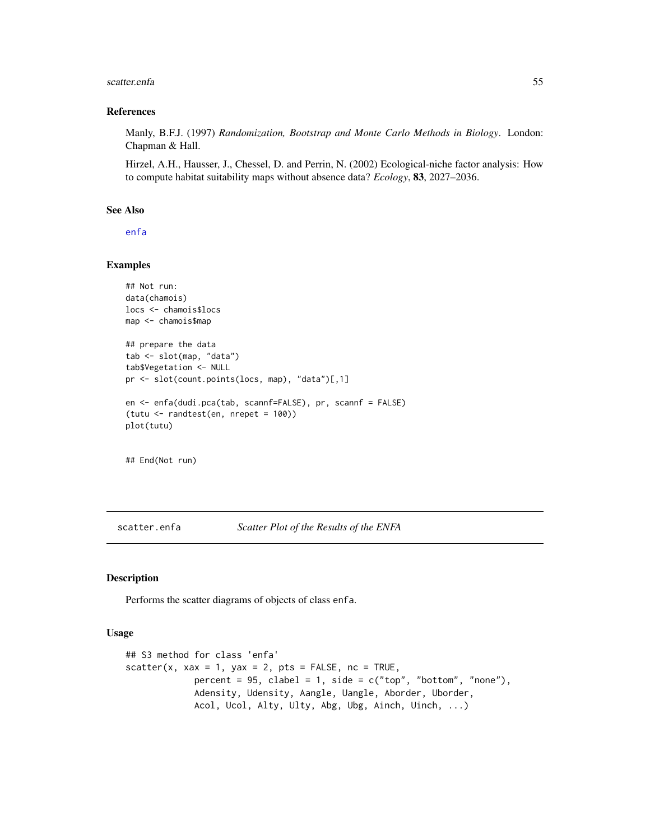#### <span id="page-54-0"></span>scatter.enfa 55

#### References

Manly, B.F.J. (1997) *Randomization, Bootstrap and Monte Carlo Methods in Biology*. London: Chapman & Hall.

Hirzel, A.H., Hausser, J., Chessel, D. and Perrin, N. (2002) Ecological-niche factor analysis: How to compute habitat suitability maps without absence data? *Ecology*, 83, 2027–2036.

## See Also

[enfa](#page-18-1)

#### Examples

```
## Not run:
data(chamois)
locs <- chamois$locs
map <- chamois$map
## prepare the data
tab <- slot(map, "data")
tab$Vegetation <- NULL
pr <- slot(count.points(locs, map), "data")[,1]
en <- enfa(dudi.pca(tab, scannf=FALSE), pr, scannf = FALSE)
(tutu <- randtest(en, nrepet = 100))
plot(tutu)
```
## End(Not run)

<span id="page-54-1"></span>scatter.enfa *Scatter Plot of the Results of the ENFA*

### Description

Performs the scatter diagrams of objects of class enfa.

#### Usage

```
## S3 method for class 'enfa'
scatter(x, xax = 1, yax = 2, pts = FALSE, nc = TRUE,
            percent = 95, clabel = 1, side = c("top", "bottom", "none"),Adensity, Udensity, Aangle, Uangle, Aborder, Uborder,
            Acol, Ucol, Alty, Ulty, Abg, Ubg, Ainch, Uinch, ...)
```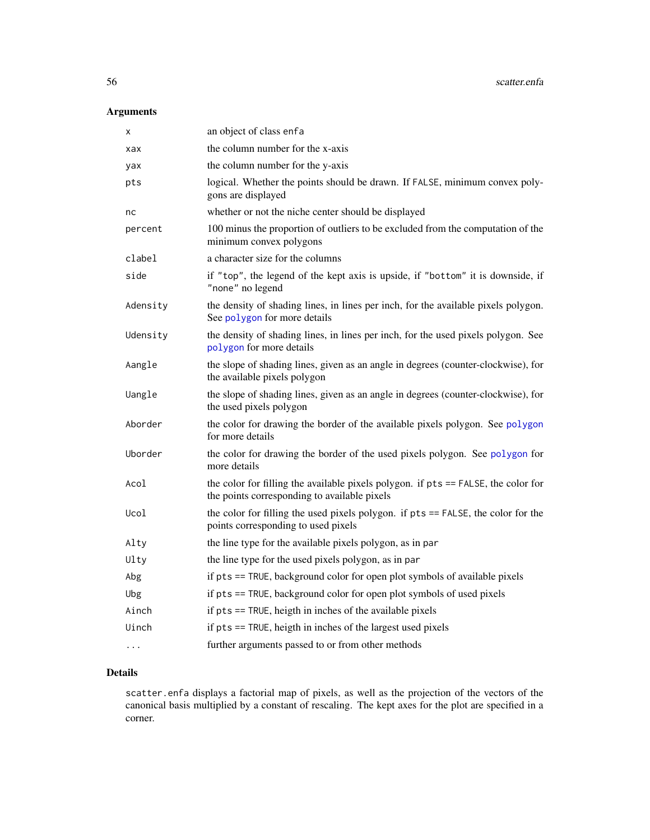## <span id="page-55-0"></span>Arguments

| X        | an object of class enfa                                                                                                            |
|----------|------------------------------------------------------------------------------------------------------------------------------------|
| xax      | the column number for the x-axis                                                                                                   |
| yax      | the column number for the y-axis                                                                                                   |
| pts      | logical. Whether the points should be drawn. If FALSE, minimum convex poly-<br>gons are displayed                                  |
| nc       | whether or not the niche center should be displayed                                                                                |
| percent  | 100 minus the proportion of outliers to be excluded from the computation of the<br>minimum convex polygons                         |
| clabel   | a character size for the columns                                                                                                   |
| side     | if "top", the legend of the kept axis is upside, if "bottom" it is downside, if<br>"none" no legend                                |
| Adensity | the density of shading lines, in lines per inch, for the available pixels polygon.<br>See polygon for more details                 |
| Udensity | the density of shading lines, in lines per inch, for the used pixels polygon. See<br>polygon for more details                      |
| Aangle   | the slope of shading lines, given as an angle in degrees (counter-clockwise), for<br>the available pixels polygon                  |
| Uangle   | the slope of shading lines, given as an angle in degrees (counter-clockwise), for<br>the used pixels polygon                       |
| Aborder  | the color for drawing the border of the available pixels polygon. See polygon<br>for more details                                  |
| Uborder  | the color for drawing the border of the used pixels polygon. See polygon for<br>more details                                       |
| Acol     | the color for filling the available pixels polygon. if pts == FALSE, the color for<br>the points corresponding to available pixels |
| Ucol     | the color for filling the used pixels polygon. if pts == FALSE, the color for the<br>points corresponding to used pixels           |
| Alty     | the line type for the available pixels polygon, as in par                                                                          |
| Ulty     | the line type for the used pixels polygon, as in par                                                                               |
| Abg      | if pts == TRUE, background color for open plot symbols of available pixels                                                         |
| Ubg      | if pts == TRUE, background color for open plot symbols of used pixels                                                              |
| Ainch    | if pts == TRUE, heigth in inches of the available pixels                                                                           |
| Uinch    | if pts == TRUE, heigth in inches of the largest used pixels                                                                        |
| $\cdots$ | further arguments passed to or from other methods                                                                                  |

## Details

scatter.enfa displays a factorial map of pixels, as well as the projection of the vectors of the canonical basis multiplied by a constant of rescaling. The kept axes for the plot are specified in a corner.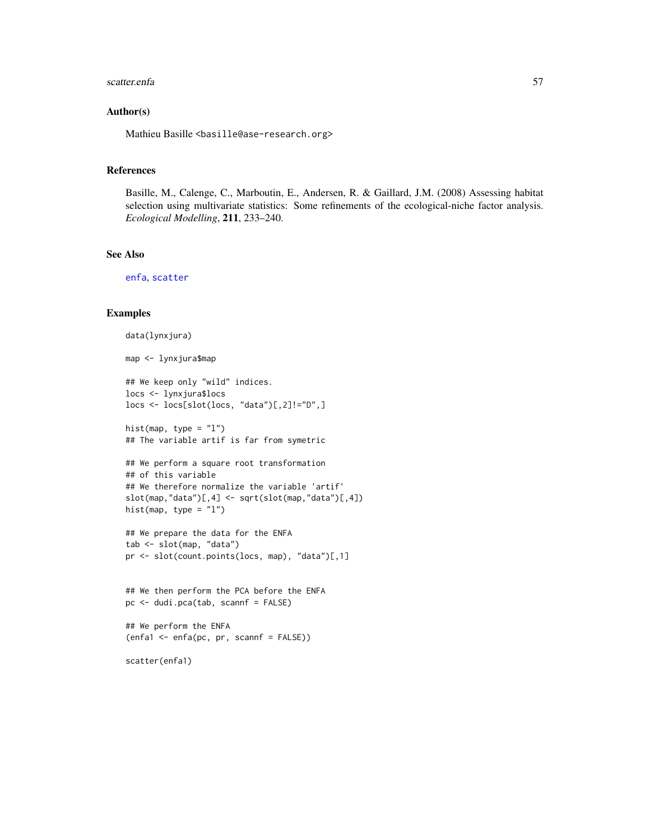#### <span id="page-56-0"></span>scatter.enfa 57

### Author(s)

Mathieu Basille <br/>basille@ase-research.org>

#### References

Basille, M., Calenge, C., Marboutin, E., Andersen, R. & Gaillard, J.M. (2008) Assessing habitat selection using multivariate statistics: Some refinements of the ecological-niche factor analysis. *Ecological Modelling*, 211, 233–240.

#### See Also

[enfa](#page-18-1), [scatter](#page-0-0)

#### Examples

```
data(lynxjura)
```

```
map <- lynxjura$map
```
## We keep only "wild" indices. locs <- lynxjura\$locs locs <- locs[slot(locs, "data")[,2]!="D",]

hist(map, type =  $"1"$ ) ## The variable artif is far from symetric

```
## We perform a square root transformation
## of this variable
## We therefore normalize the variable 'artif'
slot(map, "data")[, 4] < -sqrt(slot(map, "data")[, 4])hist(map, type = "l")
```

```
## We prepare the data for the ENFA
tab <- slot(map, "data")
pr <- slot(count.points(locs, map), "data")[,1]
```

```
## We then perform the PCA before the ENFA
pc <- dudi.pca(tab, scannf = FALSE)
```

```
## We perform the ENFA
(enfa1 \leq enfa(pc, pr, scannf = FALSE))
```
scatter(enfa1)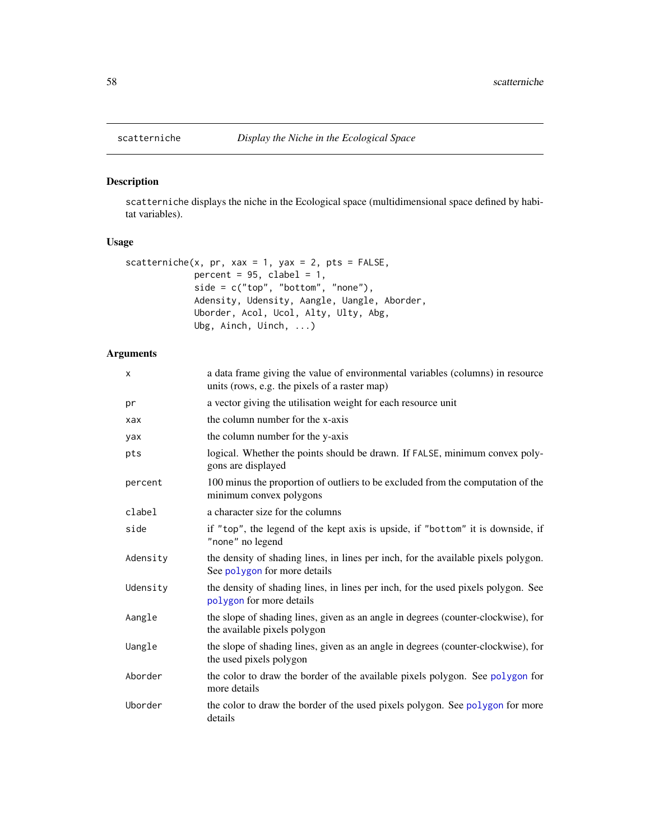## Description

scatterniche displays the niche in the Ecological space (multidimensional space defined by habitat variables).

## Usage

```
scatterniche(x, pr, xax = 1, yax = 2, pts = FALSE,
            percent = 95, clabel = 1,
            side = c("top", "bottom", "none"),Adensity, Udensity, Aangle, Uangle, Aborder,
            Uborder, Acol, Ucol, Alty, Ulty, Abg,
            Ubg, Ainch, Uinch, ...)
```
## Arguments

| X        | a data frame giving the value of environmental variables (columns) in resource<br>units (rows, e.g. the pixels of a raster map) |
|----------|---------------------------------------------------------------------------------------------------------------------------------|
| pr       | a vector giving the utilisation weight for each resource unit                                                                   |
| xax      | the column number for the x-axis                                                                                                |
| yax      | the column number for the y-axis                                                                                                |
| pts      | logical. Whether the points should be drawn. If FALSE, minimum convex poly-<br>gons are displayed                               |
| percent  | 100 minus the proportion of outliers to be excluded from the computation of the<br>minimum convex polygons                      |
| clabel   | a character size for the columns                                                                                                |
| side     | if "top", the legend of the kept axis is upside, if "bottom" it is downside, if<br>"none" no legend                             |
| Adensity | the density of shading lines, in lines per inch, for the available pixels polygon.<br>See polygon for more details              |
| Udensity | the density of shading lines, in lines per inch, for the used pixels polygon. See<br>polygon for more details                   |
| Aangle   | the slope of shading lines, given as an angle in degrees (counter-clockwise), for<br>the available pixels polygon               |
| Uangle   | the slope of shading lines, given as an angle in degrees (counter-clockwise), for<br>the used pixels polygon                    |
| Aborder  | the color to draw the border of the available pixels polygon. See polygon for<br>more details                                   |
| Uborder  | the color to draw the border of the used pixels polygon. See polygon for more<br>details                                        |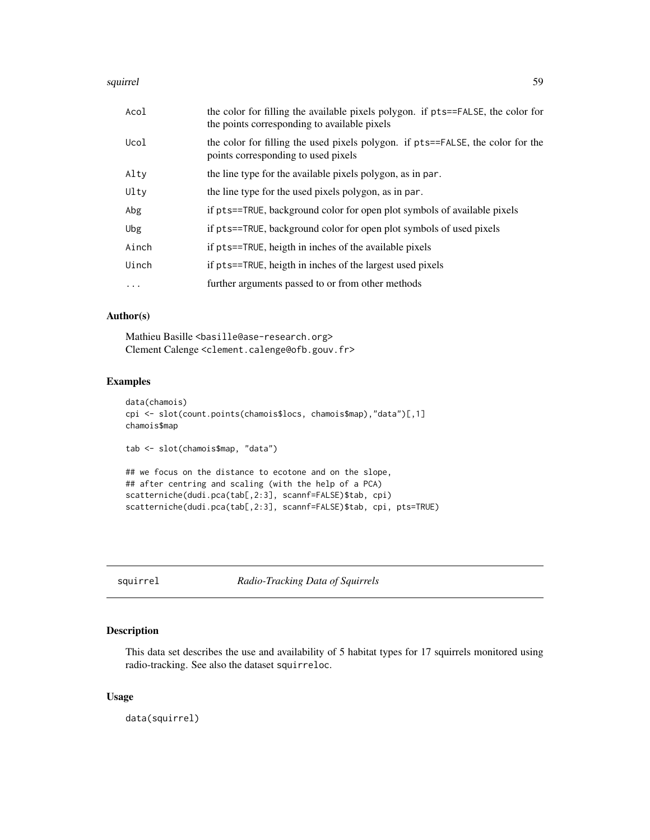#### <span id="page-58-0"></span>squirrel to the state of the state of the state of the state of the state of the state of the state of the state of the state of the state of the state of the state of the state of the state of the state of the state of th

| Acol     | the color for filling the available pixels polygon. if pts==FALSE, the color for<br>the points corresponding to available pixels |
|----------|----------------------------------------------------------------------------------------------------------------------------------|
| Ucol     | the color for filling the used pixels polygon. if pts==FALSE, the color for the<br>points corresponding to used pixels           |
| Alty     | the line type for the available pixels polygon, as in par.                                                                       |
| Ulty     | the line type for the used pixels polygon, as in par.                                                                            |
| Abg      | if pts==TRUE, background color for open plot symbols of available pixels                                                         |
| Ubg      | if pts==TRUE, background color for open plot symbols of used pixels                                                              |
| Ainch    | if pts==TRUE, heigth in inches of the available pixels                                                                           |
| Uinch    | if pts==TRUE, heigth in inches of the largest used pixels                                                                        |
| $\cdots$ | further arguments passed to or from other methods                                                                                |

### Author(s)

Mathieu Basille <br/>basille@ase-research.org> Clement Calenge <clement.calenge@ofb.gouv.fr>

## Examples

```
data(chamois)
cpi <- slot(count.points(chamois$locs, chamois$map),"data")[,1]
chamois$map
tab <- slot(chamois$map, "data")
## we focus on the distance to ecotone and on the slope,
## after centring and scaling (with the help of a PCA)
scatterniche(dudi.pca(tab[,2:3], scannf=FALSE)$tab, cpi)
scatterniche(dudi.pca(tab[,2:3], scannf=FALSE)$tab, cpi, pts=TRUE)
```
squirrel *Radio-Tracking Data of Squirrels*

## Description

This data set describes the use and availability of 5 habitat types for 17 squirrels monitored using radio-tracking. See also the dataset squirreloc.

#### Usage

data(squirrel)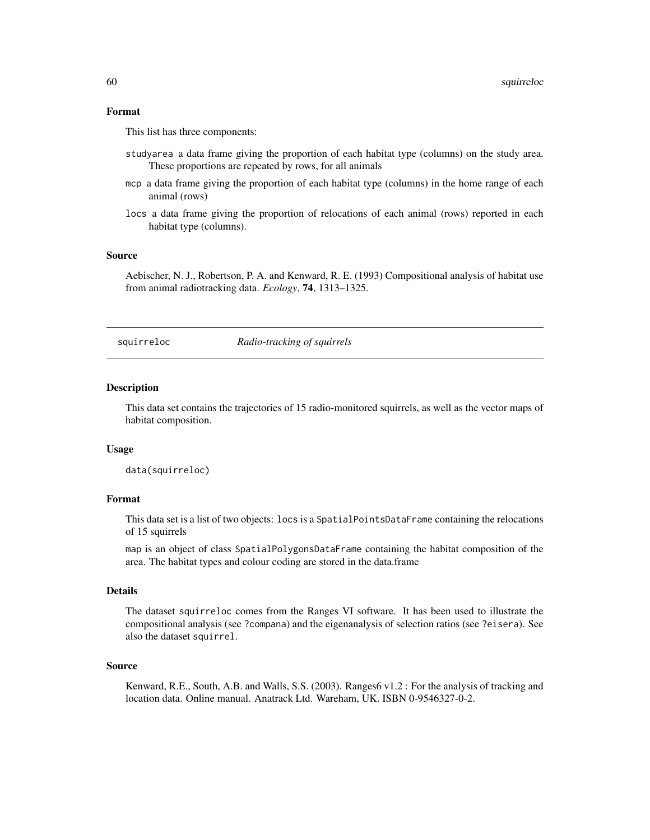#### <span id="page-59-0"></span>Format

This list has three components:

- studyarea a data frame giving the proportion of each habitat type (columns) on the study area. These proportions are repeated by rows, for all animals
- mcp a data frame giving the proportion of each habitat type (columns) in the home range of each animal (rows)
- locs a data frame giving the proportion of relocations of each animal (rows) reported in each habitat type (columns).

#### Source

Aebischer, N. J., Robertson, P. A. and Kenward, R. E. (1993) Compositional analysis of habitat use from animal radiotracking data. *Ecology*, 74, 1313–1325.

squirreloc *Radio-tracking of squirrels*

#### Description

This data set contains the trajectories of 15 radio-monitored squirrels, as well as the vector maps of habitat composition.

## Usage

data(squirreloc)

#### Format

This data set is a list of two objects: locs is a SpatialPointsDataFrame containing the relocations of 15 squirrels

map is an object of class SpatialPolygonsDataFrame containing the habitat composition of the area. The habitat types and colour coding are stored in the data.frame

#### Details

The dataset squirreloc comes from the Ranges VI software. It has been used to illustrate the compositional analysis (see ?compana) and the eigenanalysis of selection ratios (see ?eisera). See also the dataset squirrel.

#### Source

Kenward, R.E., South, A.B. and Walls, S.S. (2003). Ranges6 v1.2 : For the analysis of tracking and location data. Online manual. Anatrack Ltd. Wareham, UK. ISBN 0-9546327-0-2.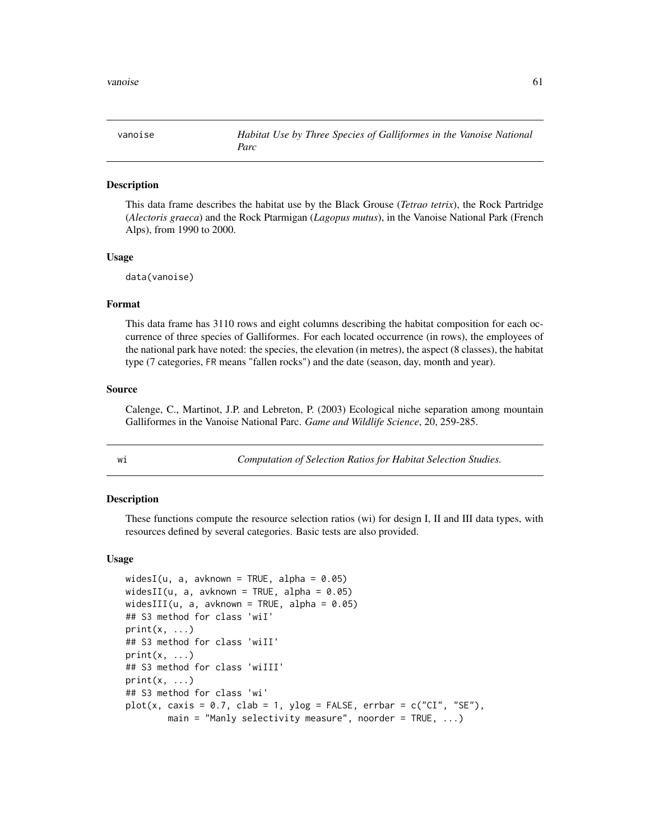<span id="page-60-0"></span>

#### Description

This data frame describes the habitat use by the Black Grouse (*Tetrao tetrix*), the Rock Partridge (*Alectoris graeca*) and the Rock Ptarmigan (*Lagopus mutus*), in the Vanoise National Park (French Alps), from 1990 to 2000.

#### Usage

data(vanoise)

#### Format

This data frame has 3110 rows and eight columns describing the habitat composition for each occurrence of three species of Galliformes. For each located occurrence (in rows), the employees of the national park have noted: the species, the elevation (in metres), the aspect (8 classes), the habitat type (7 categories, FR means "fallen rocks") and the date (season, day, month and year).

#### Source

Calenge, C., Martinot, J.P. and Lebreton, P. (2003) Ecological niche separation among mountain Galliformes in the Vanoise National Parc. *Game and Wildlife Science*, 20, 259-285.

<span id="page-60-1"></span>

| ٠ | × |  |
|---|---|--|

wi *Computation of Selection Ratios for Habitat Selection Studies.*

## Description

These functions compute the resource selection ratios (wi) for design I, II and III data types, with resources defined by several categories. Basic tests are also provided.

#### Usage

```
widesI(u, a, avknown = TRUE, alpha = 0.05)
widesII(u, a, avknown = TRUE, alpha = 0.05)
widesIII(u, a, avknown = TRUE, alpha = 0.05)
## S3 method for class 'wiI'
print(x, \ldots)## S3 method for class 'wiII'
print(x, \ldots)## S3 method for class 'wiIII'
print(x, \ldots)## S3 method for class 'wi'
plot(x, caxis = 0.7, clab = 1, ylog = FALSE, errbar = c("CI", "SE"),main = "Manly selectivity measure", noorder = TRUE, ...)
```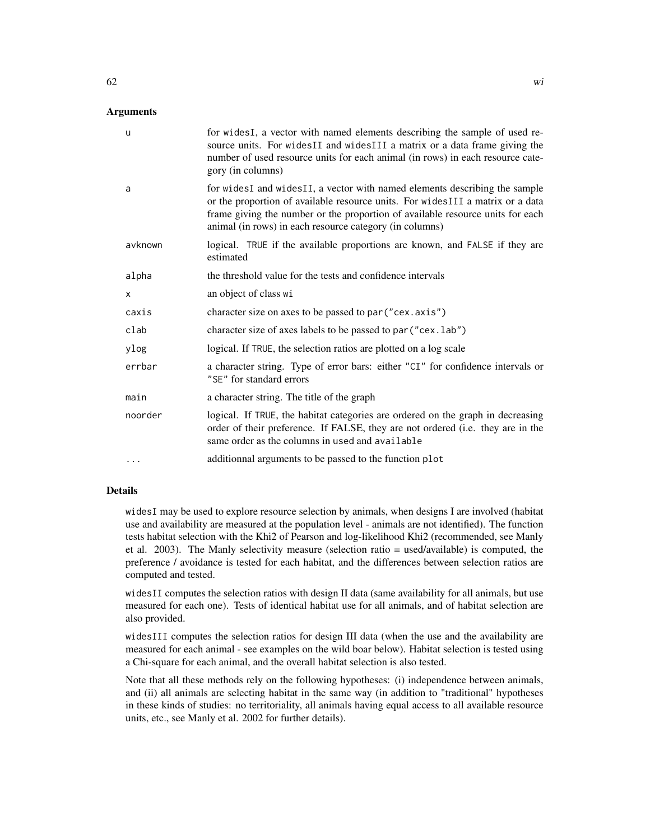#### Arguments

| u        | for wides I, a vector with named elements describing the sample of used re-<br>source units. For widesII and widesIII a matrix or a data frame giving the<br>number of used resource units for each animal (in rows) in each resource cate-<br>gory (in columns)                                          |
|----------|-----------------------------------------------------------------------------------------------------------------------------------------------------------------------------------------------------------------------------------------------------------------------------------------------------------|
| a        | for widesI and widesII, a vector with named elements describing the sample<br>or the proportion of available resource units. For widesIII a matrix or a data<br>frame giving the number or the proportion of available resource units for each<br>animal (in rows) in each resource category (in columns) |
| avknown  | logical. TRUE if the available proportions are known, and FALSE if they are<br>estimated                                                                                                                                                                                                                  |
| alpha    | the threshold value for the tests and confidence intervals                                                                                                                                                                                                                                                |
| X        | an object of class wi                                                                                                                                                                                                                                                                                     |
| caxis    | character size on axes to be passed to par ("cex.axis")                                                                                                                                                                                                                                                   |
| clab     | character size of axes labels to be passed to par ("cex.lab")                                                                                                                                                                                                                                             |
| ylog     | logical. If TRUE, the selection ratios are plotted on a log scale                                                                                                                                                                                                                                         |
| errbar   | a character string. Type of error bars: either "CI" for confidence intervals or<br>"SE" for standard errors                                                                                                                                                                                               |
| main     | a character string. The title of the graph                                                                                                                                                                                                                                                                |
| noorder  | logical. If TRUE, the habitat categories are ordered on the graph in decreasing<br>order of their preference. If FALSE, they are not ordered (i.e. they are in the<br>same order as the columns in used and available                                                                                     |
| $\cdots$ | additionnal arguments to be passed to the function plot                                                                                                                                                                                                                                                   |

## Details

widesI may be used to explore resource selection by animals, when designs I are involved (habitat use and availability are measured at the population level - animals are not identified). The function tests habitat selection with the Khi2 of Pearson and log-likelihood Khi2 (recommended, see Manly et al. 2003). The Manly selectivity measure (selection ratio = used/available) is computed, the preference / avoidance is tested for each habitat, and the differences between selection ratios are computed and tested.

widesII computes the selection ratios with design II data (same availability for all animals, but use measured for each one). Tests of identical habitat use for all animals, and of habitat selection are also provided.

widesIII computes the selection ratios for design III data (when the use and the availability are measured for each animal - see examples on the wild boar below). Habitat selection is tested using a Chi-square for each animal, and the overall habitat selection is also tested.

Note that all these methods rely on the following hypotheses: (i) independence between animals, and (ii) all animals are selecting habitat in the same way (in addition to "traditional" hypotheses in these kinds of studies: no territoriality, all animals having equal access to all available resource units, etc., see Manly et al. 2002 for further details).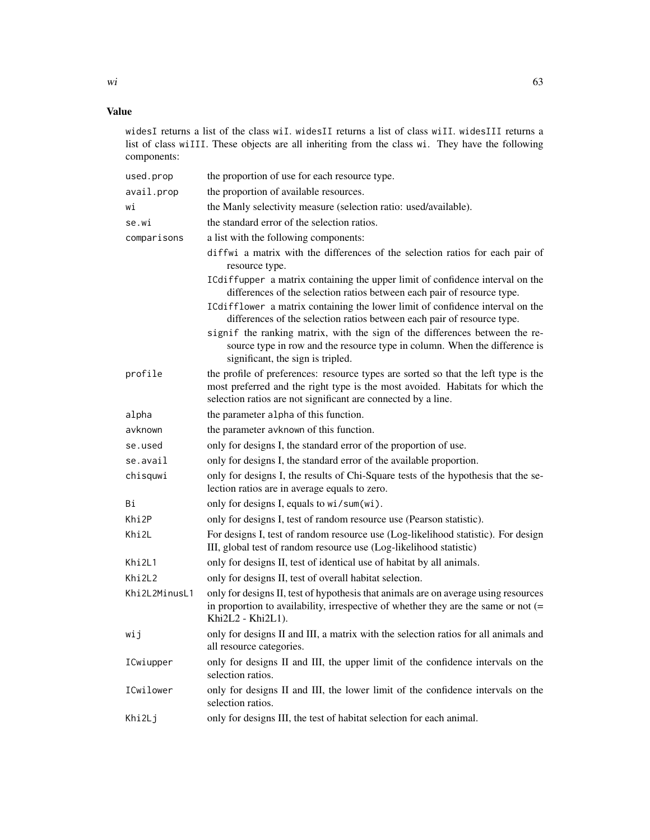widesI returns a list of the class wiI. widesII returns a list of class wiII. widesIII returns a list of class wiIII. These objects are all inheriting from the class wi. They have the following components:

| used.prop     | the proportion of use for each resource type.                                                                                                                                                                                        |  |  |
|---------------|--------------------------------------------------------------------------------------------------------------------------------------------------------------------------------------------------------------------------------------|--|--|
| avail.prop    | the proportion of available resources.                                                                                                                                                                                               |  |  |
| wi            | the Manly selectivity measure (selection ratio: used/available).                                                                                                                                                                     |  |  |
| se.wi         | the standard error of the selection ratios.                                                                                                                                                                                          |  |  |
| comparisons   | a list with the following components:                                                                                                                                                                                                |  |  |
|               | diffwi a matrix with the differences of the selection ratios for each pair of<br>resource type.                                                                                                                                      |  |  |
|               | ICdiffupper a matrix containing the upper limit of confidence interval on the<br>differences of the selection ratios between each pair of resource type.                                                                             |  |  |
|               | ICdifflower a matrix containing the lower limit of confidence interval on the<br>differences of the selection ratios between each pair of resource type.                                                                             |  |  |
|               | signif the ranking matrix, with the sign of the differences between the re-<br>source type in row and the resource type in column. When the difference is<br>significant, the sign is tripled.                                       |  |  |
| profile       | the profile of preferences: resource types are sorted so that the left type is the<br>most preferred and the right type is the most avoided. Habitats for which the<br>selection ratios are not significant are connected by a line. |  |  |
| alpha         | the parameter alpha of this function.                                                                                                                                                                                                |  |  |
| avknown       | the parameter avknown of this function.                                                                                                                                                                                              |  |  |
| se.used       | only for designs I, the standard error of the proportion of use.                                                                                                                                                                     |  |  |
| se.avail      | only for designs I, the standard error of the available proportion.                                                                                                                                                                  |  |  |
| chisquwi      | only for designs I, the results of Chi-Square tests of the hypothesis that the se-<br>lection ratios are in average equals to zero.                                                                                                  |  |  |
| Вi            | only for designs I, equals to wi/sum(wi).                                                                                                                                                                                            |  |  |
| Khi2P         | only for designs I, test of random resource use (Pearson statistic).                                                                                                                                                                 |  |  |
| Khi2L         | For designs I, test of random resource use (Log-likelihood statistic). For design<br>III, global test of random resource use (Log-likelihood statistic)                                                                              |  |  |
| Khi2L1        | only for designs II, test of identical use of habitat by all animals.                                                                                                                                                                |  |  |
| Khi2L2        | only for designs II, test of overall habitat selection.                                                                                                                                                                              |  |  |
| Khi2L2MinusL1 | only for designs II, test of hypothesis that animals are on average using resources<br>in proportion to availability, irrespective of whether they are the same or not $(=$<br>Khi2L2 - Khi2L1).                                     |  |  |
| wij           | only for designs II and III, a matrix with the selection ratios for all animals and<br>all resource categories.                                                                                                                      |  |  |
| ICwiupper     | only for designs II and III, the upper limit of the confidence intervals on the<br>selection ratios.                                                                                                                                 |  |  |
| ICwilower     | only for designs II and III, the lower limit of the confidence intervals on the<br>selection ratios.                                                                                                                                 |  |  |
| Khi2Lj        | only for designs III, the test of habitat selection for each animal.                                                                                                                                                                 |  |  |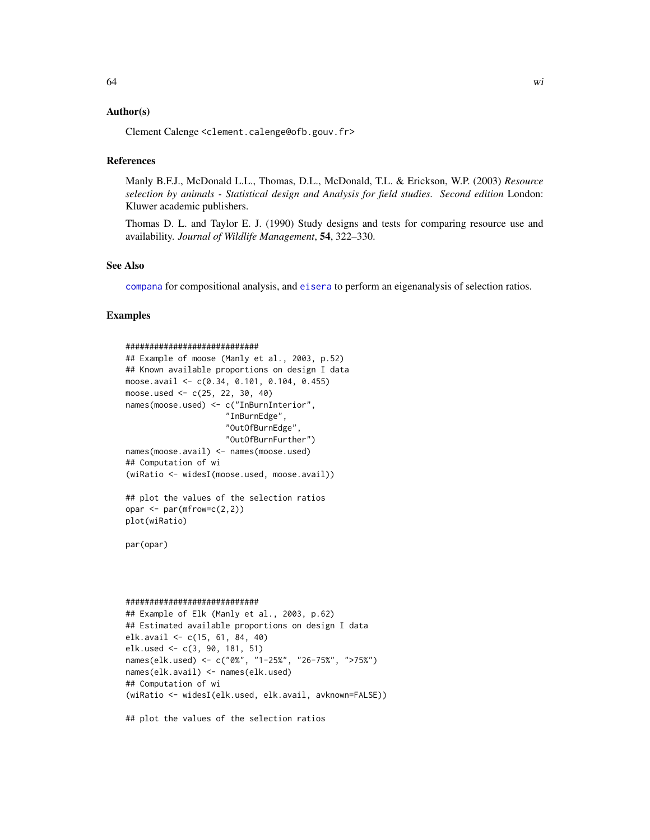## <span id="page-63-0"></span>Author(s)

Clement Calenge <clement.calenge@ofb.gouv.fr>

#### References

Manly B.F.J., McDonald L.L., Thomas, D.L., McDonald, T.L. & Erickson, W.P. (2003) *Resource selection by animals - Statistical design and Analysis for field studies. Second edition* London: Kluwer academic publishers.

Thomas D. L. and Taylor E. J. (1990) Study designs and tests for comparing resource use and availability. *Journal of Wildlife Management*, 54, 322–330.

#### See Also

[compana](#page-7-1) for compositional analysis, and [eisera](#page-15-1) to perform an eigenanalysis of selection ratios.

#### Examples

```
############################
## Example of moose (Manly et al., 2003, p.52)
## Known available proportions on design I data
moose.avail <- c(0.34, 0.101, 0.104, 0.455)
moose.used <- c(25, 22, 30, 40)
names(moose.used) <- c("InBurnInterior",
                     "InBurnEdge",
                     "OutOfBurnEdge",
                     "OutOfBurnFurther")
names(moose.avail) <- names(moose.used)
## Computation of wi
(wiRatio <- widesI(moose.used, moose.avail))
## plot the values of the selection ratios
opar \leq par(mfrow=c(2,2))
plot(wiRatio)
par(opar)
############################
## Example of Elk (Manly et al., 2003, p.62)
## Estimated available proportions on design I data
elk.avail <- c(15, 61, 84, 40)
elk.used <- c(3, 90, 181, 51)
names(elk.used) <- c("0%", "1-25%", "26-75%", ">75%")
names(elk.avail) <- names(elk.used)
## Computation of wi
(wiRatio <- widesI(elk.used, elk.avail, avknown=FALSE))
```
## plot the values of the selection ratios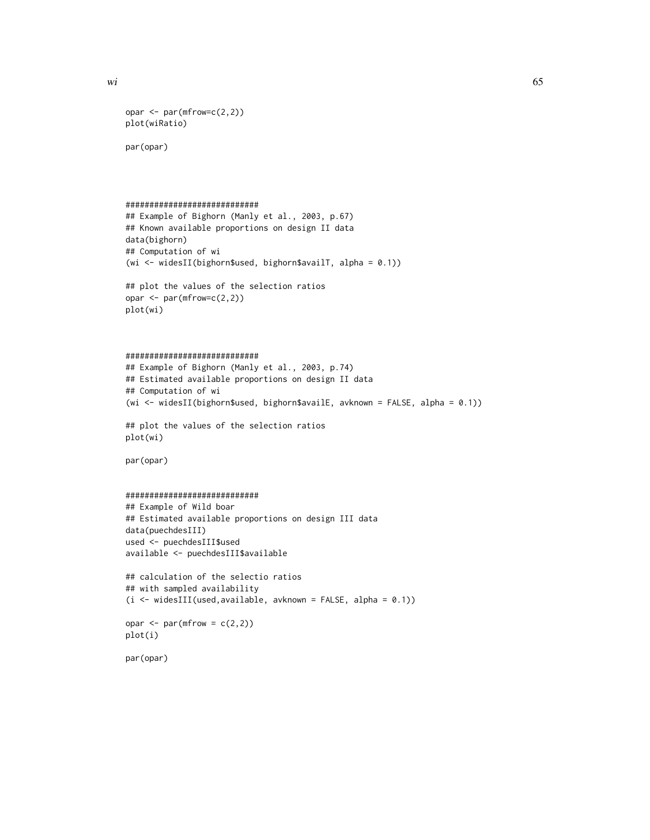```
opar \leq par(mfrow=c(2,2))
plot(wiRatio)
```
par(opar)

```
############################
```

```
## Example of Bighorn (Manly et al., 2003, p.67)
## Known available proportions on design II data
data(bighorn)
## Computation of wi
(wi \leq widesII(bighorn$used, bighorn$availT, alpha = 0.1))
```
## plot the values of the selection ratios opar <- par(mfrow=c(2,2)) plot(wi)

```
############################
```

```
## Example of Bighorn (Manly et al., 2003, p.74)
## Estimated available proportions on design II data
## Computation of wi
(wi <- widesII(bighorn$used, bighorn$availE, avknown = FALSE, alpha = 0.1))
```

```
## plot the values of the selection ratios
plot(wi)
```
par(opar)

```
############################
## Example of Wild boar
## Estimated available proportions on design III data
data(puechdesIII)
used <- puechdesIII$used
available <- puechdesIII$available
```

```
## calculation of the selectio ratios
## with sampled availability
(i <- widesIII(used,available, avknown = FALSE, alpha = 0.1))
```

```
opar \leq par(mfrow = c(2,2))
plot(i)
```
par(opar)

 $\omega$  65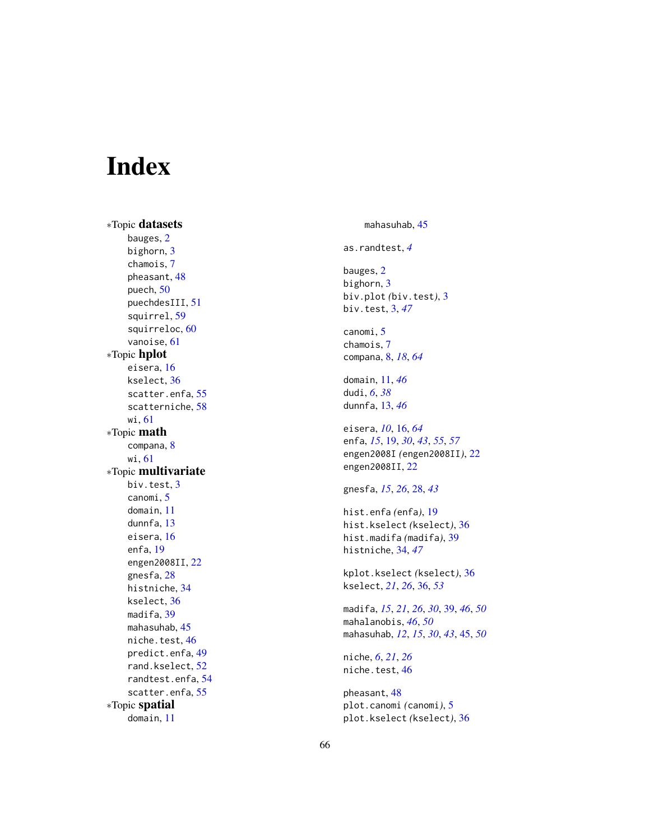# <span id="page-65-0"></span>Index

∗Topic datasets bauges , [2](#page-1-0) bighorn , [3](#page-2-0) chamois , [7](#page-6-0) pheasant, [48](#page-47-0) puech , [50](#page-49-0) puechdesIII , [51](#page-50-0) squirrel, [59](#page-58-0) squirreloc , [60](#page-59-0) vanoise , [61](#page-60-0) ∗Topic hplot eisera, [16](#page-15-0) kselect , [36](#page-35-0) scatter.enfa, [55](#page-54-0) scatterniche , [58](#page-57-0) wi , [61](#page-60-0) ∗Topic math compana , [8](#page-7-0) wi , [61](#page-60-0) ∗Topic multivariate biv.test , [3](#page-2-0) canomi , [5](#page-4-0) domain , [11](#page-10-0) dunnfa , [13](#page-12-0) eisera, [16](#page-15-0) enfa , [19](#page-18-0) engen2008II , [22](#page-21-0) gnesfa , [28](#page-27-0) histniche , [34](#page-33-0) kselect , [36](#page-35-0) madifa, [39](#page-38-0) mahasuhab , [45](#page-44-0) niche.test, [46](#page-45-0) predict.enfa , [49](#page-48-0) rand.kselect , [52](#page-51-0) randtest.enfa , [54](#page-53-0) scatter.enfa, [55](#page-54-0) ∗Topic spatial domain , [11](#page-10-0)

mahasuhab , [45](#page-44-0) as.randtest , *[4](#page-3-0)* bauges, [2](#page-1-0) bighorn , [3](#page-2-0) biv.plot *(*biv.test *)* , [3](#page-2-0) biv.test , [3](#page-2-0) , *[47](#page-46-0)* canomi, <mark>[5](#page-4-0)</mark> chamois , [7](#page-6-0) compana , [8](#page-7-0) , *[18](#page-17-0)* , *[64](#page-63-0)* domain , [11](#page-10-0) , *[46](#page-45-0)* dudi , *[6](#page-5-0)* , *[38](#page-37-0)* dunnfa , [13](#page-12-0) , *[46](#page-45-0)* eisera , *[10](#page-9-0)* , [16](#page-15-0) , *[64](#page-63-0)* enfa , *[15](#page-14-0)* , [19](#page-18-0) , *[30](#page-29-0)* , *[43](#page-42-0)* , *[55](#page-54-0)* , *[57](#page-56-0)* engen2008I *(*engen2008II *)* , [22](#page-21-0) engen2008II , [22](#page-21-0) gnesfa , *[15](#page-14-0)* , *[26](#page-25-0)* , [28](#page-27-0) , *[43](#page-42-0)* hist.enfa *(*enfa *)* , [19](#page-18-0) hist.kselect *(*kselect *)* , [36](#page-35-0) hist.madifa *(*madifa *)* , [39](#page-38-0) histniche , [34](#page-33-0) , *[47](#page-46-0)* kplot.kselect *(*kselect *)* , [36](#page-35-0) kselect , *[21](#page-20-0)* , *[26](#page-25-0)* , [36](#page-35-0) , *[53](#page-52-0)* madifa , *[15](#page-14-0)* , *[21](#page-20-0)* , *[26](#page-25-0)* , *[30](#page-29-0)* , [39](#page-38-0) , *[46](#page-45-0)* , *[50](#page-49-0)* mahalanobis , *[46](#page-45-0)* , *[50](#page-49-0)* mahasuhab , *[12](#page-11-0)* , *[15](#page-14-0)* , *[30](#page-29-0)* , *[43](#page-42-0)* , [45](#page-44-0) , *[50](#page-49-0)* niche , *[6](#page-5-0)* , *[21](#page-20-0)* , *[26](#page-25-0)* niche.test, [46](#page-45-0) pheasant , [48](#page-47-0) plot.canomi *(*canomi *)* , [5](#page-4-0) plot.kselect *(*kselect *)* , [36](#page-35-0)